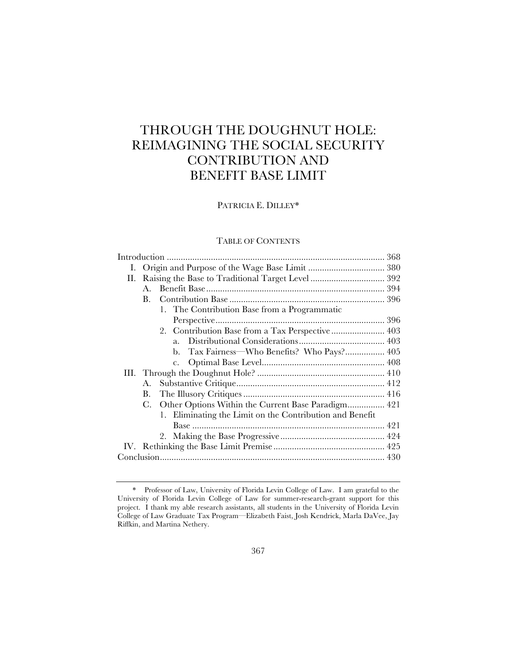# THROUGH THE DOUGHNUT HOLE: REIMAGINING THE SOCIAL SECURITY CONTRIBUTION AND BENEFIT BASE LIMIT

# PATRICIA E. DILLEY\*

# TABLE OF CONTENTS

| I. |    |                                                          |  |
|----|----|----------------------------------------------------------|--|
| П. |    |                                                          |  |
|    | A. |                                                          |  |
|    | В. |                                                          |  |
|    |    | 1. The Contribution Base from a Programmatic             |  |
|    |    |                                                          |  |
|    |    |                                                          |  |
|    |    | $a_{\cdot}$                                              |  |
|    |    | Tax Fairness—Who Benefits? Who Pays? 405<br>b.           |  |
|    |    | $c_{\star}$                                              |  |
|    |    |                                                          |  |
|    | А. |                                                          |  |
|    | В. |                                                          |  |
|    | C. | Other Options Within the Current Base Paradigm 421       |  |
|    |    | 1. Eliminating the Limit on the Contribution and Benefit |  |
|    |    |                                                          |  |
|    |    |                                                          |  |
|    |    |                                                          |  |
|    |    |                                                          |  |
|    |    |                                                          |  |

<sup>\*</sup> Professor of Law, University of Florida Levin College of Law. I am grateful to the University of Florida Levin College of Law for summer-research-grant support for this project. I thank my able research assistants, all students in the University of Florida Levin College of Law Graduate Tax Program—Elizabeth Faist, Josh Kendrick, Marla DaVee, Jay Riffkin, and Martina Nethery.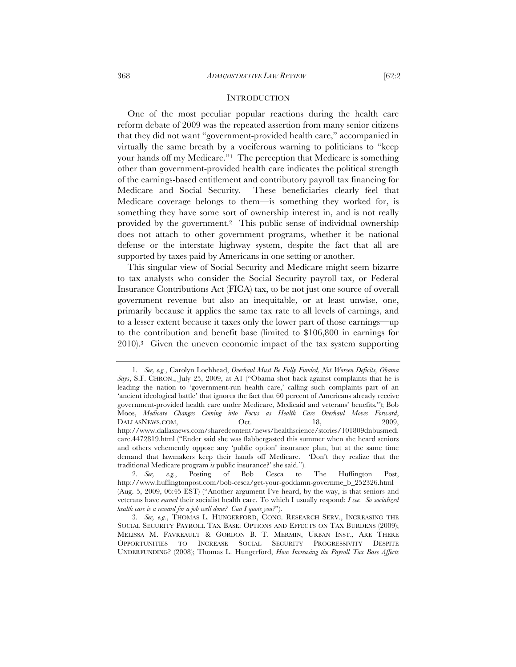One of the most peculiar popular reactions during the health care reform debate of 2009 was the repeated assertion from many senior citizens that they did not want "government-provided health care," accompanied in virtually the same breath by a vociferous warning to politicians to "keep your hands off my Medicare."1 The perception that Medicare is something other than government-provided health care indicates the political strength of the earnings-based entitlement and contributory payroll tax financing for Medicare and Social Security. These beneficiaries clearly feel that Medicare coverage belongs to them—is something they worked for, is something they have some sort of ownership interest in, and is not really provided by the government.2 This public sense of individual ownership does not attach to other government programs, whether it be national defense or the interstate highway system, despite the fact that all are supported by taxes paid by Americans in one setting or another.

This singular view of Social Security and Medicare might seem bizarre to tax analysts who consider the Social Security payroll tax, or Federal Insurance Contributions Act (FICA) tax, to be not just one source of overall government revenue but also an inequitable, or at least unwise, one, primarily because it applies the same tax rate to all levels of earnings, and to a lesser extent because it taxes only the lower part of those earnings—up to the contribution and benefit base (limited to \$106,800 in earnings for 2010).3 Given the uneven economic impact of the tax system supporting

<sup>1</sup>*. See, e.g.*, Carolyn Lochhead, *Overhaul Must Be Fully Funded, Not Worsen Deficits, Obama Says*, S.F. CHRON., July 25, 2009, at A1 ("Obama shot back against complaints that he is leading the nation to 'government-run health care,' calling such complaints part of an 'ancient ideological battle' that ignores the fact that 60 percent of Americans already receive government-provided health care under Medicare, Medicaid and veterans' benefits."); Bob Moos, *Medicare Changes Coming into Focus as Health Care Overhaul Moves Forward*, DALLASNEWS.COM, Oct. 18, 2009, http://www.dallasnews.com/sharedcontent/news/healthscience/stories/101809dnbusmedi care.4472819.html ("Ender said she was flabbergasted this summer when she heard seniors and others vehemently oppose any 'public option' insurance plan, but at the same time demand that lawmakers keep their hands off Medicare. 'Don't they realize that the traditional Medicare program *is* public insurance?' she said.").

<sup>2</sup>*. See, e.g.*, Posting of Bob Cesca to The Huffington Post, http://www.huffingtonpost.com/bob-cesca/get-your-goddamn-governme\_b\_252326.html (Aug. 5, 2009, 06:45 EST) ("Another argument I've heard, by the way, is that seniors and veterans have *earned* their socialist health care. To which I usually respond: *I see. So socialized health care is a reward for a job well done? Can I quote you?*").

<sup>3</sup>*. See, e.g.*, THOMAS L. HUNGERFORD, CONG. RESEARCH SERV., INCREASING THE SOCIAL SECURITY PAYROLL TAX BASE: OPTIONS AND EFFECTS ON TAX BURDENS (2009); MELISSA M. FAVREAULT & GORDON B. T. MERMIN, URBAN INST., ARE THERE OPPORTUNITIES TO INCREASE SOCIAL SECURITY PROGRESSIVITY DESPITE UNDERFUNDING? (2008); Thomas L. Hungerford, *How Increasing the Payroll Tax Base Affects*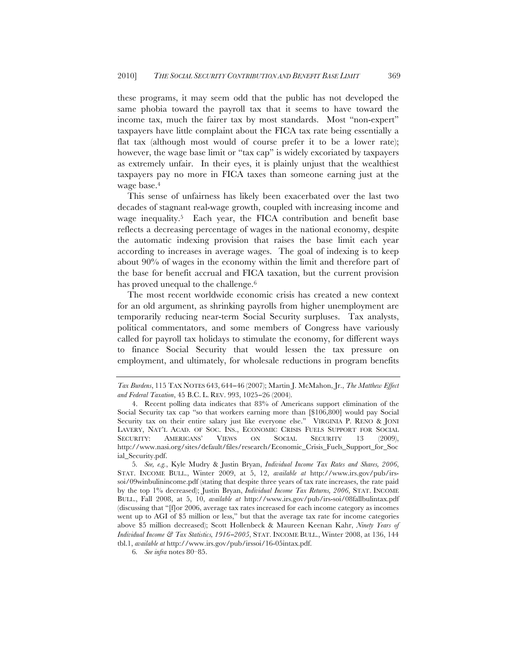these programs, it may seem odd that the public has not developed the same phobia toward the payroll tax that it seems to have toward the income tax, much the fairer tax by most standards. Most "non-expert" taxpayers have little complaint about the FICA tax rate being essentially a flat tax (although most would of course prefer it to be a lower rate); however, the wage base limit or "tax cap" is widely excoriated by taxpayers as extremely unfair. In their eyes, it is plainly unjust that the wealthiest taxpayers pay no more in FICA taxes than someone earning just at the wage base.4

This sense of unfairness has likely been exacerbated over the last two decades of stagnant real-wage growth, coupled with increasing income and wage inequality.<sup>5</sup> Each year, the FICA contribution and benefit base reflects a decreasing percentage of wages in the national economy, despite the automatic indexing provision that raises the base limit each year according to increases in average wages. The goal of indexing is to keep about 90% of wages in the economy within the limit and therefore part of the base for benefit accrual and FICA taxation, but the current provision has proved unequal to the challenge.<sup>6</sup>

The most recent worldwide economic crisis has created a new context for an old argument, as shrinking payrolls from higher unemployment are temporarily reducing near-term Social Security surpluses. Tax analysts, political commentators, and some members of Congress have variously called for payroll tax holidays to stimulate the economy, for different ways to finance Social Security that would lessen the tax pressure on employment, and ultimately, for wholesale reductions in program benefits

*Tax Burdens*, 115 TAX NOTES 643, 644−46 (2007); Martin J. McMahon, Jr., *The Matthew Effect and Federal Taxation*, 45 B.C. L. REV. 993, 1025−26 (2004).

<sup>4.</sup> Recent polling data indicates that 83% of Americans support elimination of the Social Security tax cap "so that workers earning more than [\$106,800] would pay Social Security tax on their entire salary just like everyone else." VIRGINIA P. RENO & JONI LAVERY, NAT'L ACAD. OF SOC. INS., ECONOMIC CRISIS FUELS SUPPORT FOR SOCIAL SECURITY: AMERICANS' VIEWS ON SOCIAL SECURITY 13 (2009), http://www.nasi.org/sites/default/files/research/Economic\_Crisis\_Fuels\_Support\_for\_Soc ial\_Security.pdf.

<sup>5</sup>*. See, e.g.*, Kyle Mudry & Justin Bryan, *Individual Income Tax Rates and Shares, 2006*, STAT. INCOME BULL., Winter 2009, at 5, 12, *available at* http://www.irs.gov/pub/irssoi/09winbulinincome.pdf (stating that despite three years of tax rate increases, the rate paid by the top 1% decreased); Justin Bryan, *Individual Income Tax Returns, 2006*, STAT. INCOME BULL., Fall 2008, at 5, 10, *available at* http://www.irs.gov/pub/irs-soi/08fallbulintax.pdf (discussing that "[f]or 2006, average tax rates increased for each income category as incomes went up to AGI of \$5 million or less," but that the average tax rate for income categories above \$5 million decreased); Scott Hollenbeck & Maureen Keenan Kahr, *Ninety Years of Individual Income & Tax Statistics, 1916*−*2005*, STAT. INCOME BULL., Winter 2008, at 136, 144 tbl.1, *available at* http://www.irs.gov/pub/irssoi/16-05intax.pdf.

<sup>6</sup>*. See infra* notes 80–85.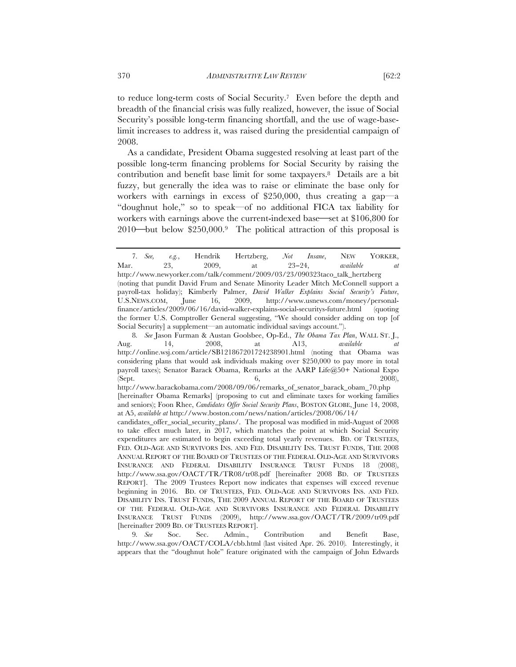to reduce long-term costs of Social Security.7 Even before the depth and breadth of the financial crisis was fully realized, however, the issue of Social Security's possible long-term financing shortfall, and the use of wage-baselimit increases to address it, was raised during the presidential campaign of 2008.

As a candidate, President Obama suggested resolving at least part of the possible long-term financing problems for Social Security by raising the contribution and benefit base limit for some taxpayers.8 Details are a bit fuzzy, but generally the idea was to raise or eliminate the base only for workers with earnings in excess of \$250,000, thus creating a gap—a "doughnut hole," so to speak—of no additional FICA tax liability for workers with earnings above the current-indexed base—set at \$106,800 for 2010—but below \$250,000.<sup>9</sup> The political attraction of this proposal is

<sup>7</sup>*. See, e.g.*, Hendrik Hertzberg, *Not Insane*, NEW YORKER, Mar. 23, 2009, at 23−24, *available at*  http://www.newyorker.com/talk/comment/2009/03/23/090323taco\_talk\_hertzberg (noting that pundit David Frum and Senate Minority Leader Mitch McConnell support a payroll-tax holiday); Kimberly Palmer, *David Walker Explains Social Security's Future*, U.S.NEWS.COM, June 16, 2009, http://www.usnews.com/money/personalfinance/articles/2009/06/16/david-walker-explains-social-securitys-future.html (quoting the former U.S. Comptroller General suggesting, "We should consider adding on top [of Social Security] a supplement—an automatic individual savings account.").

<sup>8</sup>*. See* Jason Furman & Austan Goolsbee, Op-Ed., *The Obama Tax Plan*, WALL ST. J., Aug. 14, 2008, at A13, *available at* http://online.wsj.com/article/SB121867201724238901.html (noting that Obama was considering plans that would ask individuals making over \$250,000 to pay more in total payroll taxes); Senator Barack Obama, Remarks at the AARP Life@50+ National Expo (Sept. 2008),  $6,$  2008),  $2008$ 

http://www.barackobama.com/2008/09/06/remarks\_of\_senator\_barack\_obam\_70.php [hereinafter Obama Remarks] (proposing to cut and eliminate taxes for working families and seniors); Foon Rhee, *Candidates Offer Social Security Plans*, BOSTON GLOBE, June 14, 2008, at A5, *available at* http://www.boston.com/news/nation/articles/2008/06/14/

candidates\_offer\_social\_security\_plans/. The proposal was modified in mid-August of 2008 to take effect much later, in 2017, which matches the point at which Social Security expenditures are estimated to begin exceeding total yearly revenues. BD. OF TRUSTEES, FED. OLD-AGE AND SURVIVORS INS. AND FED. DISABILITY INS. TRUST FUNDS, THE 2008 ANNUAL REPORT OF THE BOARD OF TRUSTEES OF THE FEDERAL OLD-AGE AND SURVIVORS INSURANCE AND FEDERAL DISABILITY INSURANCE TRUST FUNDS 18 (2008), http://www.ssa.gov/OACT/TR/TR08/tr08.pdf [hereinafter 2008 BD. OF TRUSTEES REPORT]. The 2009 Trustees Report now indicates that expenses will exceed revenue beginning in 2016. BD. OF TRUSTEES, FED. OLD-AGE AND SURVIVORS INS. AND FED. DISABILITY INS. TRUST FUNDS, THE 2009 ANNUAL REPORT OF THE BOARD OF TRUSTEES OF THE FEDERAL OLD-AGE AND SURVIVORS INSURANCE AND FEDERAL DISABILITY INSURANCE TRUST FUNDS (2009), http://www.ssa.gov/OACT/TR/2009/tr09.pdf [hereinafter 2009 BD. OF TRUSTEES REPORT].

<sup>9</sup>*. See* Soc. Sec. Admin., Contribution and Benefit Base, http://www.ssa.gov/OACT/COLA/cbb.html (last visited Apr. 26. 2010)*.* Interestingly, it appears that the "doughnut hole" feature originated with the campaign of John Edwards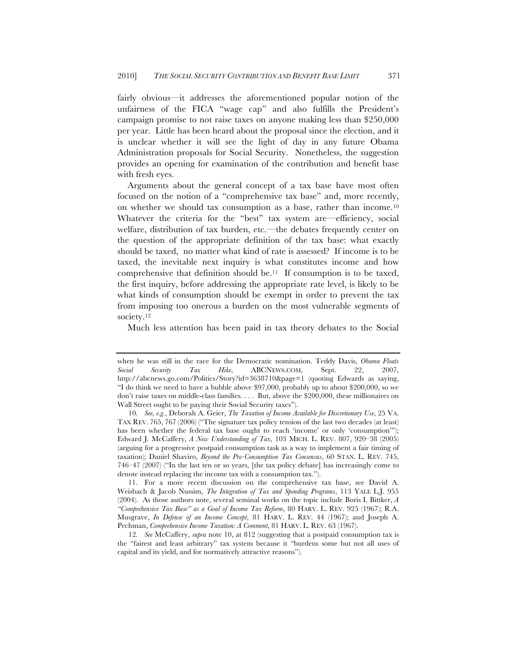fairly obvious—it addresses the aforementioned popular notion of the unfairness of the FICA "wage cap" and also fulfills the President's campaign promise to not raise taxes on anyone making less than \$250,000 per year. Little has been heard about the proposal since the election, and it is unclear whether it will see the light of day in any future Obama Administration proposals for Social Security. Nonetheless, the suggestion provides an opening for examination of the contribution and benefit base with fresh eyes.

Arguments about the general concept of a tax base have most often focused on the notion of a "comprehensive tax base" and, more recently, on whether we should tax consumption as a base, rather than income.10 Whatever the criteria for the "best" tax system are—efficiency, social welfare, distribution of tax burden, etc.—the debates frequently center on the question of the appropriate definition of the tax base: what exactly should be taxed, no matter what kind of rate is assessed? If income is to be taxed, the inevitable next inquiry is what constitutes income and how comprehensive that definition should be.11 If consumption is to be taxed, the first inquiry, before addressing the appropriate rate level, is likely to be what kinds of consumption should be exempt in order to prevent the tax from imposing too onerous a burden on the most vulnerable segments of society.<sup>12</sup>

Much less attention has been paid in tax theory debates to the Social

when he was still in the race for the Democratic nomination. Teddy Davis, *Obama Floats Social Security Tax Hike*, ABCNEWS.COM, Sept. 22, 2007, http://abcnews.go.com/Politics/Story?id=3638710&page=1 (quoting Edwards as saying, "I do think we need to have a bubble above \$97,000, probably up to about \$200,000, so we don't raise taxes on middle-class families. . . . But, above the \$200,000, these millionaires on Wall Street ought to be paying their Social Security taxes").

<sup>10</sup>*. See, e.g.*, Deborah A. Geier, *The Taxation of Income Available for Discretionary Use*, 25 VA. TAX REV. 765, 767 (2006) ("The signature tax policy tension of the last two decades (at least) has been whether the federal tax base ought to reach 'income' or only 'consumption'"); Edward J. McCaffery, *A New Understanding of Tax*, 103 MICH. L. REV. 807, 920–38 (2005) (arguing for a progressive postpaid consumption task as a way to implement a fair timing of taxation); Daniel Shaviro, *Beyond the Pro-Consumption Tax Consensus*, 60 STAN. L. REV. 745, 746–47 (2007) ("In the last ten or so years, [the tax policy debate] has increasingly come to denote instead replacing the income tax with a consumption tax.").

<sup>11.</sup> For a more recent discussion on the comprehensive tax base, see David A. Weisbach & Jacob Nussim, *The Integration of Tax and Spending Programs*, 113 YALE L.J. 955 (2004). As those authors note, several seminal works on the topic include Boris I. Bittker, *A "Comprehensive Tax Base" as a Goal of Income Tax Reform*, 80 HARV. L. REV. 925 (1967); R.A. Musgrave, *In Defense of an Income Concept*, 81 HARV. L. REV. 44 (1967); and Joseph A. Pechman, *Comprehensive Income Taxation: A Comment*, 81 HARV. L. REV. 63 (1967).

<sup>12</sup>*. See* McCaffery, *supra* note 10, at 812 (suggesting that a postpaid consumption tax is the "fairest and least arbitrary" tax system because it "burdens some but not all uses of capital and its yield, and for normatively attractive reasons").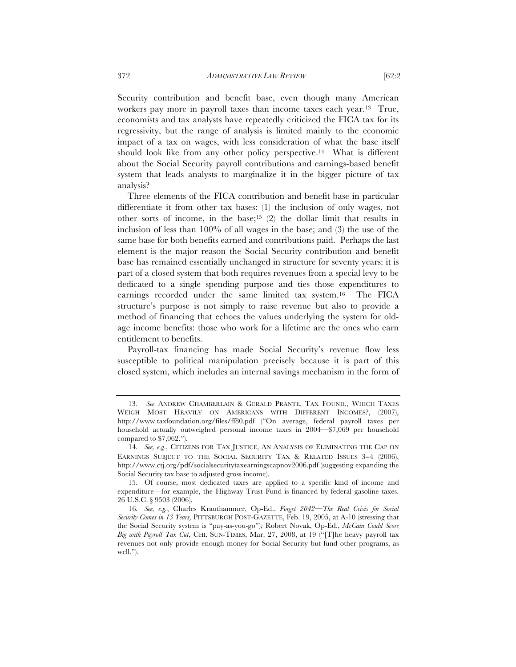Security contribution and benefit base, even though many American workers pay more in payroll taxes than income taxes each year.13 True, economists and tax analysts have repeatedly criticized the FICA tax for its regressivity, but the range of analysis is limited mainly to the economic impact of a tax on wages, with less consideration of what the base itself should look like from any other policy perspective.14 What is different about the Social Security payroll contributions and earnings-based benefit system that leads analysts to marginalize it in the bigger picture of tax analysis?

Three elements of the FICA contribution and benefit base in particular differentiate it from other tax bases: (1) the inclusion of only wages, not other sorts of income, in the base;15 (2) the dollar limit that results in inclusion of less than 100% of all wages in the base; and (3) the use of the same base for both benefits earned and contributions paid. Perhaps the last element is the major reason the Social Security contribution and benefit base has remained essentially unchanged in structure for seventy years: it is part of a closed system that both requires revenues from a special levy to be dedicated to a single spending purpose and ties those expenditures to earnings recorded under the same limited tax system.16 The FICA structure's purpose is not simply to raise revenue but also to provide a method of financing that echoes the values underlying the system for oldage income benefits: those who work for a lifetime are the ones who earn entitlement to benefits.

Payroll-tax financing has made Social Security's revenue flow less susceptible to political manipulation precisely because it is part of this closed system, which includes an internal savings mechanism in the form of

<sup>13.</sup> *See* ANDREW CHAMBERLAIN & GERALD PRANTE, TAX FOUND., WHICH TAXES WEIGH MOST HEAVILY ON AMERICANS WITH DIFFERENT INCOMES?, (2007), http://www.taxfoundation.org/files/ff80.pdf ("On average, federal payroll taxes per household actually outweighed personal income taxes in 2004—\$7,069 per household compared to \$7,062.").

<sup>14</sup>*. See, e.g*., CITIZENS FOR TAX JUSTICE, AN ANALYSIS OF ELIMINATING THE CAP ON EARNINGS SUBJECT TO THE SOCIAL SECURITY TAX & RELATED ISSUES 3−4 (2006), http://www.ctj.org/pdf/socialsecuritytaxearningscapnov2006.pdf (suggesting expanding the Social Security tax base to adjusted gross income).

<sup>15.</sup> Of course, most dedicated taxes are applied to a specific kind of income and expenditure—for example, the Highway Trust Fund is financed by federal gasoline taxes. 26 U.S.C. § 9503 (2006).

<sup>16</sup>*. See, e.g.*, Charles Krauthammer, Op-Ed., *Forget 2042—The Real Crisis for Social Security Comes in 13 Years,* PITTSBURGH POST-GAZETTE, Feb. 19, 2005, at A-10 (stressing that the Social Security system is "pay-as-you-go"); Robert Novak, Op-Ed., *McCain Could Score Big with Payroll Tax Cut*, CHI. SUN-TIMES, Mar. 27, 2008, at 19 ("[T]he heavy payroll tax revenues not only provide enough money for Social Security but fund other programs, as well.").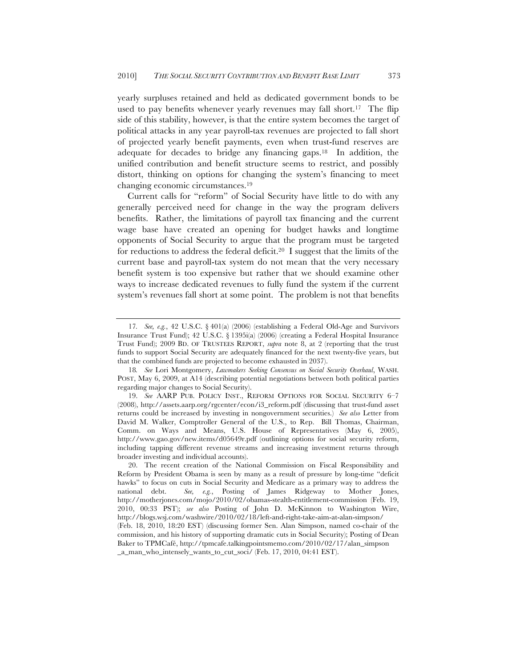yearly surpluses retained and held as dedicated government bonds to be used to pay benefits whenever yearly revenues may fall short.<sup>17</sup> The flip side of this stability, however, is that the entire system becomes the target of political attacks in any year payroll-tax revenues are projected to fall short of projected yearly benefit payments, even when trust-fund reserves are adequate for decades to bridge any financing gaps.18 In addition, the unified contribution and benefit structure seems to restrict, and possibly distort, thinking on options for changing the system's financing to meet changing economic circumstances.19

Current calls for "reform" of Social Security have little to do with any generally perceived need for change in the way the program delivers benefits. Rather, the limitations of payroll tax financing and the current wage base have created an opening for budget hawks and longtime opponents of Social Security to argue that the program must be targeted for reductions to address the federal deficit.<sup>20</sup> I suggest that the limits of the current base and payroll-tax system do not mean that the very necessary benefit system is too expensive but rather that we should examine other ways to increase dedicated revenues to fully fund the system if the current system's revenues fall short at some point. The problem is not that benefits

<sup>17</sup>*. See, e.g.*, 42 U.S.C. § 401(a) (2006) (establishing a Federal Old-Age and Survivors Insurance Trust Fund); 42 U.S.C. § 1395i(a) (2006) (creating a Federal Hospital Insurance Trust Fund); 2009 BD. OF TRUSTEES REPORT, *supra* note 8, at 2 (reporting that the trust funds to support Social Security are adequately financed for the next twenty-five years, but that the combined funds are projected to become exhausted in 2037).

<sup>18</sup>*. See* Lori Montgomery, *Lawmakers Seeking Consensus on Social Security Overhaul*, WASH. POST, May 6, 2009, at A14 (describing potential negotiations between both political parties regarding major changes to Social Security).

<sup>19.</sup> *See* AARP PUB. POLICY INST., REFORM OPTIONS FOR SOCIAL SECURITY 6–7 (2008), http://assets.aarp.org/rgcenter/econ/i3\_reform.pdf (discussing that trust-fund asset returns could be increased by investing in nongovernment securities.) *See also* Letter from David M. Walker, Comptroller General of the U.S., to Rep. Bill Thomas, Chairman, Comm. on Ways and Means, U.S. House of Representatives (May 6, 2005), http://www.gao.gov/new.items/d05649r.pdf (outlining options for social security reform, including tapping different revenue streams and increasing investment returns through broader investing and individual accounts).

<sup>20.</sup> The recent creation of the National Commission on Fiscal Responsibility and Reform by President Obama is seen by many as a result of pressure by long-time "deficit hawks" to focus on cuts in Social Security and Medicare as a primary way to address the national debt. *See, e.g.*, Posting of James Ridgeway to Mother Jones, http://motherjones.com/mojo/2010/02/obamas-stealth-entitlement-commission (Feb. 19, 2010, 00:33 PST); *see also* Posting of John D. McKinnon to Washington Wire, http://blogs.wsj.com/washwire/2010/02/18/left-and-right-take-aim-at-alan-simpson/ (Feb. 18, 2010, 18:20 EST) (discussing former Sen. Alan Simpson, named co-chair of the commission, and his history of supporting dramatic cuts in Social Security); Posting of Dean Baker to TPMCafé, http://tpmcafe.talkingpointsmemo.com/2010/02/17/alan\_simpson \_a\_man\_who\_intensely\_wants\_to\_cut\_soci/ (Feb. 17, 2010, 04:41 EST).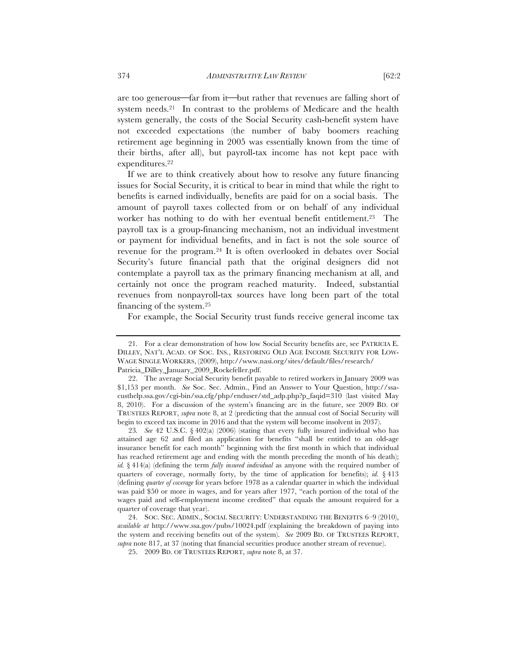are too generous—far from it—but rather that revenues are falling short of system needs.<sup>21</sup> In contrast to the problems of Medicare and the health system generally, the costs of the Social Security cash-benefit system have not exceeded expectations (the number of baby boomers reaching retirement age beginning in 2005 was essentially known from the time of their births, after all), but payroll-tax income has not kept pace with expenditures.22

If we are to think creatively about how to resolve any future financing issues for Social Security, it is critical to bear in mind that while the right to benefits is earned individually, benefits are paid for on a social basis. The amount of payroll taxes collected from or on behalf of any individual worker has nothing to do with her eventual benefit entitlement.<sup>23</sup> The payroll tax is a group-financing mechanism, not an individual investment or payment for individual benefits, and in fact is not the sole source of revenue for the program.24 It is often overlooked in debates over Social Security's future financial path that the original designers did not contemplate a payroll tax as the primary financing mechanism at all, and certainly not once the program reached maturity. Indeed, substantial revenues from nonpayroll-tax sources have long been part of the total financing of the system.25

For example, the Social Security trust funds receive general income tax

<sup>21.</sup> For a clear demonstration of how low Social Security benefits are, see PATRICIA E. DILLEY, NAT'L ACAD. OF SOC. INS., RESTORING OLD AGE INCOME SECURITY FOR LOW-WAGE SINGLE WORKERS, (2009), http://www.nasi.org/sites/default/files/research/ Patricia\_Dilley\_January\_2009\_Rockefeller.pdf.

<sup>22.</sup> The average Social Security benefit payable to retired workers in January 2009 was \$1,153 per month. *See* Soc. Sec. Admin., Find an Answer to Your Question, http://ssacusthelp.ssa.gov/cgi-bin/ssa.cfg/php/enduser/std\_adp.php?p\_faqid=310 (last visited May 8, 2010). For a discussion of the system's financing arc in the future, see 2009 BD. OF TRUSTEES REPORT, *supra* note 8, at 2 (predicting that the annual cost of Social Security will begin to exceed tax income in 2016 and that the system will become insolvent in 2037).

<sup>23</sup>*. See* 42 U.S.C. § 402(a) (2006) (stating that every fully insured individual who has attained age 62 and filed an application for benefits "shall be entitled to an old-age insurance benefit for each month" beginning with the first month in which that individual has reached retirement age and ending with the month preceding the month of his death); *id.* § 414(a) (defining the term *fully insured individual* as anyone with the required number of quarters of coverage, normally forty, by the time of application for benefits); *id.* § 413 (defining *quarter of coverage* for years before 1978 as a calendar quarter in which the individual was paid \$50 or more in wages, and for years after 1977, "each portion of the total of the wages paid and self-employment income credited" that equals the amount required for a quarter of coverage that year).

<sup>24.</sup> SOC. SEC. ADMIN., SOCIAL SECURITY: UNDERSTANDING THE BENEFITS 6–9 (2010), *available at* http://www.ssa.gov/pubs/10024.pdf (explaining the breakdown of paying into the system and receiving benefits out of the system). *See* 2009 BD. OF TRUSTEES REPORT, *supra* note 817, at 37 (noting that financial securities produce another stream of revenue).

<sup>25.</sup> 2009 BD. OF TRUSTEES REPORT, *supra* note 8, at 37.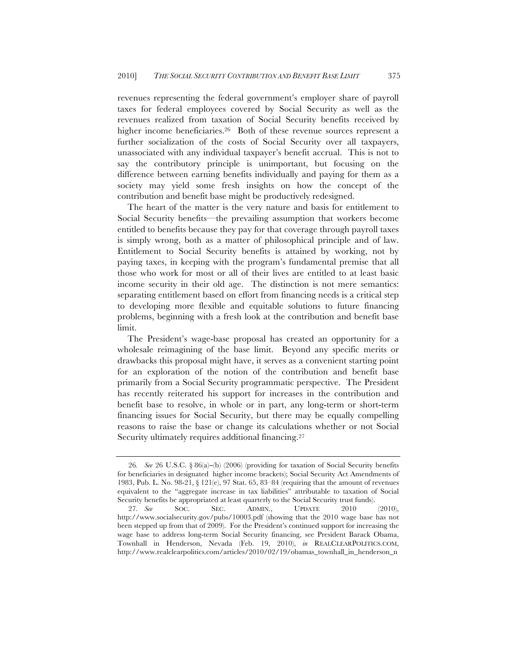revenues representing the federal government's employer share of payroll taxes for federal employees covered by Social Security as well as the revenues realized from taxation of Social Security benefits received by higher income beneficiaries.<sup>26</sup> Both of these revenue sources represent a further socialization of the costs of Social Security over all taxpayers, unassociated with any individual taxpayer's benefit accrual. This is not to say the contributory principle is unimportant, but focusing on the difference between earning benefits individually and paying for them as a society may yield some fresh insights on how the concept of the contribution and benefit base might be productively redesigned.

The heart of the matter is the very nature and basis for entitlement to Social Security benefits—the prevailing assumption that workers become entitled to benefits because they pay for that coverage through payroll taxes is simply wrong, both as a matter of philosophical principle and of law. Entitlement to Social Security benefits is attained by working, not by paying taxes, in keeping with the program's fundamental premise that all those who work for most or all of their lives are entitled to at least basic income security in their old age. The distinction is not mere semantics: separating entitlement based on effort from financing needs is a critical step to developing more flexible and equitable solutions to future financing problems, beginning with a fresh look at the contribution and benefit base limit.

The President's wage-base proposal has created an opportunity for a wholesale reimagining of the base limit. Beyond any specific merits or drawbacks this proposal might have, it serves as a convenient starting point for an exploration of the notion of the contribution and benefit base primarily from a Social Security programmatic perspective. The President has recently reiterated his support for increases in the contribution and benefit base to resolve, in whole or in part, any long-term or short-term financing issues for Social Security, but there may be equally compelling reasons to raise the base or change its calculations whether or not Social Security ultimately requires additional financing.27

<sup>26</sup>*. See* 26 U.S.C. § 86(a)−(b) (2006) (providing for taxation of Social Security benefits for beneficiaries in designated higher income brackets); Social Security Act Amendments of 1983, Pub. L. No. 98-21, § 121(e), 97 Stat. 65, 83–84 (requiring that the amount of revenues equivalent to the "aggregate increase in tax liabilities" attributable to taxation of Social Security benefits be appropriated at least quarterly to the Social Security trust funds).

<sup>27</sup>*. See* SOC. SEC. ADMIN., UPDATE 2010 (2010), http://www.socialsecurity.gov/pubs/10003.pdf (showing that the 2010 wage base has not been stepped up from that of 2009). For the President's continued support for increasing the wage base to address long-term Social Security financing, see President Barack Obama, Townhall in Henderson, Nevada (Feb. 19, 2010), *in* REALCLEARPOLITICS.COM, http://www.realclearpolitics.com/articles/2010/02/19/obamas\_townhall\_in\_henderson\_n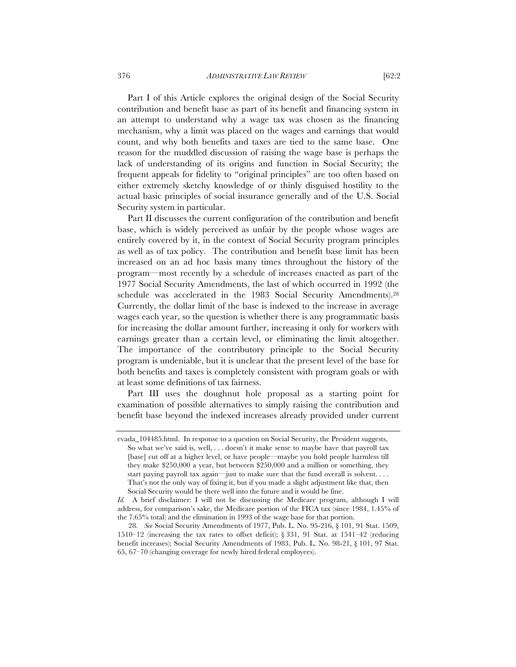Part I of this Article explores the original design of the Social Security contribution and benefit base as part of its benefit and financing system in an attempt to understand why a wage tax was chosen as the financing mechanism, why a limit was placed on the wages and earnings that would count, and why both benefits and taxes are tied to the same base. One reason for the muddled discussion of raising the wage base is perhaps the lack of understanding of its origins and function in Social Security; the frequent appeals for fidelity to "original principles" are too often based on either extremely sketchy knowledge of or thinly disguised hostility to the actual basic principles of social insurance generally and of the U.S. Social Security system in particular.

Part II discusses the current configuration of the contribution and benefit base, which is widely perceived as unfair by the people whose wages are entirely covered by it, in the context of Social Security program principles as well as of tax policy. The contribution and benefit base limit has been increased on an ad hoc basis many times throughout the history of the program—most recently by a schedule of increases enacted as part of the 1977 Social Security Amendments, the last of which occurred in 1992 (the schedule was accelerated in the 1983 Social Security Amendments).28 Currently, the dollar limit of the base is indexed to the increase in average wages each year, so the question is whether there is any programmatic basis for increasing the dollar amount further, increasing it only for workers with earnings greater than a certain level, or eliminating the limit altogether. The importance of the contributory principle to the Social Security program is undeniable, but it is unclear that the present level of the base for both benefits and taxes is completely consistent with program goals or with at least some definitions of tax fairness.

Part III uses the doughnut hole proposal as a starting point for examination of possible alternatives to simply raising the contribution and benefit base beyond the indexed increases already provided under current

evada\_104485.html. In response to a question on Social Security, the President suggests, So what we've said is, well, . . . doesn't it make sense to maybe have that payroll tax [base] cut off at a higher level, or have people—maybe you hold people harmless till they make \$250,000 a year, but between \$250,000 and a million or something, they start paying payroll tax again—just to make sure that the fund overall is solvent. . . . That's not the only way of fixing it, but if you made a slight adjustment like that, then Social Security would be there well into the future and it would be fine.

*Id.* A brief disclaimer: I will not be discussing the Medicare program, although I will address, for comparison's sake, the Medicare portion of the FICA tax (since 1984, 1.45% of the 7.65% total) and the elimination in 1993 of the wage base for that portion.

<sup>28</sup>*. See* Social Security Amendments of 1977, Pub. L. No. 95-216, § 101, 91 Stat. 1509, 1510–12 (increasing the tax rates to offset deficit); § 331, 91 Stat. at 1541–42 (reducing benefit increases); Social Security Amendments of 1983, Pub. L. No. 98-21, § 101, 97 Stat. 65, 67–70 (changing coverage for newly hired federal employees).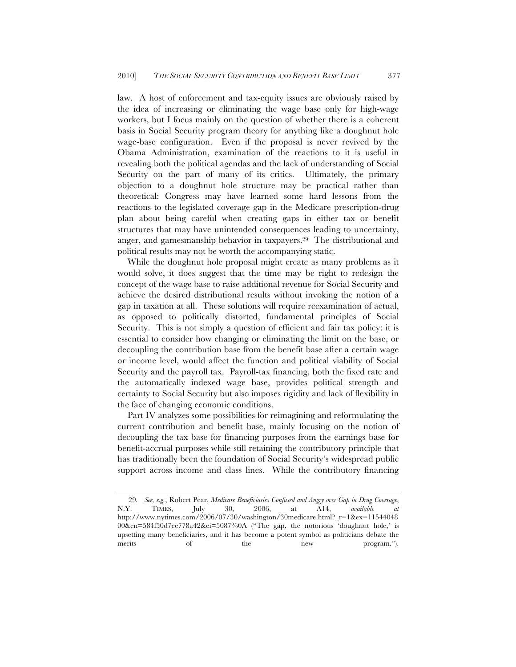law. A host of enforcement and tax-equity issues are obviously raised by the idea of increasing or eliminating the wage base only for high-wage workers, but I focus mainly on the question of whether there is a coherent basis in Social Security program theory for anything like a doughnut hole wage-base configuration. Even if the proposal is never revived by the Obama Administration, examination of the reactions to it is useful in revealing both the political agendas and the lack of understanding of Social Security on the part of many of its critics. Ultimately, the primary objection to a doughnut hole structure may be practical rather than theoretical: Congress may have learned some hard lessons from the reactions to the legislated coverage gap in the Medicare prescription-drug plan about being careful when creating gaps in either tax or benefit structures that may have unintended consequences leading to uncertainty, anger, and gamesmanship behavior in taxpayers.29 The distributional and political results may not be worth the accompanying static.

While the doughnut hole proposal might create as many problems as it would solve, it does suggest that the time may be right to redesign the concept of the wage base to raise additional revenue for Social Security and achieve the desired distributional results without invoking the notion of a gap in taxation at all. These solutions will require reexamination of actual, as opposed to politically distorted, fundamental principles of Social Security. This is not simply a question of efficient and fair tax policy: it is essential to consider how changing or eliminating the limit on the base, or decoupling the contribution base from the benefit base after a certain wage or income level, would affect the function and political viability of Social Security and the payroll tax. Payroll-tax financing, both the fixed rate and the automatically indexed wage base, provides political strength and certainty to Social Security but also imposes rigidity and lack of flexibility in the face of changing economic conditions.

Part IV analyzes some possibilities for reimagining and reformulating the current contribution and benefit base, mainly focusing on the notion of decoupling the tax base for financing purposes from the earnings base for benefit-accrual purposes while still retaining the contributory principle that has traditionally been the foundation of Social Security's widespread public support across income and class lines. While the contributory financing

<sup>29</sup>*. See, e.g.*, Robert Pear, *Medicare Beneficiaries Confused and Angry over Gap in Drug Coverage*, N.Y. TIMES, July 30, 2006, at A14, *available at*  http://www.nytimes.com/2006/07/30/washington/30medicare.html?\_r=1&ex=11544048 00&en=584f50d7ee778a42&ei=5087%0A ("The gap, the notorious 'doughnut hole,' is upsetting many beneficiaries, and it has become a potent symbol as politicians debate the merits of the new program.").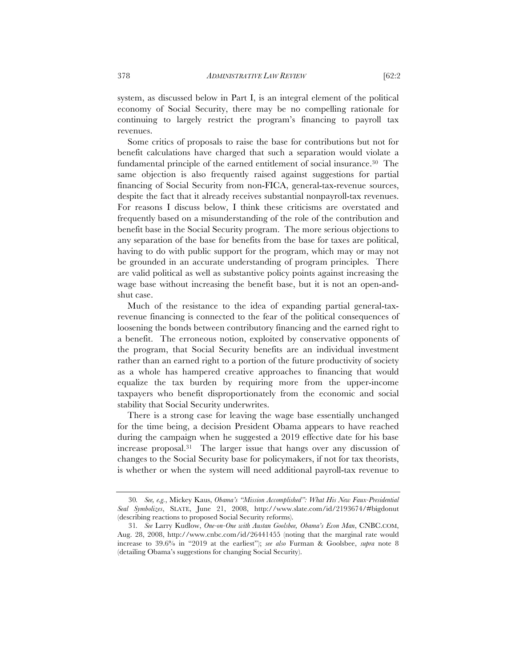system, as discussed below in Part I, is an integral element of the political economy of Social Security, there may be no compelling rationale for continuing to largely restrict the program's financing to payroll tax revenues.

Some critics of proposals to raise the base for contributions but not for benefit calculations have charged that such a separation would violate a fundamental principle of the earned entitlement of social insurance.30 The same objection is also frequently raised against suggestions for partial financing of Social Security from non-FICA, general-tax-revenue sources, despite the fact that it already receives substantial nonpayroll-tax revenues. For reasons I discuss below, I think these criticisms are overstated and frequently based on a misunderstanding of the role of the contribution and benefit base in the Social Security program. The more serious objections to any separation of the base for benefits from the base for taxes are political, having to do with public support for the program, which may or may not be grounded in an accurate understanding of program principles. There are valid political as well as substantive policy points against increasing the wage base without increasing the benefit base, but it is not an open-andshut case.

Much of the resistance to the idea of expanding partial general-taxrevenue financing is connected to the fear of the political consequences of loosening the bonds between contributory financing and the earned right to a benefit. The erroneous notion, exploited by conservative opponents of the program, that Social Security benefits are an individual investment rather than an earned right to a portion of the future productivity of society as a whole has hampered creative approaches to financing that would equalize the tax burden by requiring more from the upper-income taxpayers who benefit disproportionately from the economic and social stability that Social Security underwrites.

There is a strong case for leaving the wage base essentially unchanged for the time being, a decision President Obama appears to have reached during the campaign when he suggested a 2019 effective date for his base increase proposal.31 The larger issue that hangs over any discussion of changes to the Social Security base for policymakers, if not for tax theorists, is whether or when the system will need additional payroll-tax revenue to

<sup>30</sup>*. See, e.g.*, Mickey Kaus, *Obama's "Mission Accomplished": What His New Faux-Presidential Seal Symbolizes*, SLATE, June 21, 2008, http://www.slate.com/id/2193674/#bigdonut (describing reactions to proposed Social Security reforms).

<sup>31</sup>*. See* Larry Kudlow, *One-on-One with Austan Goolsbee, Obama's Econ Man*, CNBC.COM, Aug. 28, 2008, http://www.cnbc.com/id/26441455 (noting that the marginal rate would increase to 39.6% in "2019 at the earliest"); *see also* Furman & Goolsbee, *supra* note 8 (detailing Obama's suggestions for changing Social Security).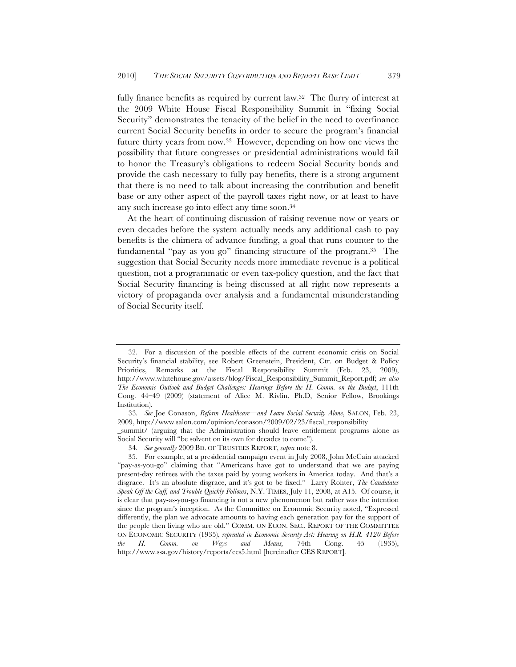fully finance benefits as required by current law.32 The flurry of interest at the 2009 White House Fiscal Responsibility Summit in "fixing Social Security" demonstrates the tenacity of the belief in the need to overfinance current Social Security benefits in order to secure the program's financial future thirty years from now.33 However, depending on how one views the possibility that future congresses or presidential administrations would fail to honor the Treasury's obligations to redeem Social Security bonds and provide the cash necessary to fully pay benefits, there is a strong argument that there is no need to talk about increasing the contribution and benefit base or any other aspect of the payroll taxes right now, or at least to have any such increase go into effect any time soon.34

At the heart of continuing discussion of raising revenue now or years or even decades before the system actually needs any additional cash to pay benefits is the chimera of advance funding, a goal that runs counter to the fundamental "pay as you go" financing structure of the program.35 The suggestion that Social Security needs more immediate revenue is a political question, not a programmatic or even tax-policy question, and the fact that Social Security financing is being discussed at all right now represents a victory of propaganda over analysis and a fundamental misunderstanding of Social Security itself.

<sup>32.</sup> For a discussion of the possible effects of the current economic crisis on Social Security's financial stability, see Robert Greenstein, President, Ctr. on Budget & Policy Priorities, Remarks at the Fiscal Responsibility Summit (Feb. 23, 2009), http://www.whitehouse.gov/assets/blog/Fiscal\_Responsibility\_Summit\_Report.pdf; *see also The Economic Outlook and Budget Challenges: Hearings Before the H. Comm. on the Budget*, 111th Cong. 44–49 (2009) (statement of Alice M. Rivlin, Ph.D, Senior Fellow, Brookings Institution).

<sup>33</sup>*. See* Joe Conason, *Reform Healthcare—and Leave Social Security Alone*, SALON, Feb. 23, 2009, http://www.salon.com/opinion/conason/2009/02/23/fiscal\_responsibility

\_summit/ (arguing that the Administration should leave entitlement programs alone as Social Security will "be solvent on its own for decades to come").

<sup>34</sup>*. See generally* 2009 BD. OF TRUSTEES REPORT, *supra* note 8.

<sup>35.</sup> For example, at a presidential campaign event in July 2008, John McCain attacked "pay-as-you-go" claiming that "Americans have got to understand that we are paying present-day retirees with the taxes paid by young workers in America today. And that's a disgrace. It's an absolute disgrace, and it's got to be fixed." Larry Rohter, *The Candidates Speak Off the Cuff, and Trouble Quickly Follows*, N.Y. TIMES, July 11, 2008, at A15. Of course, it is clear that pay-as-you-go financing is not a new phenomenon but rather was the intention since the program's inception. As the Committee on Economic Security noted, "Expressed differently, the plan we advocate amounts to having each generation pay for the support of the people then living who are old." COMM. ON ECON. SEC., REPORT OF THE COMMITTEE ON ECONOMIC SECURITY (1935), *reprinted in Economic Security Act: Hearing on H.R. 4120 Before the H. Comm. on Ways and Means,* 74th Cong. 45 (1935), http://www.ssa.gov/history/reports/ces5.html [hereinafter CES REPORT].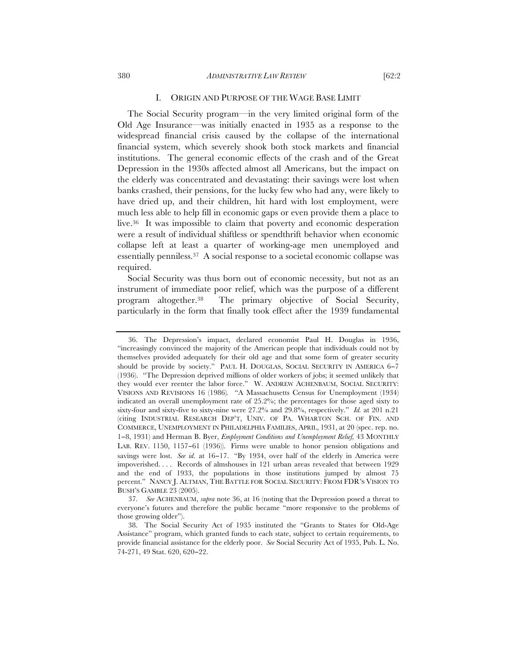#### 380 *ADMINISTRATIVE LAW REVIEW* [62:2

The Social Security program—in the very limited original form of the Old Age Insurance—was initially enacted in 1935 as a response to the widespread financial crisis caused by the collapse of the international financial system, which severely shook both stock markets and financial institutions. The general economic effects of the crash and of the Great Depression in the 1930s affected almost all Americans, but the impact on the elderly was concentrated and devastating: their savings were lost when banks crashed, their pensions, for the lucky few who had any, were likely to have dried up, and their children, hit hard with lost employment, were much less able to help fill in economic gaps or even provide them a place to live.36 It was impossible to claim that poverty and economic desperation were a result of individual shiftless or spendthrift behavior when economic collapse left at least a quarter of working-age men unemployed and essentially penniless.37 A social response to a societal economic collapse was required.

Social Security was thus born out of economic necessity, but not as an instrument of immediate poor relief, which was the purpose of a different program altogether.38 The primary objective of Social Security, particularly in the form that finally took effect after the 1939 fundamental

<sup>36.</sup> The Depression's impact, declared economist Paul H. Douglas in 1936, "increasingly convinced the majority of the American people that individuals could not by themselves provided adequately for their old age and that some form of greater security should be provide by society." PAUL H. DOUGLAS, SOCIAL SECURITY IN AMERICA 6−7 (1936). "The Depression deprived millions of older workers of jobs; it seemed unlikely that they would ever reenter the labor force." W. ANDREW ACHENBAUM, SOCIAL SECURITY: VISIONS AND REVISIONS 16 (1986)*.* "A Massachusetts Census for Unemployment (1934) indicated an overall unemployment rate of 25.2%; the percentages for those aged sixty to sixty-four and sixty-five to sixty-nine were 27.2% and 29.8%, respectively." *Id.* at 201 n.21 (citing INDUSTRIAL RESEARCH DEP'T, UNIV. OF PA. WHARTON SCH. OF FIN. AND COMMERCE, UNEMPLOYMENT IN PHILADELPHIA FAMILIES, APRIL, 1931, at 20 (spec. rep. no. 1−8, 1931) and Herman B. Byer, *Employment Conditions and Unemployment Relief,* 43 MONTHLY LAB. REV. 1150, 1157−61 (1936)). Firms were unable to honor pension obligations and savings were lost. *See id.* at 16−17. "By 1934, over half of the elderly in America were impoverished. . . . Records of almshouses in 121 urban areas revealed that between 1929 and the end of 1933, the populations in those institutions jumped by almost 75 percent." NANCY J. ALTMAN, THE BATTLE FOR SOCIAL SECURITY: FROM FDR'S VISION TO BUSH'S GAMBLE 23 (2005).

<sup>37</sup>*. See* ACHENBAUM, *supra* note 36, at 16 (noting that the Depression posed a threat to everyone's futures and therefore the public became "more responsive to the problems of those growing older").

<sup>38.</sup> The Social Security Act of 1935 instituted the "Grants to States for Old-Age Assistance" program, which granted funds to each state, subject to certain requirements, to provide financial assistance for the elderly poor. *See* Social Security Act of 1935, Pub. L. No. 74-271, 49 Stat. 620, 620−22.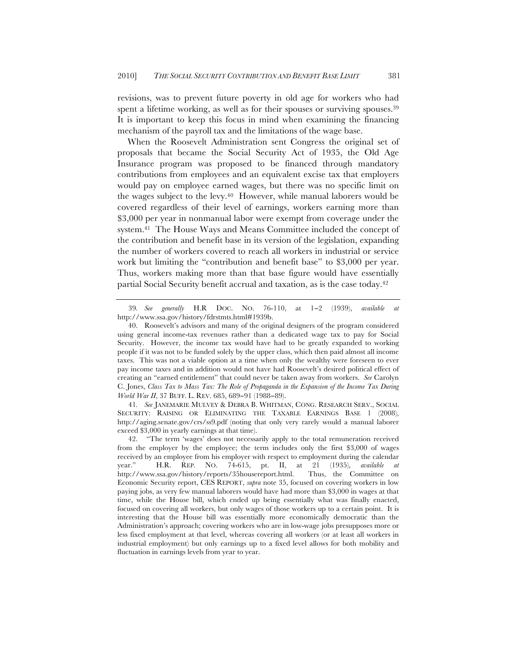revisions, was to prevent future poverty in old age for workers who had spent a lifetime working, as well as for their spouses or surviving spouses.<sup>39</sup> It is important to keep this focus in mind when examining the financing mechanism of the payroll tax and the limitations of the wage base.

When the Roosevelt Administration sent Congress the original set of proposals that became the Social Security Act of 1935, the Old Age Insurance program was proposed to be financed through mandatory contributions from employees and an equivalent excise tax that employers would pay on employee earned wages, but there was no specific limit on the wages subject to the levy.40 However, while manual laborers would be covered regardless of their level of earnings, workers earning more than \$3,000 per year in nonmanual labor were exempt from coverage under the system.41 The House Ways and Means Committee included the concept of the contribution and benefit base in its version of the legislation, expanding the number of workers covered to reach all workers in industrial or service work but limiting the "contribution and benefit base" to \$3,000 per year. Thus, workers making more than that base figure would have essentially partial Social Security benefit accrual and taxation, as is the case today.42

41*. See* JANEMARIE MULVEY & DEBRA B. WHITMAN, CONG. RESEARCH SERV., SOCIAL SECURITY: RAISING OR ELIMINATING THE TAXABLE EARNINGS BASE 1 (2008), http://aging.senate.gov/crs/ss9.pdf (noting that only very rarely would a manual laborer exceed \$3,000 in yearly earnings at that time).

<sup>39</sup>*. See generally* H.R DOC. NO. 76-110, at 1−2 (1939), *available at* http://www.ssa.gov/history/fdrstmts.html#1939b.

<sup>40.</sup> Roosevelt's advisors and many of the original designers of the program considered using general income-tax revenues rather than a dedicated wage tax to pay for Social Security. However, the income tax would have had to be greatly expanded to working people if it was not to be funded solely by the upper class, which then paid almost all income taxes. This was not a viable option at a time when only the wealthy were foreseen to ever pay income taxes and in addition would not have had Roosevelt's desired political effect of creating an "earned entitlement" that could never be taken away from workers. *See* Carolyn C. Jones, *Class Tax to Mass Tax: The Role of Propaganda in the Expansion of the Income Tax During World War II*, 37 BUFF. L. REV. 685, 689-91 (1988-89).

<sup>42.</sup> "The term 'wages' does not necessarily apply to the total remuneration received from the employer by the employee; the term includes only the first \$3,000 of wages received by an employee from his employer with respect to employment during the calendar year." H.R. REP. NO. 74-615, pt. II, at 21 (1935), *available at* year." H.R. REP. NO. 74-615, pt. II, at 21 (1935), *available at* http://www.ssa.gov/history/reports/35housereport.html. Thus, the Committee on Economic Security report, CES REPORT, *supra* note 35, focused on covering workers in low paying jobs, as very few manual laborers would have had more than \$3,000 in wages at that time, while the House bill, which ended up being essentially what was finally enacted, focused on covering all workers, but only wages of those workers up to a certain point. It is interesting that the House bill was essentially more economically democratic than the Administration's approach; covering workers who are in low-wage jobs presupposes more or less fixed employment at that level, whereas covering all workers (or at least all workers in industrial employment) but only earnings up to a fixed level allows for both mobility and fluctuation in earnings levels from year to year.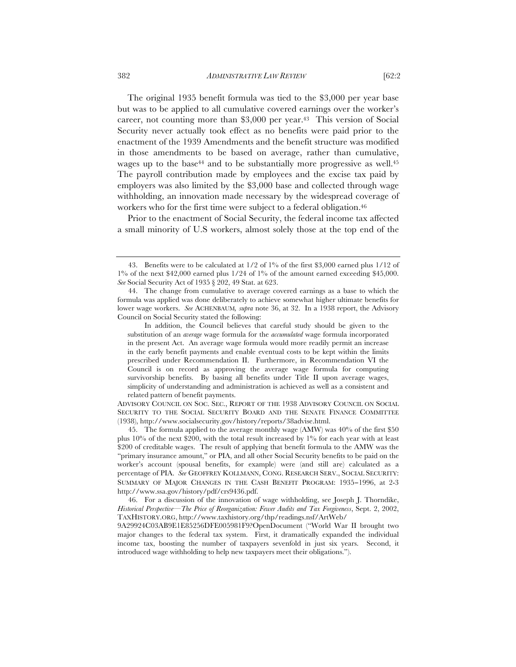The original 1935 benefit formula was tied to the \$3,000 per year base but was to be applied to all cumulative covered earnings over the worker's career, not counting more than \$3,000 per year.43 This version of Social Security never actually took effect as no benefits were paid prior to the enactment of the 1939 Amendments and the benefit structure was modified in those amendments to be based on average, rather than cumulative, wages up to the base<sup>44</sup> and to be substantially more progressive as well.<sup>45</sup> The payroll contribution made by employees and the excise tax paid by employers was also limited by the \$3,000 base and collected through wage withholding, an innovation made necessary by the widespread coverage of workers who for the first time were subject to a federal obligation.46

Prior to the enactment of Social Security, the federal income tax affected a small minority of U.S workers, almost solely those at the top end of the

<sup>43.</sup> Benefits were to be calculated at 1/2 of 1% of the first \$3,000 earned plus 1/12 of  $1\%$  of the next \$42,000 earned plus  $1/24$  of  $1\%$  of the amount earned exceeding \$45,000. *See* Social Security Act of 1935 § 202, 49 Stat. at 623.

<sup>44.</sup> The change from cumulative to average covered earnings as a base to which the formula was applied was done deliberately to achieve somewhat higher ultimate benefits for lower wage workers. *See* ACHENBAUM*, supra* note 36, at 32. In a 1938 report, the Advisory Council on Social Security stated the following:

In addition, the Council believes that careful study should be given to the substitution of an *average* wage formula for the *accumulated* wage formula incorporated in the present Act. An average wage formula would more readily permit an increase in the early benefit payments and enable eventual costs to be kept within the limits prescribed under Recommendation II. Furthermore, in Recommendation VI the Council is on record as approving the average wage formula for computing survivorship benefits. By basing all benefits under Title II upon average wages, simplicity of understanding and administration is achieved as well as a consistent and related pattern of benefit payments.

ADVISORY COUNCIL ON SOC. SEC., REPORT OF THE 1938 ADVISORY COUNCIL ON SOCIAL SECURITY TO THE SOCIAL SECURITY BOARD AND THE SENATE FINANCE COMMITTEE (1938), http://www.socialsecurity.gov/history/reports/38advise.html.

<sup>45.</sup> The formula applied to the average monthly wage (AMW) was 40% of the first \$50 plus  $10\%$  of the next \$200, with the total result increased by  $1\%$  for each year with at least \$200 of creditable wages. The result of applying that benefit formula to the AMW was the "primary insurance amount," or PIA, and all other Social Security benefits to be paid on the worker's account (spousal benefits, for example) were (and still are) calculated as a percentage of PIA. *See* GEOFFREY KOLLMANN, CONG. RESEARCH SERV., SOCIAL SECURITY: SUMMARY OF MAJOR CHANGES IN THE CASH BENEFIT PROGRAM: 1935−1996, at 2-3 http://www.ssa.gov/history/pdf/crs9436.pdf.

<sup>46.</sup> For a discussion of the innovation of wage withholding, see Joseph J. Thorndike, *Historical Perspective—The Price of Reorganization: Fewer Audits and Tax Forgiveness*, Sept. 2, 2002, TAXHISTORY.ORG, http://www.taxhistory.org/thp/readings.nsf/ArtWeb/

<sup>9</sup>A29924C03AB9E1E85256DFE005981F9?OpenDocument ("World War II brought two major changes to the federal tax system. First, it dramatically expanded the individual income tax, boosting the number of taxpayers sevenfold in just six years. Second, it introduced wage withholding to help new taxpayers meet their obligations.").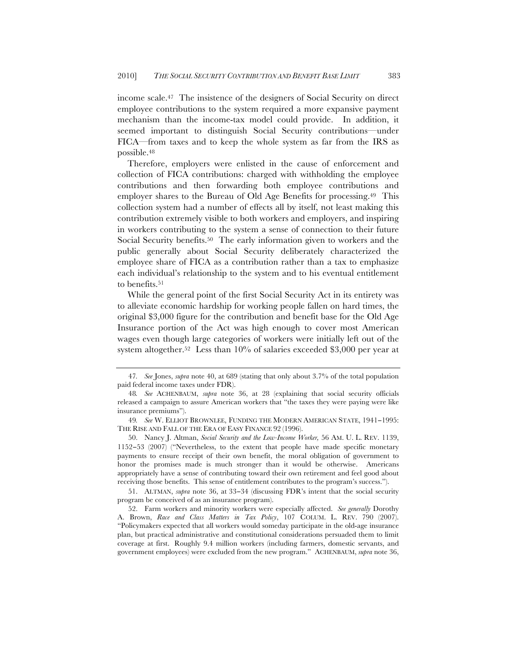income scale.47 The insistence of the designers of Social Security on direct employee contributions to the system required a more expansive payment mechanism than the income-tax model could provide. In addition, it seemed important to distinguish Social Security contributions—under FICA—from taxes and to keep the whole system as far from the IRS as possible.48

Therefore, employers were enlisted in the cause of enforcement and collection of FICA contributions: charged with withholding the employee contributions and then forwarding both employee contributions and employer shares to the Bureau of Old Age Benefits for processing.<sup>49</sup> This collection system had a number of effects all by itself, not least making this contribution extremely visible to both workers and employers, and inspiring in workers contributing to the system a sense of connection to their future Social Security benefits.50 The early information given to workers and the public generally about Social Security deliberately characterized the employee share of FICA as a contribution rather than a tax to emphasize each individual's relationship to the system and to his eventual entitlement to benefits.<sup>51</sup>

While the general point of the first Social Security Act in its entirety was to alleviate economic hardship for working people fallen on hard times, the original \$3,000 figure for the contribution and benefit base for the Old Age Insurance portion of the Act was high enough to cover most American wages even though large categories of workers were initially left out of the system altogether.52 Less than 10% of salaries exceeded \$3,000 per year at

51. ALTMAN, *supra* note 36, at 33−34 (discussing FDR's intent that the social security program be conceived of as an insurance program).

<sup>47</sup>*. See* Jones, *supra* note 40, at 689 (stating that only about 3.7% of the total population paid federal income taxes under FDR).

<sup>48</sup>*. See* ACHENBAUM, *supra* note 36, at 28 (explaining that social security officials released a campaign to assure American workers that "the taxes they were paying were like insurance premiums").

<sup>49</sup>*. See* W. ELLIOT BROWNLEE, FUNDING THE MODERN AMERICAN STATE, 1941−1995: THE RISE AND FALL OF THE ERA OF EASY FINANCE 92 (1996).

<sup>50.</sup> Nancy J. Altman, *Social Security and the Low-Income Worker,* 56 AM. U. L. REV. 1139, 1152−53 (2007) ("Nevertheless, to the extent that people have made specific monetary payments to ensure receipt of their own benefit, the moral obligation of government to honor the promises made is much stronger than it would be otherwise. Americans appropriately have a sense of contributing toward their own retirement and feel good about receiving those benefits. This sense of entitlement contributes to the program's success.").

<sup>52.</sup> Farm workers and minority workers were especially affected. *See generally* Dorothy A. Brown, *Race and Class Matters in Tax Policy*, 107 COLUM. L. REV. 790 (2007). "Policymakers expected that all workers would someday participate in the old-age insurance plan, but practical administrative and constitutional considerations persuaded them to limit coverage at first. Roughly 9.4 million workers (including farmers, domestic servants, and government employees) were excluded from the new program." ACHENBAUM, *supra* note 36,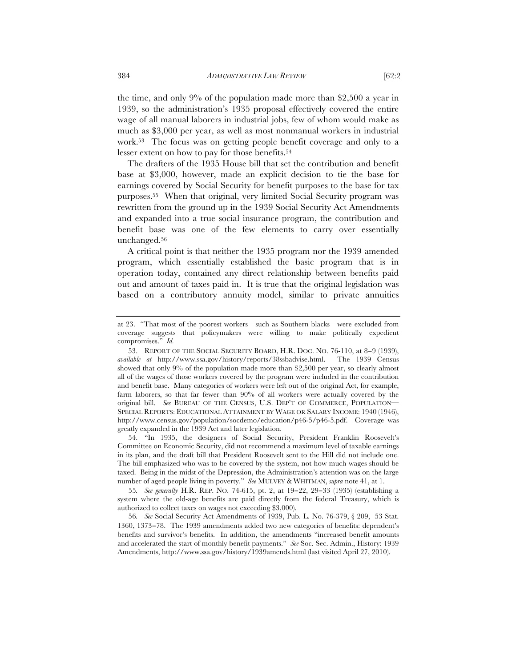the time, and only 9% of the population made more than \$2,500 a year in 1939, so the administration's 1935 proposal effectively covered the entire wage of all manual laborers in industrial jobs, few of whom would make as much as \$3,000 per year, as well as most nonmanual workers in industrial work.53 The focus was on getting people benefit coverage and only to a lesser extent on how to pay for those benefits.54

The drafters of the 1935 House bill that set the contribution and benefit base at \$3,000, however, made an explicit decision to tie the base for earnings covered by Social Security for benefit purposes to the base for tax purposes.55 When that original, very limited Social Security program was rewritten from the ground up in the 1939 Social Security Act Amendments and expanded into a true social insurance program, the contribution and benefit base was one of the few elements to carry over essentially unchanged.56

A critical point is that neither the 1935 program nor the 1939 amended program, which essentially established the basic program that is in operation today, contained any direct relationship between benefits paid out and amount of taxes paid in. It is true that the original legislation was based on a contributory annuity model, similar to private annuities

54. "In 1935, the designers of Social Security, President Franklin Roosevelt's Committee on Economic Security, did not recommend a maximum level of taxable earnings in its plan, and the draft bill that President Roosevelt sent to the Hill did not include one. The bill emphasized who was to be covered by the system, not how much wages should be taxed. Being in the midst of the Depression, the Administration's attention was on the large number of aged people living in poverty." *See* MULVEY & WHITMAN, *supra* note 41, at 1.

55*. See generally* H.R. REP. NO. 74-615, pt. 2, at 19−22, 29−33 (1935) (establishing a system where the old-age benefits are paid directly from the federal Treasury, which is authorized to collect taxes on wages not exceeding \$3,000).

56*. See* Social Security Act Amendments of 1939, Pub. L. No. 76-379, § 209, 53 Stat. 1360, 1373−78. The 1939 amendments added two new categories of benefits: dependent's benefits and survivor's benefits. In addition, the amendments "increased benefit amounts and accelerated the start of monthly benefit payments." *See* Soc. Sec. Admin., History: 1939 Amendments, http://www.ssa.gov/history/1939amends.html (last visited April 27, 2010).

at 23. "That most of the poorest workers—such as Southern blacks—were excluded from coverage suggests that policymakers were willing to make politically expedient compromises." *Id.*

<sup>53.</sup> REPORT OF THE SOCIAL SECURITY BOARD, H.R. DOC. NO. 76-110, at 8−9 (1939), *available at* http://www.ssa.gov/history/reports/38ssbadvise.html. The 1939 Census showed that only 9% of the population made more than \$2,500 per year, so clearly almost all of the wages of those workers covered by the program were included in the contribution and benefit base. Many categories of workers were left out of the original Act, for example, farm laborers, so that far fewer than 90% of all workers were actually covered by the original bill. *See* BUREAU OF THE CENSUS, U.S. DEP'T OF COMMERCE, POPULATION— SPECIAL REPORTS: EDUCATIONAL ATTAINMENT BY WAGE OR SALARY INCOME: 1940 (1946), http://www.census.gov/population/socdemo/education/p46-5/p46-5.pdf. Coverage was greatly expanded in the 1939 Act and later legislation.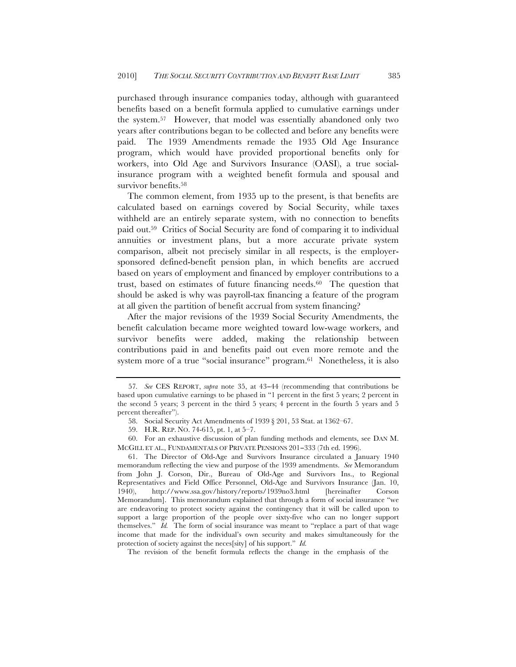purchased through insurance companies today, although with guaranteed benefits based on a benefit formula applied to cumulative earnings under the system.57 However, that model was essentially abandoned only two years after contributions began to be collected and before any benefits were paid. The 1939 Amendments remade the 1935 Old Age Insurance program, which would have provided proportional benefits only for workers, into Old Age and Survivors Insurance (OASI), a true socialinsurance program with a weighted benefit formula and spousal and survivor benefits.<sup>58</sup>

The common element, from 1935 up to the present, is that benefits are calculated based on earnings covered by Social Security, while taxes withheld are an entirely separate system, with no connection to benefits paid out.59 Critics of Social Security are fond of comparing it to individual annuities or investment plans, but a more accurate private system comparison, albeit not precisely similar in all respects, is the employersponsored defined-benefit pension plan, in which benefits are accrued based on years of employment and financed by employer contributions to a trust, based on estimates of future financing needs.60 The question that should be asked is why was payroll-tax financing a feature of the program at all given the partition of benefit accrual from system financing?

After the major revisions of the 1939 Social Security Amendments, the benefit calculation became more weighted toward low-wage workers, and survivor benefits were added, making the relationship between contributions paid in and benefits paid out even more remote and the system more of a true "social insurance" program.61 Nonetheless, it is also

60. For an exhaustive discussion of plan funding methods and elements, see DAN M. MCGILL ET AL., FUNDAMENTALS OF PRIVATE PENSIONS 201−333 (7th ed. 1996).

61. The Director of Old-Age and Survivors Insurance circulated a January 1940 memorandum reflecting the view and purpose of the 1939 amendments. *See* Memorandum from John J. Corson, Dir., Bureau of Old-Age and Survivors Ins., to Regional Representatives and Field Office Personnel, Old-Age and Survivors Insurance (Jan. 10, 1940), http://www.ssa.gov/history/reports/1939no3.html [hereinafter Corson Memorandum]. This memorandum explained that through a form of social insurance "we are endeavoring to protect society against the contingency that it will be called upon to support a large proportion of the people over sixty-five who can no longer support themselves." *Id.* The form of social insurance was meant to "replace a part of that wage income that made for the individual's own security and makes simultaneously for the protection of society against the neces[sity] of his support." *Id.* 

The revision of the benefit formula reflects the change in the emphasis of the

<sup>57</sup>*. See* CES REPORT, *supra* note 35, at 43−44 (recommending that contributions be based upon cumulative earnings to be phased in "1 percent in the first 5 years; 2 percent in the second 5 years; 3 percent in the third 5 years; 4 percent in the fourth 5 years and 5 percent thereafter").

<sup>58.</sup> Social Security Act Amendments of 1939 § 201, 53 Stat. at 1362–67.

<sup>59.</sup> H.R. REP. NO. 74-615, pt. 1, at 5–7.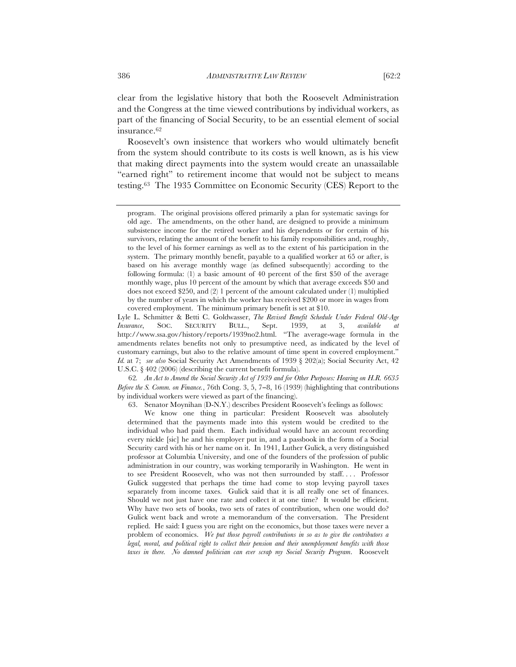clear from the legislative history that both the Roosevelt Administration and the Congress at the time viewed contributions by individual workers, as part of the financing of Social Security, to be an essential element of social

Roosevelt's own insistence that workers who would ultimately benefit from the system should contribute to its costs is well known, as is his view that making direct payments into the system would create an unassailable "earned right" to retirement income that would not be subject to means testing.63 The 1935 Committee on Economic Security (CES) Report to the

62*. An Act to Amend the Social Security Act of 1939 and for Other Purposes: Hearing on H.R. 6635 Before the S. Comm. on Finance.*, 76th Cong. 3, 5, 7−8, 16 (1939) (highlighting that contributions by individual workers were viewed as part of the financing).

63. Senator Moynihan (D-N.Y.) describes President Roosevelt's feelings as follows:

We know one thing in particular: President Roosevelt was absolutely determined that the payments made into this system would be credited to the individual who had paid them. Each individual would have an account recording every nickle [sic] he and his employer put in, and a passbook in the form of a Social Security card with his or her name on it. In 1941, Luther Gulick, a very distinguished professor at Columbia University, and one of the founders of the profession of public administration in our country, was working temporarily in Washington. He went in to see President Roosevelt, who was not then surrounded by staff. . . . Professor Gulick suggested that perhaps the time had come to stop levying payroll taxes separately from income taxes. Gulick said that it is all really one set of finances. Should we not just have one rate and collect it at one time? It would be efficient. Why have two sets of books, two sets of rates of contribution, when one would do? Gulick went back and wrote a memorandum of the conversation. The President replied. He said: I guess you are right on the economics, but those taxes were never a problem of economics. *We put those payroll contributions in so as to give the contributors a legal, moral, and political right to collect their pension and their unemployment benefits with those taxes in there. No damned politician can ever scrap my Social Security Program*. Roosevelt

insurance.62

program. The original provisions offered primarily a plan for systematic savings for old age. The amendments, on the other hand, are designed to provide a minimum subsistence income for the retired worker and his dependents or for certain of his survivors, relating the amount of the benefit to his family responsibilities and, roughly, to the level of his former earnings as well as to the extent of his participation in the system. The primary monthly benefit, payable to a qualified worker at 65 or after, is based on his average monthly wage (as defined subsequently) according to the following formula: (1) a basic amount of 40 percent of the first \$50 of the average monthly wage, plus 10 percent of the amount by which that average exceeds \$50 and does not exceed \$250, and (2) 1 percent of the amount calculated under (1) multiplied by the number of years in which the worker has received \$200 or more in wages from covered employment. The minimum primary benefit is set at \$10.

Lyle L. Schmitter & Betti C. Goldwasser, *The Revised Benefit Schedule Under Federal Old-Age Insurance*, SOC. SECURITY BULL., Sept. 1939, at 3, *available at* http://www.ssa.gov/history/reports/1939no2.html. "The average-wage formula in the amendments relates benefits not only to presumptive need, as indicated by the level of customary earnings, but also to the relative amount of time spent in covered employment." *Id.* at 7; *see also* Social Security Act Amendments of 1939 § 202(a); Social Security Act, 42 U.S.C. § 402 (2006) (describing the current benefit formula).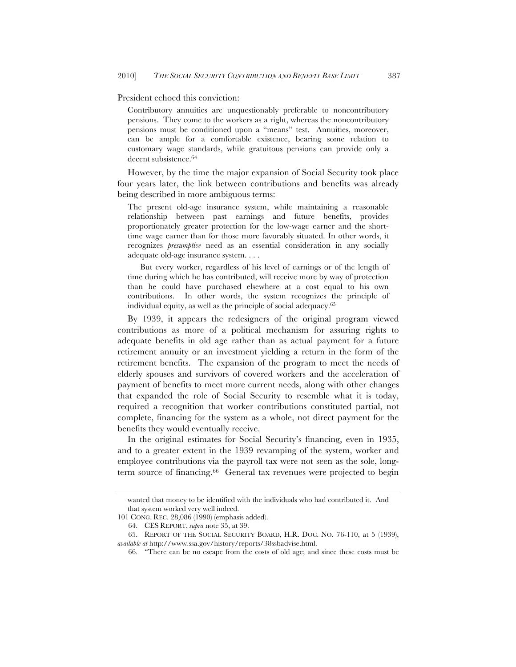President echoed this conviction:

Contributory annuities are unquestionably preferable to noncontributory pensions. They come to the workers as a right, whereas the noncontributory pensions must be conditioned upon a "means" test. Annuities, moreover, can be ample for a comfortable existence, bearing some relation to customary wage standards, while gratuitous pensions can provide only a decent subsistence.64

However, by the time the major expansion of Social Security took place four years later, the link between contributions and benefits was already being described in more ambiguous terms:

The present old-age insurance system, while maintaining a reasonable relationship between past earnings and future benefits, provides proportionately greater protection for the low-wage earner and the shorttime wage earner than for those more favorably situated. In other words, it recognizes *presumptive* need as an essential consideration in any socially adequate old-age insurance system. . . .

But every worker, regardless of his level of earnings or of the length of time during which he has contributed, will receive more by way of protection than he could have purchased elsewhere at a cost equal to his own contributions. In other words, the system recognizes the principle of individual equity, as well as the principle of social adequacy.65

By 1939, it appears the redesigners of the original program viewed contributions as more of a political mechanism for assuring rights to adequate benefits in old age rather than as actual payment for a future retirement annuity or an investment yielding a return in the form of the retirement benefits. The expansion of the program to meet the needs of elderly spouses and survivors of covered workers and the acceleration of payment of benefits to meet more current needs, along with other changes that expanded the role of Social Security to resemble what it is today, required a recognition that worker contributions constituted partial, not complete, financing for the system as a whole, not direct payment for the benefits they would eventually receive.

In the original estimates for Social Security's financing, even in 1935, and to a greater extent in the 1939 revamping of the system, worker and employee contributions via the payroll tax were not seen as the sole, longterm source of financing.66 General tax revenues were projected to begin

wanted that money to be identified with the individuals who had contributed it. And that system worked very well indeed.

<sup>101</sup> CONG. REC. 28,086 (1990) (emphasis added).

<sup>64.</sup> CES REPORT, *supra* note 35, at 39.

<sup>65.</sup> REPORT OF THE SOCIAL SECURITY BOARD, H.R. DOC. NO. 76-110, at 5 (1939), *available at* http://www.ssa.gov/history/reports/38ssbadvise.html.

<sup>66.</sup> "There can be no escape from the costs of old age; and since these costs must be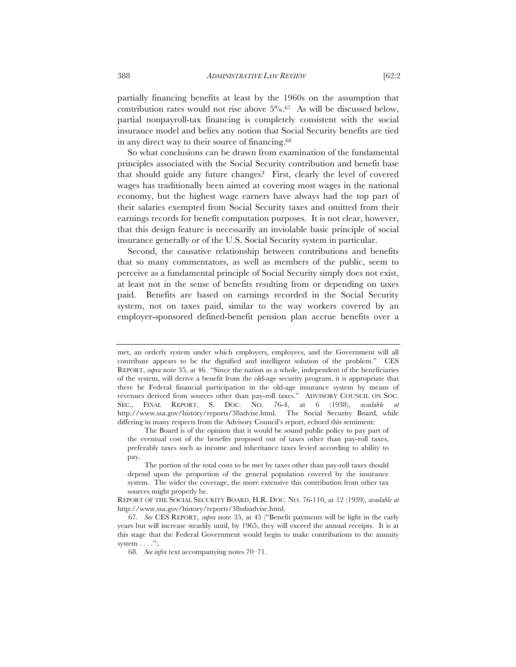partially financing benefits at least by the 1960s on the assumption that contribution rates would not rise above  $5\%$ .<sup>67</sup> As will be discussed below, partial nonpayroll-tax financing is completely consistent with the social insurance model and belies any notion that Social Security benefits are tied in any direct way to their source of financing.68

So what conclusions can be drawn from examination of the fundamental principles associated with the Social Security contribution and benefit base that should guide any future changes? First, clearly the level of covered wages has traditionally been aimed at covering most wages in the national economy, but the highest wage earners have always had the top part of their salaries exempted from Social Security taxes and omitted from their earnings records for benefit computation purposes. It is not clear, however, that this design feature is necessarily an inviolable basic principle of social insurance generally or of the U.S. Social Security system in particular.

Second, the causative relationship between contributions and benefits that so many commentators, as well as members of the public, seem to perceive as a fundamental principle of Social Security simply does not exist, at least not in the sense of benefits resulting from or depending on taxes paid. Benefits are based on earnings recorded in the Social Security system, not on taxes paid, similar to the way workers covered by an employer-sponsored defined-benefit pension plan accrue benefits over a

met, an orderly system under which employers, employees, and the Government will all contribute appears to be the dignified and intelligent solution of the problem." CES REPORT, *supra* note 35, at 46*.* "Since the nation as a whole, independent of the beneficiaries of the system, will derive a benefit from the old-age security program, it is appropriate that there be Federal financial participation in the old-age insurance system by means of revenues derived from sources other than pay-roll taxes." ADVISORY COUNCIL ON SOC. SEC., FINAL REPORT, S. DOC. NO. 76-4, at 6 (1938), *available at* http://www.ssa.gov/history/reports/38advise.html. The Social Security Board, while differing in many respects from the Advisory Council's report, echoed this sentiment:

The Board is of the opinion that it would be sound public policy to pay part of the eventual cost of the benefits proposed out of taxes other than pay-roll taxes, preferably taxes such as income and inheritance taxes levied according to ability to pay.

The portion of the total costs to be met by taxes other than pay-roll taxes should depend upon the proportion of the general population covered by the insurance system. The wider the coverage, the more extensive this contribution from other tax sources might properly be.

REPORT OF THE SOCIAL SECURITY BOARD, H.R. DOC. NO. 76-110, at 12 (1939), *available at*  http://www.ssa.gov/history/reports/38ssbadvise.html.

<sup>67</sup>*. See* CES REPORT, *supra* note 35, at 45 ("Benefit payments will be light in the early years but will increase steadily until, by 1965, they will exceed the annual receipts. It is at this stage that the Federal Government would begin to make contributions to the annuity system  $\dots$ .").

<sup>68</sup>*. See infra* text accompanying notes 70–71.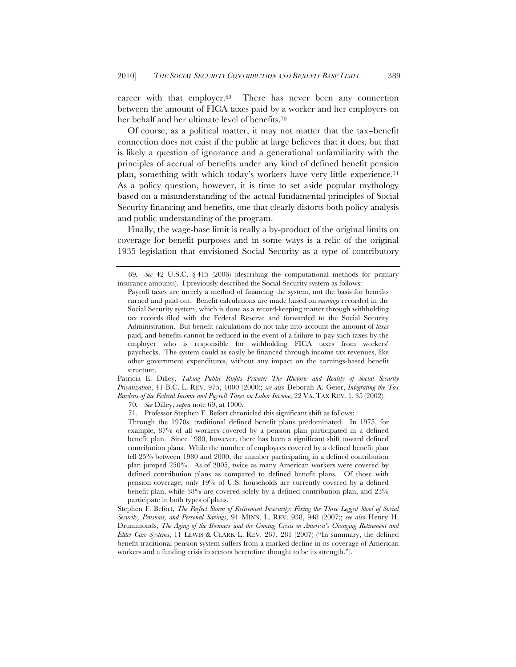career with that employer.69 There has never been any connection between the amount of FICA taxes paid by a worker and her employers on her behalf and her ultimate level of benefits.70

Of course, as a political matter, it may not matter that the tax−benefit connection does not exist if the public at large believes that it does, but that is likely a question of ignorance and a generational unfamiliarity with the principles of accrual of benefits under any kind of defined benefit pension plan, something with which today's workers have very little experience.71 As a policy question, however, it is time to set aside popular mythology based on a misunderstanding of the actual fundamental principles of Social Security financing and benefits, one that clearly distorts both policy analysis and public understanding of the program.

Finally, the wage-base limit is really a by-product of the original limits on coverage for benefit purposes and in some ways is a relic of the original 1935 legislation that envisioned Social Security as a type of contributory

Patricia E. Dilley, *Taking Public Rights Private: The Rhetoric and Reality of Social Security Privatization*, 41 B.C. L. REV. 975, 1000 (2000); *see also* Deborah A. Geier, *Integrating the Tax Burdens of the Federal Income and Payroll Taxes on Labor Income*, 22 VA. TAX REV. 1, 35 (2002).

70*. See* Dilley, *supra* note 69, at 1000.

71. Professor Stephen F. Befort chronicled this significant shift as follows:

Through the 1970s, traditional defined benefit plans predominated. In 1975, for example, 87% of all workers covered by a pension plan participated in a defined benefit plan. Since 1980, however, there has been a significant shift toward defined contribution plans. While the number of employees covered by a defined benefit plan fell 25% between 1980 and 2000, the number participating in a defined contribution plan jumped 250%. As of 2005, twice as many American workers were covered by defined contribution plans as compared to defined benefit plans. Of those with pension coverage, only 19% of U.S. households are currently covered by a defined benefit plan, while 58% are covered solely by a defined contribution plan, and 23% participate in both types of plans.

Stephen F. Befort, *The Perfect Storm of Retirement Insecurity: Fixing the Three-Legged Stool of Social Security, Pensions, and Personal Savings*, 91 MINN. L. REV. 938, 948 (2007); *see also* Henry H. Drummonds, *The Aging of the Boomers and the Coming Crisis in America's Changing Retirement and Elder Care Systems*, 11 LEWIS & CLARK L. REV. 267, 281 (2007) ("In summary, the defined benefit traditional pension system suffers from a marked decline in its coverage of American workers and a funding crisis in sectors heretofore thought to be its strength.").

<sup>69</sup>*. See* 42 U.S.C. § 415 (2006) (describing the computational methods for primary insurance amounts). I previously described the Social Security system as follows:

Payroll taxes are merely a method of financing the system, not the basis for benefits earned and paid out. Benefit calculations are made based on *earnings* recorded in the Social Security system, which is done as a record-keeping matter through withholding tax records filed with the Federal Reserve and forwarded to the Social Security Administration. But benefit calculations do not take into account the amount of *taxes* paid, and benefits cannot be reduced in the event of a failure to pay such taxes by the employer who is responsible for withholding FICA taxes from workers' paychecks. The system could as easily be financed through income tax revenues, like other government expenditures, without any impact on the earnings-based benefit structure.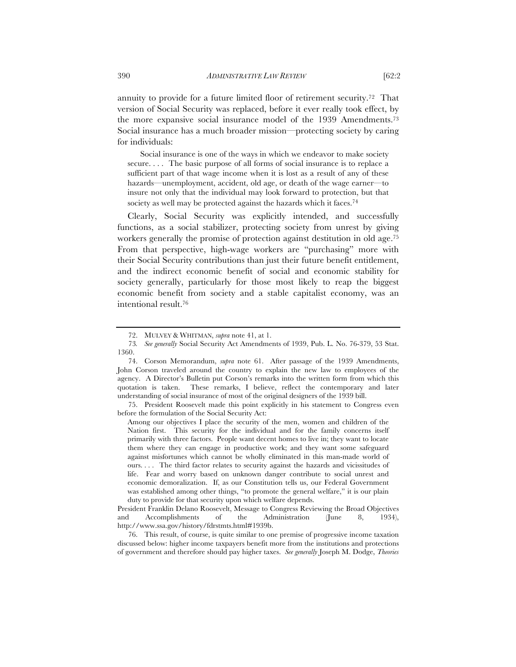annuity to provide for a future limited floor of retirement security.72 That version of Social Security was replaced, before it ever really took effect, by the more expansive social insurance model of the 1939 Amendments.73 Social insurance has a much broader mission—protecting society by caring for individuals:

Social insurance is one of the ways in which we endeavor to make society secure. . . . The basic purpose of all forms of social insurance is to replace a sufficient part of that wage income when it is lost as a result of any of these hazards—unemployment, accident, old age, or death of the wage earner—to insure not only that the individual may look forward to protection, but that society as well may be protected against the hazards which it faces.<sup>74</sup>

Clearly, Social Security was explicitly intended, and successfully functions, as a social stabilizer, protecting society from unrest by giving workers generally the promise of protection against destitution in old age.75 From that perspective, high-wage workers are "purchasing" more with their Social Security contributions than just their future benefit entitlement, and the indirect economic benefit of social and economic stability for society generally, particularly for those most likely to reap the biggest economic benefit from society and a stable capitalist economy, was an intentional result.76

75. President Roosevelt made this point explicitly in his statement to Congress even before the formulation of the Social Security Act:

Among our objectives I place the security of the men, women and children of the Nation first. This security for the individual and for the family concerns itself primarily with three factors. People want decent homes to live in; they want to locate them where they can engage in productive work; and they want some safeguard against misfortunes which cannot be wholly eliminated in this man-made world of ours. . . . The third factor relates to security against the hazards and vicissitudes of life. Fear and worry based on unknown danger contribute to social unrest and economic demoralization. If, as our Constitution tells us, our Federal Government was established among other things, "to promote the general welfare," it is our plain duty to provide for that security upon which welfare depends.

President Franklin Delano Roosevelt, Message to Congress Reviewing the Broad Objectives and Accomplishments of the Administration (June 8, 1934), http://www.ssa.gov/history/fdrstmts.html#1939b.

76. This result, of course, is quite similar to one premise of progressive income taxation discussed below: higher income taxpayers benefit more from the institutions and protections of government and therefore should pay higher taxes. *See generally* Joseph M. Dodge, *Theories* 

<sup>72.</sup> MULVEY & WHITMAN, *supra* note 41, at 1.

<sup>73</sup>*. See generally* Social Security Act Amendments of 1939, Pub. L. No. 76-379, 53 Stat. 1360.

<sup>74.</sup> Corson Memorandum, *supra* note 61. After passage of the 1939 Amendments, John Corson traveled around the country to explain the new law to employees of the agency. A Director's Bulletin put Corson's remarks into the written form from which this quotation is taken. These remarks, I believe, reflect the contemporary and later understanding of social insurance of most of the original designers of the 1939 bill.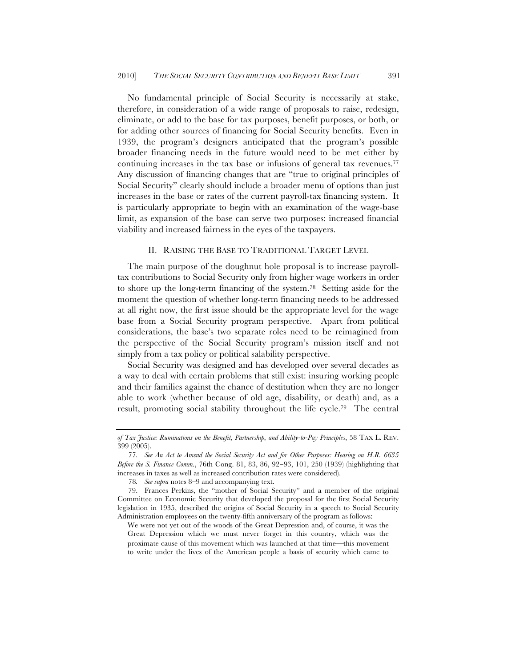No fundamental principle of Social Security is necessarily at stake, therefore, in consideration of a wide range of proposals to raise, redesign, eliminate, or add to the base for tax purposes, benefit purposes, or both, or for adding other sources of financing for Social Security benefits. Even in 1939, the program's designers anticipated that the program's possible broader financing needs in the future would need to be met either by continuing increases in the tax base or infusions of general tax revenues.77 Any discussion of financing changes that are "true to original principles of Social Security" clearly should include a broader menu of options than just increases in the base or rates of the current payroll-tax financing system. It is particularly appropriate to begin with an examination of the wage-base limit, as expansion of the base can serve two purposes: increased financial viability and increased fairness in the eyes of the taxpayers.

# II. RAISING THE BASE TO TRADITIONAL TARGET LEVEL

The main purpose of the doughnut hole proposal is to increase payrolltax contributions to Social Security only from higher wage workers in order to shore up the long-term financing of the system.78 Setting aside for the moment the question of whether long-term financing needs to be addressed at all right now, the first issue should be the appropriate level for the wage base from a Social Security program perspective. Apart from political considerations, the base's two separate roles need to be reimagined from the perspective of the Social Security program's mission itself and not simply from a tax policy or political salability perspective.

Social Security was designed and has developed over several decades as a way to deal with certain problems that still exist: insuring working people and their families against the chance of destitution when they are no longer able to work (whether because of old age, disability, or death) and, as a result, promoting social stability throughout the life cycle.79 The central

*of Tax Justice: Ruminations on the Benefit, Partnership, and Ability-to-Pay Principles*, 58 TAX L. REV. 399 (2005).

<sup>77</sup>*. See An Act to Amend the Social Security Act and for Other Purposes: Hearing on H.R. 6635 Before the S. Finance Comm.*, 76th Cong. 81, 83, 86, 92−93, 101, 250 (1939) (highlighting that increases in taxes as well as increased contribution rates were considered).

<sup>78</sup>*. See supra* notes 8–9 and accompanying text.

<sup>79.</sup> Frances Perkins, the "mother of Social Security" and a member of the original Committee on Economic Security that developed the proposal for the first Social Security legislation in 1935, described the origins of Social Security in a speech to Social Security Administration employees on the twenty-fifth anniversary of the program as follows:

We were not yet out of the woods of the Great Depression and, of course, it was the Great Depression which we must never forget in this country, which was the proximate cause of this movement which was launched at that time-this movement to write under the lives of the American people a basis of security which came to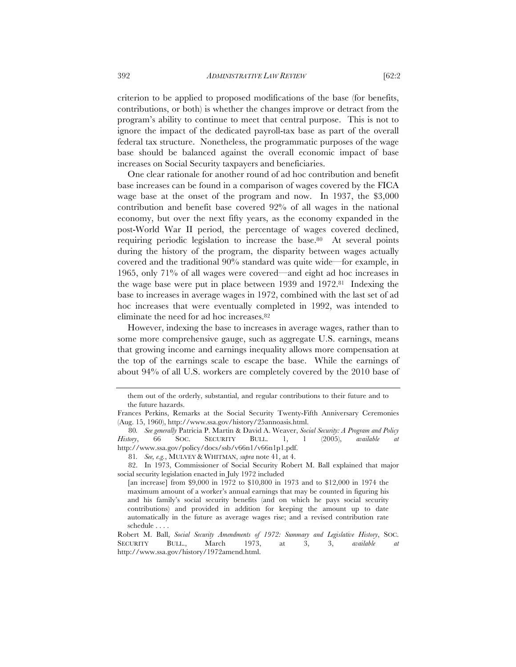criterion to be applied to proposed modifications of the base (for benefits, contributions, or both) is whether the changes improve or detract from the program's ability to continue to meet that central purpose. This is not to ignore the impact of the dedicated payroll-tax base as part of the overall federal tax structure. Nonetheless, the programmatic purposes of the wage base should be balanced against the overall economic impact of base increases on Social Security taxpayers and beneficiaries.

One clear rationale for another round of ad hoc contribution and benefit base increases can be found in a comparison of wages covered by the FICA wage base at the onset of the program and now. In 1937, the \$3,000 contribution and benefit base covered 92% of all wages in the national economy, but over the next fifty years, as the economy expanded in the post-World War II period, the percentage of wages covered declined, requiring periodic legislation to increase the base.80 At several points during the history of the program, the disparity between wages actually covered and the traditional 90% standard was quite wide—for example, in 1965, only 71% of all wages were covered—and eight ad hoc increases in the wage base were put in place between 1939 and 1972.81 Indexing the base to increases in average wages in 1972, combined with the last set of ad hoc increases that were eventually completed in 1992, was intended to eliminate the need for ad hoc increases.82

However, indexing the base to increases in average wages, rather than to some more comprehensive gauge, such as aggregate U.S. earnings, means that growing income and earnings inequality allows more compensation at the top of the earnings scale to escape the base. While the earnings of about 94% of all U.S. workers are completely covered by the 2010 base of

82. In 1973, Commissioner of Social Security Robert M. Ball explained that major social security legislation enacted in July 1972 included

them out of the orderly, substantial, and regular contributions to their future and to the future hazards.

Frances Perkins, Remarks at the Social Security Twenty-Fifth Anniversary Ceremonies (Aug. 15, 1960), http://www.ssa.gov/history/25annoasis.html.

<sup>80</sup>*. See generally* Patricia P. Martin & David A. Weaver, *Social Security: A Program and Policy History*, 66 SOC. SECURITY BULL. 1, 1 (2005), *available at*  http://www.ssa.gov/policy/docs/ssb/v66n1/v66n1p1.pdf.

<sup>81</sup>*. See, e.g.*, MULVEY & WHITMAN, *supra* note 41, at 4.

<sup>[</sup>an increase] from \$9,000 in 1972 to \$10,800 in 1973 and to \$12,000 in 1974 the maximum amount of a worker's annual earnings that may be counted in figuring his and his family's social security benefits (and on which he pays social security contributions) and provided in addition for keeping the amount up to date automatically in the future as average wages rise; and a revised contribution rate schedule . . . .

Robert M. Ball, *Social Security Amendments of 1972: Summary and Legislative History*, SOC. SECURITY BULL., March 1973, at 3, 3, *available at* http://www.ssa.gov/history/1972amend.html.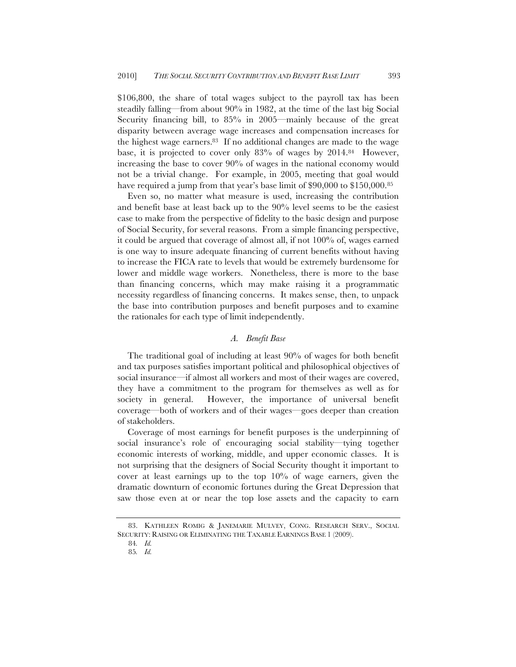\$106,800, the share of total wages subject to the payroll tax has been steadily falling—from about 90% in 1982, at the time of the last big Social Security financing bill, to 85% in 2005—mainly because of the great disparity between average wage increases and compensation increases for the highest wage earners.83 If no additional changes are made to the wage base, it is projected to cover only 83% of wages by 2014.84 However, increasing the base to cover 90% of wages in the national economy would not be a trivial change. For example, in 2005, meeting that goal would have required a jump from that year's base limit of \$90,000 to \$150,000.<sup>85</sup>

Even so, no matter what measure is used, increasing the contribution and benefit base at least back up to the 90% level seems to be the easiest case to make from the perspective of fidelity to the basic design and purpose of Social Security, for several reasons. From a simple financing perspective, it could be argued that coverage of almost all, if not 100% of, wages earned is one way to insure adequate financing of current benefits without having to increase the FICA rate to levels that would be extremely burdensome for lower and middle wage workers. Nonetheless, there is more to the base than financing concerns, which may make raising it a programmatic necessity regardless of financing concerns. It makes sense, then, to unpack the base into contribution purposes and benefit purposes and to examine the rationales for each type of limit independently.

# *A. Benefit Base*

The traditional goal of including at least 90% of wages for both benefit and tax purposes satisfies important political and philosophical objectives of social insurance—if almost all workers and most of their wages are covered, they have a commitment to the program for themselves as well as for society in general. However, the importance of universal benefit coverage—both of workers and of their wages—goes deeper than creation of stakeholders.

Coverage of most earnings for benefit purposes is the underpinning of social insurance's role of encouraging social stability—tying together economic interests of working, middle, and upper economic classes. It is not surprising that the designers of Social Security thought it important to cover at least earnings up to the top 10% of wage earners, given the dramatic downturn of economic fortunes during the Great Depression that saw those even at or near the top lose assets and the capacity to earn

<sup>83.</sup> KATHLEEN ROMIG & JANEMARIE MULVEY, CONG. RESEARCH SERV., SOCIAL SECURITY: RAISING OR ELIMINATING THE TAXABLE EARNINGS BASE 1 (2009).

<sup>84</sup>*. Id.*

<sup>85</sup>*. Id.*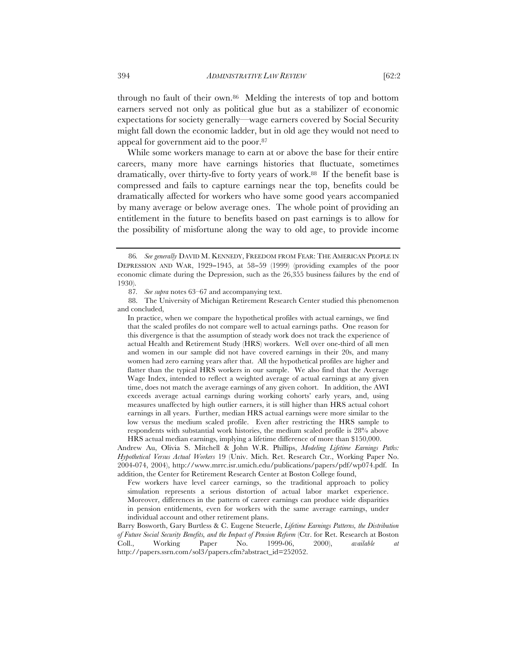through no fault of their own.86 Melding the interests of top and bottom earners served not only as political glue but as a stabilizer of economic expectations for society generally—wage earners covered by Social Security might fall down the economic ladder, but in old age they would not need to appeal for government aid to the poor.87

While some workers manage to earn at or above the base for their entire careers, many more have earnings histories that fluctuate, sometimes dramatically, over thirty-five to forty years of work.88 If the benefit base is compressed and fails to capture earnings near the top, benefits could be dramatically affected for workers who have some good years accompanied by many average or below average ones. The whole point of providing an entitlement in the future to benefits based on past earnings is to allow for the possibility of misfortune along the way to old age, to provide income

<sup>86</sup>*. See generally* DAVID M. KENNEDY, FREEDOM FROM FEAR: THE AMERICAN PEOPLE IN DEPRESSION AND WAR, 1929−1945, at 58−59 (1999) (providing examples of the poor economic climate during the Depression, such as the 26,355 business failures by the end of 1930).

<sup>87</sup>*. See supra* notes 63–67 and accompanying text.

<sup>88.</sup> The University of Michigan Retirement Research Center studied this phenomenon and concluded,

In practice, when we compare the hypothetical profiles with actual earnings, we find that the scaled profiles do not compare well to actual earnings paths. One reason for this divergence is that the assumption of steady work does not track the experience of actual Health and Retirement Study (HRS) workers. Well over one-third of all men and women in our sample did not have covered earnings in their 20s, and many women had zero earning years after that. All the hypothetical profiles are higher and flatter than the typical HRS workers in our sample. We also find that the Average Wage Index, intended to reflect a weighted average of actual earnings at any given time, does not match the average earnings of any given cohort. In addition, the AWI exceeds average actual earnings during working cohorts' early years, and, using measures unaffected by high outlier earners, it is still higher than HRS actual cohort earnings in all years. Further, median HRS actual earnings were more similar to the low versus the medium scaled profile. Even after restricting the HRS sample to respondents with substantial work histories, the medium scaled profile is 28% above HRS actual median earnings, implying a lifetime difference of more than \$150,000.

Andrew Au, Olivia S. Mitchell & John W.R. Phillips, *Modeling Lifetime Earnings Paths: Hypothetical Versus Actual Workers* 19 (Univ. Mich. Ret. Research Ctr., Working Paper No. 2004-074, 2004), http://www.mrrc.isr.umich.edu/publications/papers/pdf/wp074.pdf. In addition, the Center for Retirement Research Center at Boston College found,

Few workers have level career earnings, so the traditional approach to policy simulation represents a serious distortion of actual labor market experience. Moreover, differences in the pattern of career earnings can produce wide disparities in pension entitlements, even for workers with the same average earnings, under individual account and other retirement plans.

Barry Bosworth, Gary Burtless & C. Eugene Steuerle, *Lifetime Earnings Patterns, the Distribution of Future Social Security Benefits, and the Impact of Pension Reform* (Ctr. for Ret. Research at Boston Coll., Working Paper No. 1999-06, 2000), *available at*  http://papers.ssrn.com/sol3/papers.cfm?abstract\_id=252052.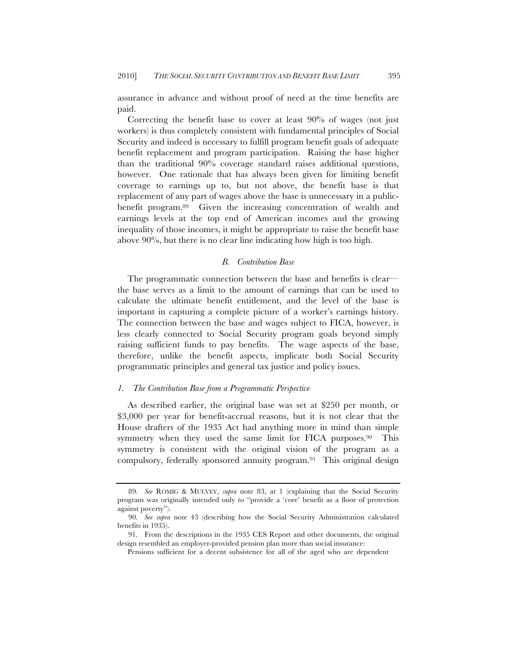assurance in advance and without proof of need at the time benefits are paid.

Correcting the benefit base to cover at least 90% of wages (not just workers) is thus completely consistent with fundamental principles of Social Security and indeed is necessary to fulfill program benefit goals of adequate benefit replacement and program participation. Raising the base higher than the traditional 90% coverage standard raises additional questions, however. One rationale that has always been given for limiting benefit coverage to earnings up to, but not above, the benefit base is that replacement of any part of wages above the base is unnecessary in a publicbenefit program.89 Given the increasing concentration of wealth and earnings levels at the top end of American incomes and the growing inequality of those incomes, it might be appropriate to raise the benefit base above 90%, but there is no clear line indicating how high is too high.

### *B. Contribution Base*

The programmatic connection between the base and benefits is clear the base serves as a limit to the amount of earnings that can be used to calculate the ultimate benefit entitlement, and the level of the base is important in capturing a complete picture of a worker's earnings history. The connection between the base and wages subject to FICA, however, is less clearly connected to Social Security program goals beyond simply raising sufficient funds to pay benefits. The wage aspects of the base, therefore, unlike the benefit aspects, implicate both Social Security programmatic principles and general tax justice and policy issues.

# *1. The Contribution Base from a Programmatic Perspective*

As described earlier, the original base was set at \$250 per month, or \$3,000 per year for benefit-accrual reasons, but it is not clear that the House drafters of the 1935 Act had anything more in mind than simple symmetry when they used the same limit for FICA purposes.<sup>90</sup> This symmetry is consistent with the original vision of the program as a compulsory, federally sponsored annuity program.91 This original design

<sup>89</sup>*. See* ROMIG & MULVEY, *supra* note 83, at 1 (explaining that the Social Security program was originally intended only to "provide a 'core' benefit as a floor of protection against poverty").

<sup>90</sup>*. See supra* note 43 (describing how the Social Security Administration calculated benefits in 1935).

<sup>91.</sup> From the descriptions in the 1935 CES Report and other documents, the original design resembled an employer-provided pension plan more than social insurance:

Pensions sufficient for a decent subsistence for all of the aged who are dependent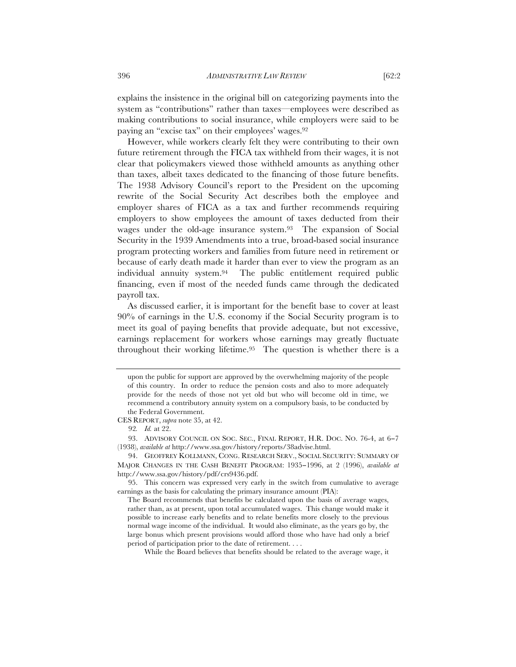explains the insistence in the original bill on categorizing payments into the system as "contributions" rather than taxes—employees were described as making contributions to social insurance, while employers were said to be paying an "excise tax" on their employees' wages.92

However, while workers clearly felt they were contributing to their own future retirement through the FICA tax withheld from their wages, it is not clear that policymakers viewed those withheld amounts as anything other than taxes, albeit taxes dedicated to the financing of those future benefits. The 1938 Advisory Council's report to the President on the upcoming rewrite of the Social Security Act describes both the employee and employer shares of FICA as a tax and further recommends requiring employers to show employees the amount of taxes deducted from their wages under the old-age insurance system.93 The expansion of Social Security in the 1939 Amendments into a true, broad-based social insurance program protecting workers and families from future need in retirement or because of early death made it harder than ever to view the program as an individual annuity system.94 The public entitlement required public financing, even if most of the needed funds came through the dedicated payroll tax.

As discussed earlier, it is important for the benefit base to cover at least 90% of earnings in the U.S. economy if the Social Security program is to meet its goal of paying benefits that provide adequate, but not excessive, earnings replacement for workers whose earnings may greatly fluctuate throughout their working lifetime.95 The question is whether there is a

upon the public for support are approved by the overwhelming majority of the people of this country. In order to reduce the pension costs and also to more adequately provide for the needs of those not yet old but who will become old in time, we recommend a contributory annuity system on a compulsory basis, to be conducted by the Federal Government.

CES REPORT, *supra* note 35, at 42.

<sup>92</sup>*. Id.* at 22.

<sup>93.</sup> ADVISORY COUNCIL ON SOC. SEC., FINAL REPORT, H.R. DOC. NO. 76-4, at 6−7 (1938), *available at* http://www.ssa.gov/history/reports/38advise.html.

<sup>94.</sup> GEOFFREY KOLLMANN, CONG. RESEARCH SERV., SOCIAL SECURITY: SUMMARY OF MAJOR CHANGES IN THE CASH BENEFIT PROGRAM: 1935−1996, at 2 (1996), *available at* http://www.ssa.gov/history/pdf/crs9436.pdf.

<sup>95.</sup> This concern was expressed very early in the switch from cumulative to average earnings as the basis for calculating the primary insurance amount (PIA):

The Board recommends that benefits be calculated upon the basis of average wages, rather than, as at present, upon total accumulated wages. This change would make it possible to increase early benefits and to relate benefits more closely to the previous normal wage income of the individual. It would also eliminate, as the years go by, the large bonus which present provisions would afford those who have had only a brief period of participation prior to the date of retirement. . . .

While the Board believes that benefits should be related to the average wage, it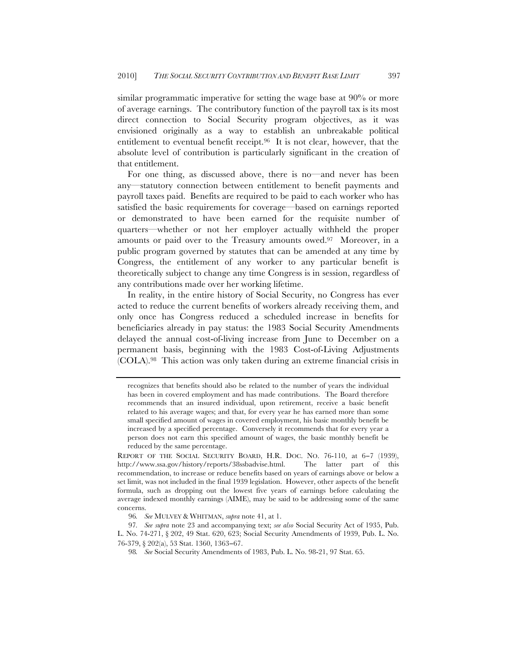similar programmatic imperative for setting the wage base at 90% or more of average earnings. The contributory function of the payroll tax is its most direct connection to Social Security program objectives, as it was envisioned originally as a way to establish an unbreakable political entitlement to eventual benefit receipt.96 It is not clear, however, that the absolute level of contribution is particularly significant in the creation of that entitlement.

For one thing, as discussed above, there is no—and never has been any—statutory connection between entitlement to benefit payments and payroll taxes paid. Benefits are required to be paid to each worker who has satisfied the basic requirements for coverage—based on earnings reported or demonstrated to have been earned for the requisite number of quarters—whether or not her employer actually withheld the proper amounts or paid over to the Treasury amounts owed.97 Moreover, in a public program governed by statutes that can be amended at any time by Congress, the entitlement of any worker to any particular benefit is theoretically subject to change any time Congress is in session, regardless of any contributions made over her working lifetime.

In reality, in the entire history of Social Security, no Congress has ever acted to reduce the current benefits of workers already receiving them, and only once has Congress reduced a scheduled increase in benefits for beneficiaries already in pay status: the 1983 Social Security Amendments delayed the annual cost-of-living increase from June to December on a permanent basis, beginning with the 1983 Cost-of-Living Adjustments (COLA).98 This action was only taken during an extreme financial crisis in

recognizes that benefits should also be related to the number of years the individual has been in covered employment and has made contributions. The Board therefore recommends that an insured individual, upon retirement, receive a basic benefit related to his average wages; and that, for every year he has earned more than some small specified amount of wages in covered employment, his basic monthly benefit be increased by a specified percentage. Conversely it recommends that for every year a person does not earn this specified amount of wages, the basic monthly benefit be reduced by the same percentage.

REPORT OF THE SOCIAL SECURITY BOARD, H.R. DOC. NO. 76-110, at 6−7 (1939), http://www.ssa.gov/history/reports/38ssbadvise.html. The latter part of this recommendation, to increase or reduce benefits based on years of earnings above or below a set limit, was not included in the final 1939 legislation. However, other aspects of the benefit formula, such as dropping out the lowest five years of earnings before calculating the average indexed monthly earnings (AIME), may be said to be addressing some of the same concerns.

<sup>96</sup>*. See* MULVEY & WHITMAN, *supra* note 41, at 1.

<sup>97</sup>*. See supra* note 23 and accompanying text; *see also* Social Security Act of 1935, Pub. L. No. 74-271, § 202, 49 Stat. 620, 623; Social Security Amendments of 1939, Pub. L. No. 76-379, § 202(a), 53 Stat. 1360, 1363−67.

<sup>98</sup>*. See* Social Security Amendments of 1983, Pub. L. No. 98-21, 97 Stat. 65.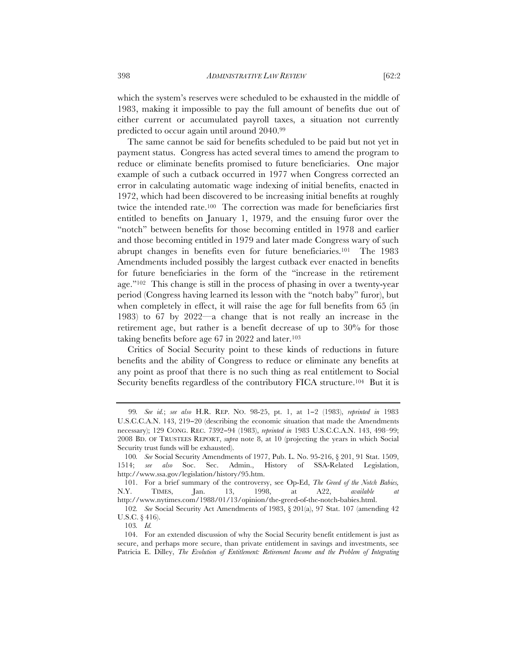which the system's reserves were scheduled to be exhausted in the middle of 1983, making it impossible to pay the full amount of benefits due out of either current or accumulated payroll taxes, a situation not currently predicted to occur again until around 2040.99

The same cannot be said for benefits scheduled to be paid but not yet in payment status. Congress has acted several times to amend the program to reduce or eliminate benefits promised to future beneficiaries. One major example of such a cutback occurred in 1977 when Congress corrected an error in calculating automatic wage indexing of initial benefits, enacted in 1972, which had been discovered to be increasing initial benefits at roughly twice the intended rate.100 The correction was made for beneficiaries first entitled to benefits on January 1, 1979, and the ensuing furor over the "notch" between benefits for those becoming entitled in 1978 and earlier and those becoming entitled in 1979 and later made Congress wary of such abrupt changes in benefits even for future beneficiaries.101 The 1983 Amendments included possibly the largest cutback ever enacted in benefits for future beneficiaries in the form of the "increase in the retirement age."102 This change is still in the process of phasing in over a twenty-year period (Congress having learned its lesson with the "notch baby" furor), but when completely in effect, it will raise the age for full benefits from 65 (in 1983) to 67 by 2022—a change that is not really an increase in the retirement age, but rather is a benefit decrease of up to 30% for those taking benefits before age 67 in 2022 and later.103

Critics of Social Security point to these kinds of reductions in future benefits and the ability of Congress to reduce or eliminate any benefits at any point as proof that there is no such thing as real entitlement to Social Security benefits regardless of the contributory FICA structure.104 But it is

102*. See* Social Security Act Amendments of 1983, § 201(a), 97 Stat. 107 (amending 42 U.S.C. § 416).

<sup>99</sup>*. See id.*; *see also* H.R. REP. NO. 98-25, pt. 1, at 1−2 (1983), *reprinted in* 1983 U.S.C.C.A.N. 143, 219−20 (describing the economic situation that made the Amendments necessary); 129 CONG. REC. 7392−94 (1983), *reprinted in* 1983 U.S.C.C.A.N. 143, 498–99; 2008 BD. OF TRUSTEES REPORT, *supra* note 8, at 10 (projecting the years in which Social Security trust funds will be exhausted).

<sup>100</sup>*. See* Social Security Amendments of 1977, Pub. L. No. 95-216, § 201, 91 Stat. 1509, 1514; *see also* Soc. Sec. Admin., History of SSA-Related Legislation, http://www.ssa.gov/legislation/history/95.htm.

<sup>101.</sup> For a brief summary of the controversy, see Op-Ed, *The Greed of the Notch Babies,* N.Y. TIMES, Jan. 13, 1998, at A22, *available at*  http://www.nytimes.com/1988/01/13/opinion/the-greed-of-the-notch-babies.html.

<sup>103</sup>*. Id.*

<sup>104.</sup> For an extended discussion of why the Social Security benefit entitlement is just as secure, and perhaps more secure, than private entitlement in savings and investments, see Patricia E. Dilley, *The Evolution of Entitlement: Retirement Income and the Problem of Integrating*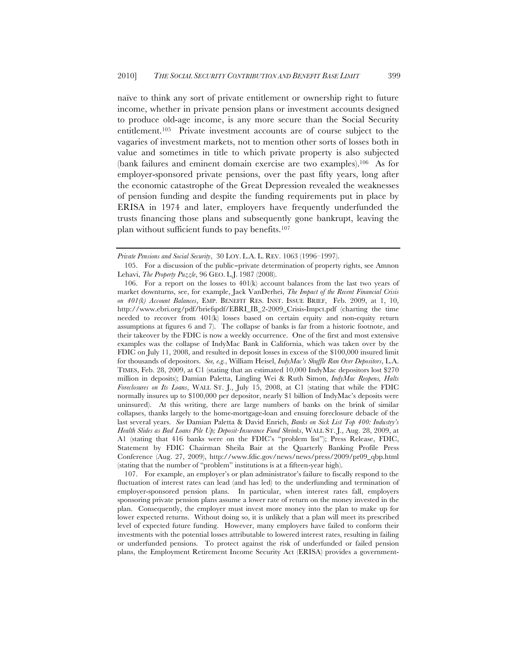naïve to think any sort of private entitlement or ownership right to future income, whether in private pension plans or investment accounts designed to produce old-age income, is any more secure than the Social Security entitlement.105 Private investment accounts are of course subject to the vagaries of investment markets, not to mention other sorts of losses both in value and sometimes in title to which private property is also subjected (bank failures and eminent domain exercise are two examples).106 As for employer-sponsored private pensions, over the past fifty years, long after the economic catastrophe of the Great Depression revealed the weaknesses of pension funding and despite the funding requirements put in place by ERISA in 1974 and later, employers have frequently underfunded the trusts financing those plans and subsequently gone bankrupt, leaving the plan without sufficient funds to pay benefits.107

107. For example, an employer's or plan administrator's failure to fiscally respond to the fluctuation of interest rates can lead (and has led) to the underfunding and termination of employer-sponsored pension plans. In particular, when interest rates fall, employers sponsoring private pension plans assume a lower rate of return on the money invested in the plan. Consequently, the employer must invest more money into the plan to make up for lower expected returns. Without doing so, it is unlikely that a plan will meet its prescribed level of expected future funding. However, many employers have failed to conform their investments with the potential losses attributable to lowered interest rates, resulting in failing or underfunded pensions. To protect against the risk of underfunded or failed pension plans, the Employment Retirement Income Security Act (ERISA) provides a government-

*Private Pensions and Social Security*, 30 LOY. L.A. L. REV. 1063 (1996–1997).

<sup>105.</sup> For a discussion of the public−private determination of property rights, see Amnon Lehavi, *The Property Puzzle*, 96 GEO. L.J. 1987 (2008).

<sup>106.</sup> For a report on the losses to  $401(k)$  account balances from the last two years of market downturns, see, for example, Jack VanDerhei, *The Impact of the Recent Financial Crisis on 401(k) Account Balances*, EMP. BENEFIT RES. INST. ISSUE BRIEF, Feb. 2009, at 1, 10, http://www.ebri.org/pdf/briefspdf/EBRI\_IB\_2-2009\_Crisis-Impct.pdf (charting the time needed to recover from 401(k) losses based on certain equity and non-equity return assumptions at figures 6 and 7). The collapse of banks is far from a historic footnote, and their takeover by the FDIC is now a weekly occurrence. One of the first and most extensive examples was the collapse of IndyMac Bank in California, which was taken over by the FDIC on July 11, 2008, and resulted in deposit losses in excess of the \$100,000 insured limit for thousands of depositors. *See, e.g.*, William Heisel, *IndyMac's Shuffle Ran Over Depositors*, L.A. TIMES, Feb. 28, 2009, at C1 (stating that an estimated 10,000 IndyMac depositors lost \$270 million in deposits); Damian Paletta, Lingling Wei & Ruth Simon, *IndyMac Reopens, Halts Foreclosures on Its Loans*, WALL ST. J., July 15, 2008, at C1 (stating that while the FDIC normally insures up to \$100,000 per depositor, nearly \$1 billion of IndyMac's deposits were uninsured). At this writing, there are large numbers of banks on the brink of similar collapses, thanks largely to the home-mortgage-loan and ensuing foreclosure debacle of the last several years. *See* Damian Paletta & David Enrich, *Banks on Sick List Top 400: Industry's Health Slides as Bad Loans Pile Up; Deposit-Insurance Fund Shrinks*, WALL ST. J., Aug. 28, 2009, at A1 (stating that 416 banks were on the FDIC's "problem list"); Press Release, FDIC, Statement by FDIC Chairman Sheila Bair at the Quarterly Banking Profile Press Conference (Aug. 27, 2009), http://www.fdic.gov/news/news/press/2009/pr09\_qbp.html (stating that the number of "problem" institutions is at a fifteen-year high).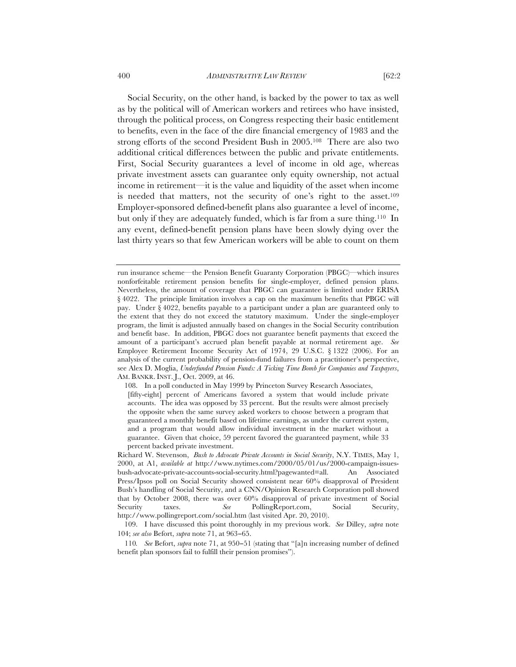Social Security, on the other hand, is backed by the power to tax as well as by the political will of American workers and retirees who have insisted, through the political process, on Congress respecting their basic entitlement to benefits, even in the face of the dire financial emergency of 1983 and the strong efforts of the second President Bush in 2005.108 There are also two additional critical differences between the public and private entitlements. First, Social Security guarantees a level of income in old age, whereas private investment assets can guarantee only equity ownership, not actual income in retirement—it is the value and liquidity of the asset when income is needed that matters, not the security of one's right to the asset.<sup>109</sup> Employer-sponsored defined-benefit plans also guarantee a level of income, but only if they are adequately funded, which is far from a sure thing.110 In any event, defined-benefit pension plans have been slowly dying over the last thirty years so that few American workers will be able to count on them

108. In a poll conducted in May 1999 by Princeton Survey Research Associates, [fifty-eight] percent of Americans favored a system that would include private accounts. The idea was opposed by 33 percent. But the results were almost precisely the opposite when the same survey asked workers to choose between a program that guaranteed a monthly benefit based on lifetime earnings, as under the current system, and a program that would allow individual investment in the market without a guarantee. Given that choice, 59 percent favored the guaranteed payment, while 33 percent backed private investment.

run insurance scheme—the Pension Benefit Guaranty Corporation (PBGC)—which insures nonforfeitable retirement pension benefits for single-employer, defined pension plans. Nevertheless, the amount of coverage that PBGC can guarantee is limited under ERISA § 4022. The principle limitation involves a cap on the maximum benefits that PBGC will pay. Under § 4022, benefits payable to a participant under a plan are guaranteed only to the extent that they do not exceed the statutory maximum. Under the single-employer program, the limit is adjusted annually based on changes in the Social Security contribution and benefit base. In addition, PBGC does not guarantee benefit payments that exceed the amount of a participant's accrued plan benefit payable at normal retirement age. *See*  Employee Retirement Income Security Act of 1974, 29 U.S.C. § 1322 (2006). For an analysis of the current probability of pension-fund failures from a practitioner's perspective, see Alex D. Moglia, *Underfunded Pension Funds: A Ticking Time Bomb for Companies and Taxpayers*, AM. BANKR. INST. J., Oct. 2009, at 46.

Richard W. Stevenson, *Bush to Advocate Private Accounts in Social Security*, N.Y. TIMES, May 1, 2000, at A1, *available at* http://www.nytimes.com/2000/05/01/us/2000-campaign-issuesbush-advocate-private-accounts-social-security.html?pagewanted=all. An Associated Press/Ipsos poll on Social Security showed consistent near 60% disapproval of President Bush's handling of Social Security, and a CNN/Opinion Research Corporation poll showed that by October 2008, there was over 60% disapproval of private investment of Social Security taxes. *See* PollingReport.com, Social Security, http://www.pollingreport.com/social.htm (last visited Apr. 20, 2010).

<sup>109.</sup> I have discussed this point thoroughly in my previous work. *See* Dilley, *supra* note 104; *see also* Befort, *supra* note 71, at 963−65.

<sup>110</sup>*. See* Befort, *supra* note 71, at 950−51 (stating that "[a]n increasing number of defined benefit plan sponsors fail to fulfill their pension promises").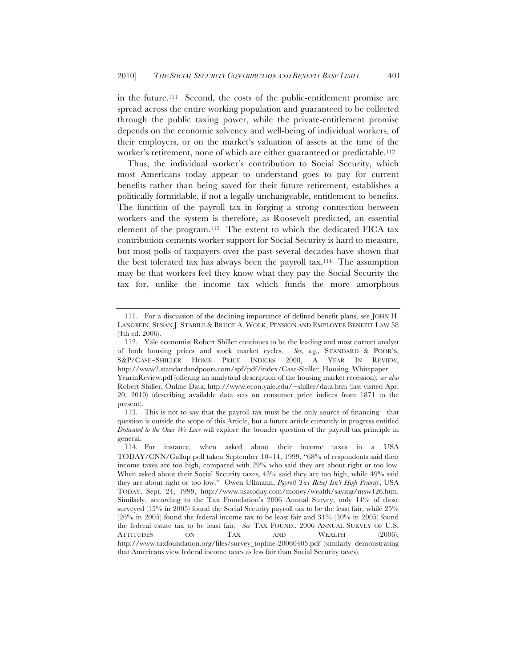in the future.111 Second, the costs of the public-entitlement promise are spread across the entire working population and guaranteed to be collected through the public taxing power, while the private-entitlement promise depends on the economic solvency and well-being of individual workers, of their employers, or on the market's valuation of assets at the time of the worker's retirement, none of which are either guaranteed or predictable.112

Thus, the individual worker's contribution to Social Security, which most Americans today appear to understand goes to pay for current benefits rather than being saved for their future retirement, establishes a politically formidable, if not a legally unchangeable, entitlement to benefits. The function of the payroll tax in forging a strong connection between workers and the system is therefore, as Roosevelt predicted, an essential element of the program.113 The extent to which the dedicated FICA tax contribution cements worker support for Social Security is hard to measure, but most polls of taxpayers over the past several decades have shown that the best tolerated tax has always been the payroll tax.114 The assumption may be that workers feel they know what they pay the Social Security the tax for, unlike the income tax which funds the more amorphous

<sup>111.</sup> For a discussion of the declining importance of defined benefit plans, see JOHN H. LANGBEIN, SUSAN J. STABILE & BRUCE A. WOLK, PENSION AND EMPLOYEE BENEFIT LAW 58 (4th ed. 2006).

<sup>112.</sup> Yale economist Robert Shiller continues to be the leading and most correct analyst of both housing prices and stock market cycles. *See, e.g.*, STANDARD & POOR'S, S&P/CASE−SHILLER HOME PRICE INDICES 2008, A YEAR IN REVIEW, http://www2.standardandpoors.com/spf/pdf/index/Case-Shiller\_Housing\_Whitepaper\_ YearinReview.pdf (offering an analytical description of the housing market recession); *see also* Robert Shiller, Online Data, http://www.econ.yale.edu/~shiller/data.htm (last visited Apr. 20, 2010) (describing available data sets on consumer price indices from 1871 to the present).

<sup>113.</sup> This is not to say that the payroll tax must be the only source of financing—that question is outside the scope of this Article, but a future article currently in progress entitled *Dedicated to the Ones We Love* will explore the broader question of the payroll tax principle in general.

<sup>114.</sup> For instance, when asked about their income taxes in a USA TODAY/CNN/Gallup poll taken September 10−14, 1999, "68% of respondents said their income taxes are too high, compared with 29% who said they are about right or too low. When asked about their Social Security taxes, 43% said they are too high, while 49% said they are about right or too low." Owen Ullmann, *Payroll Tax Relief Isn't High Priority*, USA TODAY, Sept. 24, 1999, http://www.usatoday.com/money/wealth/saving/msw126.htm. Similarly, according to the Tax Foundation's 2006 Annual Survey, only 14% of those surveyed (15% in 2005) found the Social Security payroll tax to be the least fair, while 25% (26% in 2005) found the federal income tax to be least fair and 31% (30% in 2005) found the federal estate tax to be least fair. *See* TAX FOUND., 2006 ANNUAL SURVEY OF U.S. ATTITUDES ON TAX AND WEALTH (2006), http://www.taxfoundation.org/files/survey\_topline-20060405.pdf (similarly demonstrating that Americans view federal income taxes as less fair than Social Security taxes).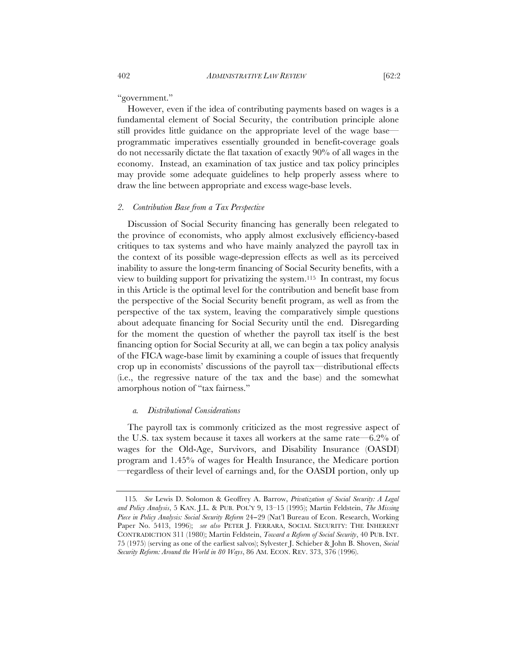"government."

However, even if the idea of contributing payments based on wages is a fundamental element of Social Security, the contribution principle alone still provides little guidance on the appropriate level of the wage base programmatic imperatives essentially grounded in benefit-coverage goals do not necessarily dictate the flat taxation of exactly 90% of all wages in the economy. Instead, an examination of tax justice and tax policy principles may provide some adequate guidelines to help properly assess where to draw the line between appropriate and excess wage-base levels.

# *2. Contribution Base from a Tax Perspective*

Discussion of Social Security financing has generally been relegated to the province of economists, who apply almost exclusively efficiency-based critiques to tax systems and who have mainly analyzed the payroll tax in the context of its possible wage-depression effects as well as its perceived inability to assure the long-term financing of Social Security benefits, with a view to building support for privatizing the system.115 In contrast, my focus in this Article is the optimal level for the contribution and benefit base from the perspective of the Social Security benefit program, as well as from the perspective of the tax system, leaving the comparatively simple questions about adequate financing for Social Security until the end. Disregarding for the moment the question of whether the payroll tax itself is the best financing option for Social Security at all, we can begin a tax policy analysis of the FICA wage-base limit by examining a couple of issues that frequently crop up in economists' discussions of the payroll tax—distributional effects (i.e., the regressive nature of the tax and the base) and the somewhat amorphous notion of "tax fairness."

### *a. Distributional Considerations*

The payroll tax is commonly criticized as the most regressive aspect of the U.S. tax system because it taxes all workers at the same rate—6.2% of wages for the Old-Age, Survivors, and Disability Insurance (OASDI) program and 1.45% of wages for Health Insurance, the Medicare portion —regardless of their level of earnings and, for the OASDI portion, only up

<sup>115</sup>*. See* Lewis D. Solomon & Geoffrey A. Barrow, *Privatization of Social Security: A Legal and Policy Analysis*, 5 KAN. J.L. & PUB. POL'Y 9, 13–15 (1995); Martin Feldstein, *The Missing Piece in Policy Analysis: Social Security Reform* 24−29 (Nat'l Bureau of Econ. Research, Working Paper No. 5413, 1996); *see also* PETER J. FERRARA, SOCIAL SECURITY: THE INHERENT CONTRADICTION 311 (1980); Martin Feldstein, *Toward a Reform of Social Security*, 40 PUB. INT. 75 (1975) (serving as one of the earliest salvos); Sylvester J. Schieber & John B. Shoven, *Social Security Reform: Around the World in 80 Ways*, 86 AM. ECON. REV. 373, 376 (1996).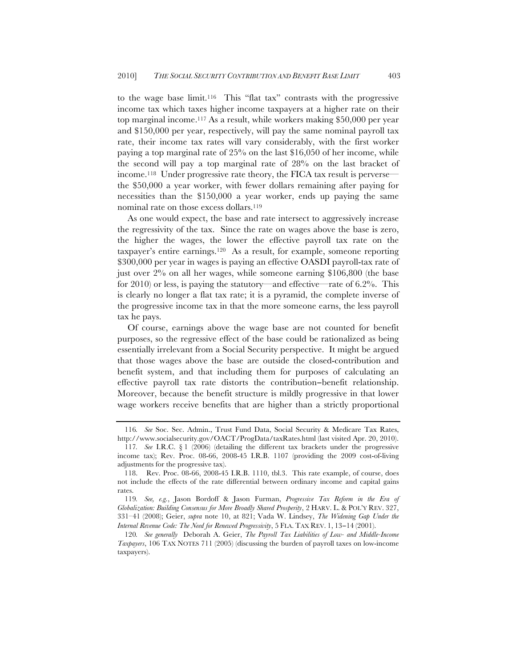to the wage base limit.116 This "flat tax" contrasts with the progressive income tax which taxes higher income taxpayers at a higher rate on their top marginal income.117 As a result, while workers making \$50,000 per year and \$150,000 per year, respectively, will pay the same nominal payroll tax rate, their income tax rates will vary considerably, with the first worker paying a top marginal rate of 25% on the last \$16,050 of her income, while the second will pay a top marginal rate of 28% on the last bracket of income.118 Under progressive rate theory, the FICA tax result is perverse the \$50,000 a year worker, with fewer dollars remaining after paying for necessities than the \$150,000 a year worker, ends up paying the same nominal rate on those excess dollars.119

As one would expect, the base and rate intersect to aggressively increase the regressivity of the tax. Since the rate on wages above the base is zero, the higher the wages, the lower the effective payroll tax rate on the taxpayer's entire earnings.120 As a result, for example, someone reporting \$300,000 per year in wages is paying an effective OASDI payroll-tax rate of just over 2% on all her wages, while someone earning \$106,800 (the base for 2010) or less, is paying the statutory—and effective—rate of 6.2%. This is clearly no longer a flat tax rate; it is a pyramid, the complete inverse of the progressive income tax in that the more someone earns, the less payroll tax he pays.

Of course, earnings above the wage base are not counted for benefit purposes, so the regressive effect of the base could be rationalized as being essentially irrelevant from a Social Security perspective. It might be argued that those wages above the base are outside the closed-contribution and benefit system, and that including them for purposes of calculating an effective payroll tax rate distorts the contribution−benefit relationship. Moreover, because the benefit structure is mildly progressive in that lower wage workers receive benefits that are higher than a strictly proportional

<sup>116</sup>*. See* Soc. Sec. Admin., Trust Fund Data, Social Security & Medicare Tax Rates, http://www.socialsecurity.gov/OACT/ProgData/taxRates.html (last visited Apr. 20, 2010).

<sup>117</sup>*. See* I.R.C. § 1 (2006) (detailing the different tax brackets under the progressive income tax); Rev. Proc. 08-66, 2008-45 I.R.B. 1107 (providing the 2009 cost-of-living adjustments for the progressive tax).

<sup>118.</sup> Rev. Proc. 08-66, 2008-45 I.R.B. 1110, tbl.3. This rate example, of course, does not include the effects of the rate differential between ordinary income and capital gains rates.

<sup>119</sup>*. See, e.g.*, Jason Bordoff & Jason Furman, *Progressive Tax Reform in the Era of Globalization: Building Consensus for More Broadly Shared Prosperity*, 2 HARV. L. & POL'Y REV. 327, 331–41 (2008); Geier, *supra* note 10, at 821; Vada W. Lindsey, *The Widening Gap Under the Internal Revenue Code: The Need for Renewed Progressivity*, 5 FLA. TAX REV. 1, 13−14 (2001).

<sup>120</sup>*. See generally* Deborah A. Geier, *The Payroll Tax Liabilities of Low- and Middle-Income Taxpayers*, 106 TAX NOTES 711 (2005) (discussing the burden of payroll taxes on low-income taxpayers).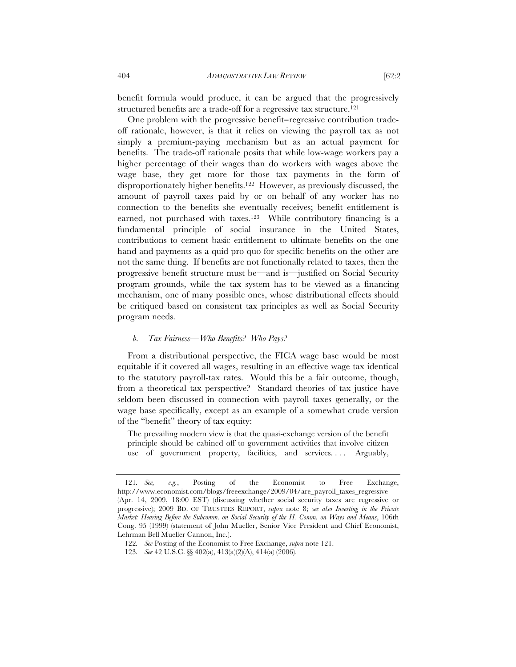benefit formula would produce, it can be argued that the progressively structured benefits are a trade-off for a regressive tax structure.<sup>121</sup>

One problem with the progressive benefit−regressive contribution tradeoff rationale, however, is that it relies on viewing the payroll tax as not simply a premium-paying mechanism but as an actual payment for benefits. The trade-off rationale posits that while low-wage workers pay a higher percentage of their wages than do workers with wages above the wage base, they get more for those tax payments in the form of disproportionately higher benefits.122 However, as previously discussed, the amount of payroll taxes paid by or on behalf of any worker has no connection to the benefits she eventually receives; benefit entitlement is earned, not purchased with taxes.123 While contributory financing is a fundamental principle of social insurance in the United States, contributions to cement basic entitlement to ultimate benefits on the one hand and payments as a quid pro quo for specific benefits on the other are not the same thing. If benefits are not functionally related to taxes, then the progressive benefit structure must be—and is—justified on Social Security program grounds, while the tax system has to be viewed as a financing mechanism, one of many possible ones, whose distributional effects should be critiqued based on consistent tax principles as well as Social Security program needs.

# *b. Tax Fairness—Who Benefits? Who Pays?*

From a distributional perspective, the FICA wage base would be most equitable if it covered all wages, resulting in an effective wage tax identical to the statutory payroll-tax rates. Would this be a fair outcome, though, from a theoretical tax perspective? Standard theories of tax justice have seldom been discussed in connection with payroll taxes generally, or the wage base specifically, except as an example of a somewhat crude version of the "benefit" theory of tax equity:

The prevailing modern view is that the quasi-exchange version of the benefit principle should be cabined off to government activities that involve citizen use of government property, facilities, and services.... Arguably,

<sup>121</sup>*. See, e.g.*, Posting of the Economist to Free Exchange, http://www.economist.com/blogs/freeexchange/2009/04/are\_payroll\_taxes\_regressive (Apr. 14, 2009, 18:00 EST) (discussing whether social security taxes are regressive or progressive); 2009 BD. OF TRUSTEES REPORT, *supra* note 8; *see also Investing in the Private Market: Hearing Before the Subcomm. on Social Security of the H. Comm. on Ways and Means*, 106th Cong. 95 (1999) (statement of John Mueller, Senior Vice President and Chief Economist, Lehrman Bell Mueller Cannon, Inc.).

<sup>122</sup>*. See* Posting of the Economist to Free Exchange, *supra* note 121.

<sup>123</sup>*. See* 42 U.S.C. §§ 402(a), 413(a)(2)(A), 414(a) (2006).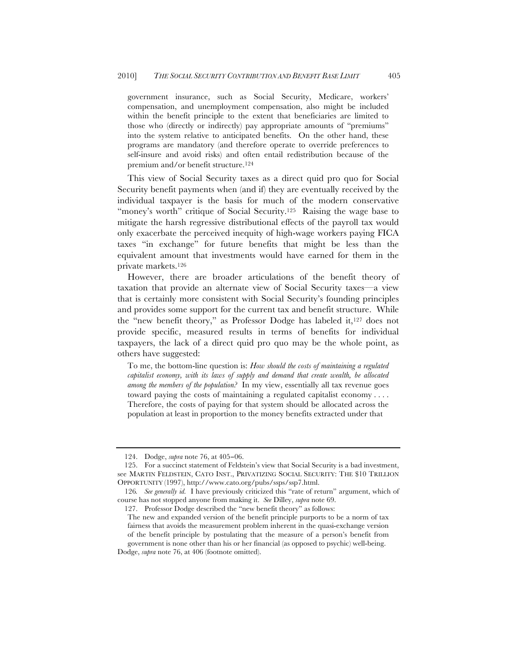government insurance, such as Social Security, Medicare, workers' compensation, and unemployment compensation, also might be included within the benefit principle to the extent that beneficiaries are limited to those who (directly or indirectly) pay appropriate amounts of "premiums" into the system relative to anticipated benefits. On the other hand, these programs are mandatory (and therefore operate to override preferences to self-insure and avoid risks) and often entail redistribution because of the premium and/or benefit structure.124

This view of Social Security taxes as a direct quid pro quo for Social Security benefit payments when (and if) they are eventually received by the individual taxpayer is the basis for much of the modern conservative "money's worth" critique of Social Security.<sup>125</sup> Raising the wage base to mitigate the harsh regressive distributional effects of the payroll tax would only exacerbate the perceived inequity of high-wage workers paying FICA taxes "in exchange" for future benefits that might be less than the equivalent amount that investments would have earned for them in the private markets.126

However, there are broader articulations of the benefit theory of taxation that provide an alternate view of Social Security taxes—a view that is certainly more consistent with Social Security's founding principles and provides some support for the current tax and benefit structure. While the "new benefit theory," as Professor Dodge has labeled it,127 does not provide specific, measured results in terms of benefits for individual taxpayers, the lack of a direct quid pro quo may be the whole point, as others have suggested:

To me, the bottom-line question is: *How should the costs of maintaining a regulated capitalist economy, with its laws of supply and demand that create wealth, be allocated among the members of the population?* In my view, essentially all tax revenue goes toward paying the costs of maintaining a regulated capitalist economy . . . . Therefore, the costs of paying for that system should be allocated across the population at least in proportion to the money benefits extracted under that

<sup>124.</sup> Dodge, *supra* note 76, at 405−06.

<sup>125.</sup> For a succinct statement of Feldstein's view that Social Security is a bad investment, see MARTIN FELDSTEIN, CATO INST., PRIVATIZING SOCIAL SECURITY: THE \$10 TRILLION OPPORTUNITY (1997), http://www.cato.org/pubs/ssps/ssp7.html.

<sup>126</sup>*. See generally id.* I have previously criticized this "rate of return" argument, which of course has not stopped anyone from making it. *See* Dilley, *supra* note 69.

<sup>127.</sup> Professor Dodge described the "new benefit theory" as follows:

The new and expanded version of the benefit principle purports to be a norm of tax fairness that avoids the measurement problem inherent in the quasi-exchange version of the benefit principle by postulating that the measure of a person's benefit from government is none other than his or her financial (as opposed to psychic) well-being.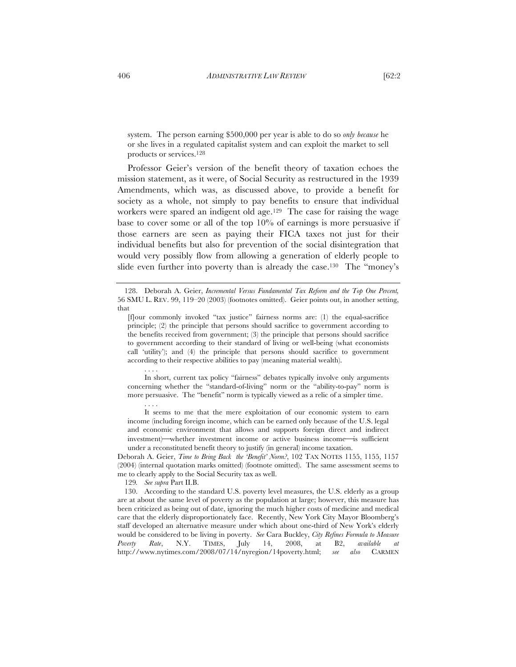system. The person earning \$500,000 per year is able to do so *only because* he or she lives in a regulated capitalist system and can exploit the market to sell products or services.128

Professor Geier's version of the benefit theory of taxation echoes the mission statement, as it were, of Social Security as restructured in the 1939 Amendments, which was, as discussed above, to provide a benefit for society as a whole, not simply to pay benefits to ensure that individual workers were spared an indigent old age.129 The case for raising the wage base to cover some or all of the top 10% of earnings is more persuasive if those earners are seen as paying their FICA taxes not just for their individual benefits but also for prevention of the social disintegration that would very possibly flow from allowing a generation of elderly people to slide even further into poverty than is already the case.<sup>130</sup> The "money's

In short, current tax policy "fairness" debates typically involve only arguments concerning whether the "standard-of-living" norm or the "ability-to-pay" norm is more persuasive. The "benefit" norm is typically viewed as a relic of a simpler time.

. . . . It seems to me that the mere exploitation of our economic system to earn income (including foreign income, which can be earned only because of the U.S. legal and economic environment that allows and supports foreign direct and indirect investment)—whether investment income or active business income—is sufficient under a reconstituted benefit theory to justify (in general) income taxation.

Deborah A. Geier, *Time to Bring Back the 'Benefit' Norm?*, 102 TAX NOTES 1155, 1155, 1157 (2004) (internal quotation marks omitted) (footnote omitted). The same assessment seems to me to clearly apply to the Social Security tax as well.

129*. See supra* Part II.B.

. . . .

<sup>128.</sup> Deborah A. Geier, *Incremental Versus Fundamental Tax Reform and the Top One Percent,* 56 SMU L. REV. 99, 119–20 (2003) (footnotes omitted). Geier points out, in another setting, that

<sup>[</sup>f]our commonly invoked "tax justice" fairness norms are: (1) the equal-sacrifice principle; (2) the principle that persons should sacrifice to government according to the benefits received from government; (3) the principle that persons should sacrifice to government according to their standard of living or well-being (what economists call 'utility'); and (4) the principle that persons should sacrifice to government according to their respective abilities to pay (meaning material wealth).

<sup>130.</sup> According to the standard U.S. poverty level measures, the U.S. elderly as a group are at about the same level of poverty as the population at large; however, this measure has been criticized as being out of date, ignoring the much higher costs of medicine and medical care that the elderly disproportionately face. Recently, New York City Mayor Bloomberg's staff developed an alternative measure under which about one-third of New York's elderly would be considered to be living in poverty. *See* Cara Buckley, *City Refines Formula to Measure Poverty Rate*, N.Y. TIMES, July 14, 2008, at B2, *available at*  http://www.nytimes.com/2008/07/14/nyregion/14poverty.html; *see also* CARMEN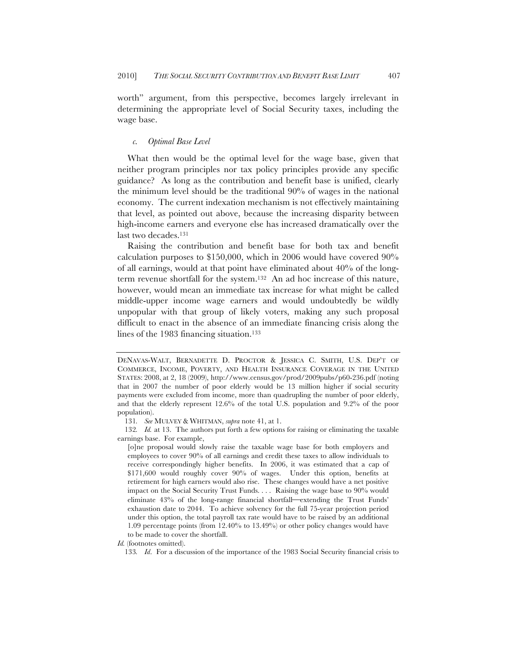worth" argument, from this perspective, becomes largely irrelevant in determining the appropriate level of Social Security taxes, including the wage base.

## *c. Optimal Base Level*

What then would be the optimal level for the wage base, given that neither program principles nor tax policy principles provide any specific guidance? As long as the contribution and benefit base is unified, clearly the minimum level should be the traditional 90% of wages in the national economy. The current indexation mechanism is not effectively maintaining that level, as pointed out above, because the increasing disparity between high-income earners and everyone else has increased dramatically over the last two decades.131

Raising the contribution and benefit base for both tax and benefit calculation purposes to \$150,000, which in 2006 would have covered 90% of all earnings, would at that point have eliminated about 40% of the longterm revenue shortfall for the system.132 An ad hoc increase of this nature, however, would mean an immediate tax increase for what might be called middle-upper income wage earners and would undoubtedly be wildly unpopular with that group of likely voters, making any such proposal difficult to enact in the absence of an immediate financing crisis along the lines of the 1983 financing situation.133

DENAVAS-WALT, BERNADETTE D. PROCTOR & JESSICA C. SMITH, U.S. DEP'T OF COMMERCE, INCOME, POVERTY, AND HEALTH INSURANCE COVERAGE IN THE UNITED STATES: 2008, at 2, 18 (2009), http://www.census.gov/prod/2009pubs/p60-236.pdf (noting that in 2007 the number of poor elderly would be 13 million higher if social security payments were excluded from income, more than quadrupling the number of poor elderly, and that the elderly represent 12.6% of the total U.S. population and 9.2% of the poor population).

<sup>131</sup>*. See* MULVEY & WHITMAN, *supra* note 41, at 1.

<sup>132</sup>*. Id.* at 13. The authors put forth a few options for raising or eliminating the taxable earnings base. For example,

<sup>[</sup>o]ne proposal would slowly raise the taxable wage base for both employers and employees to cover 90% of all earnings and credit these taxes to allow individuals to receive correspondingly higher benefits. In 2006, it was estimated that a cap of \$171,600 would roughly cover 90% of wages. Under this option, benefits at retirement for high earners would also rise. These changes would have a net positive impact on the Social Security Trust Funds. . . . Raising the wage base to 90% would eliminate 43% of the long-range financial shortfall—extending the Trust Funds' exhaustion date to 2044. To achieve solvency for the full 75-year projection period under this option, the total payroll tax rate would have to be raised by an additional 1.09 percentage points (from 12.40% to 13.49%) or other policy changes would have to be made to cover the shortfall.

*Id.* (footnotes omitted).

<sup>133</sup>*. Id*. For a discussion of the importance of the 1983 Social Security financial crisis to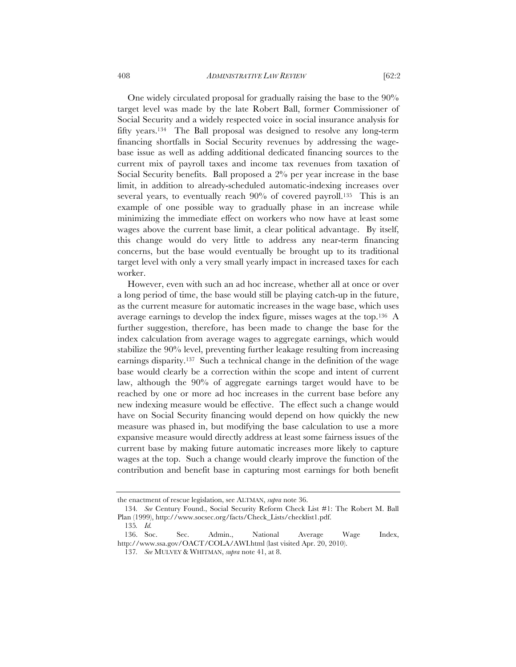One widely circulated proposal for gradually raising the base to the 90% target level was made by the late Robert Ball, former Commissioner of

Social Security and a widely respected voice in social insurance analysis for fifty years.134 The Ball proposal was designed to resolve any long-term financing shortfalls in Social Security revenues by addressing the wagebase issue as well as adding additional dedicated financing sources to the current mix of payroll taxes and income tax revenues from taxation of Social Security benefits. Ball proposed a 2% per year increase in the base limit, in addition to already-scheduled automatic-indexing increases over several years, to eventually reach 90% of covered payroll.<sup>135</sup> This is an example of one possible way to gradually phase in an increase while minimizing the immediate effect on workers who now have at least some wages above the current base limit, a clear political advantage. By itself, this change would do very little to address any near-term financing concerns, but the base would eventually be brought up to its traditional target level with only a very small yearly impact in increased taxes for each worker.

However, even with such an ad hoc increase, whether all at once or over a long period of time, the base would still be playing catch-up in the future, as the current measure for automatic increases in the wage base, which uses average earnings to develop the index figure, misses wages at the top.136 A further suggestion, therefore, has been made to change the base for the index calculation from average wages to aggregate earnings, which would stabilize the 90% level, preventing further leakage resulting from increasing earnings disparity.137 Such a technical change in the definition of the wage base would clearly be a correction within the scope and intent of current law, although the 90% of aggregate earnings target would have to be reached by one or more ad hoc increases in the current base before any new indexing measure would be effective. The effect such a change would have on Social Security financing would depend on how quickly the new measure was phased in, but modifying the base calculation to use a more expansive measure would directly address at least some fairness issues of the current base by making future automatic increases more likely to capture wages at the top. Such a change would clearly improve the function of the contribution and benefit base in capturing most earnings for both benefit

the enactment of rescue legislation, see ALTMAN, *supra* note 36.

<sup>134</sup>*. See* Century Found., Social Security Reform Check List #1: The Robert M. Ball Plan (1999), http://www.socsec.org/facts/Check\_Lists/checklist1.pdf.

<sup>135</sup>*. Id.*

<sup>136.</sup> Soc. Sec. Admin., National Average Wage Index, http://www.ssa.gov/OACT/COLA/AWI.html (last visited Apr. 20, 2010).

<sup>137</sup>*. See* MULVEY & WHITMAN, *supra* note 41, at 8.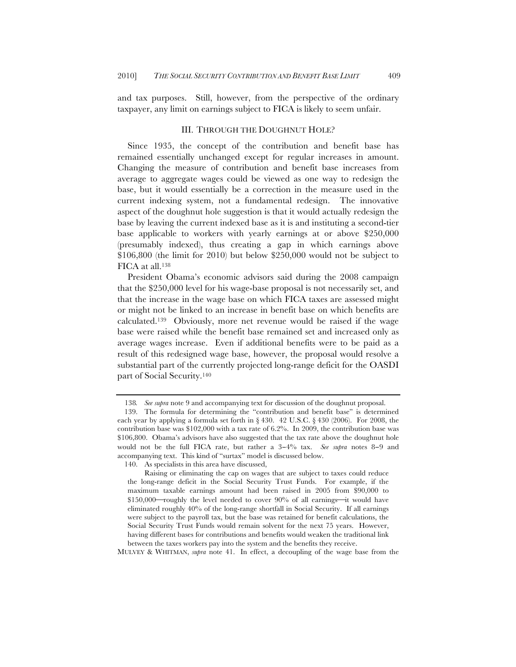and tax purposes. Still, however, from the perspective of the ordinary taxpayer, any limit on earnings subject to FICA is likely to seem unfair.

# III. THROUGH THE DOUGHNUT HOLE?

Since 1935, the concept of the contribution and benefit base has remained essentially unchanged except for regular increases in amount. Changing the measure of contribution and benefit base increases from average to aggregate wages could be viewed as one way to redesign the base, but it would essentially be a correction in the measure used in the current indexing system, not a fundamental redesign. The innovative aspect of the doughnut hole suggestion is that it would actually redesign the base by leaving the current indexed base as it is and instituting a second-tier base applicable to workers with yearly earnings at or above \$250,000 (presumably indexed), thus creating a gap in which earnings above \$106,800 (the limit for 2010) but below \$250,000 would not be subject to FICA at all.138

President Obama's economic advisors said during the 2008 campaign that the \$250,000 level for his wage-base proposal is not necessarily set, and that the increase in the wage base on which FICA taxes are assessed might or might not be linked to an increase in benefit base on which benefits are calculated.139 Obviously, more net revenue would be raised if the wage base were raised while the benefit base remained set and increased only as average wages increase. Even if additional benefits were to be paid as a result of this redesigned wage base, however, the proposal would resolve a substantial part of the currently projected long-range deficit for the OASDI part of Social Security.140

MULVEY & WHITMAN, *supra* note 41. In effect, a decoupling of the wage base from the

<sup>138</sup>*. See supra* note 9 and accompanying text for discussion of the doughnut proposal.

<sup>139.</sup> The formula for determining the "contribution and benefit base" is determined each year by applying a formula set forth in  $\S 430$ .  $42 \text{ U.S.C.} \ \S 430 \ (2006)$ . For 2008, the contribution base was \$102,000 with a tax rate of 6.2%. In 2009, the contribution base was \$106,800. Obama's advisors have also suggested that the tax rate above the doughnut hole would not be the full FICA rate, but rather a 3−4% tax. *See supra* notes 8−9 and accompanying text. This kind of "surtax" model is discussed below.

<sup>140.</sup> As specialists in this area have discussed,

Raising or eliminating the cap on wages that are subject to taxes could reduce the long-range deficit in the Social Security Trust Funds. For example, if the maximum taxable earnings amount had been raised in 2005 from \$90,000 to  $$150,000$  roughly the level needed to cover 90% of all earnings-it would have eliminated roughly 40% of the long-range shortfall in Social Security. If all earnings were subject to the payroll tax, but the base was retained for benefit calculations, the Social Security Trust Funds would remain solvent for the next 75 years. However, having different bases for contributions and benefits would weaken the traditional link between the taxes workers pay into the system and the benefits they receive.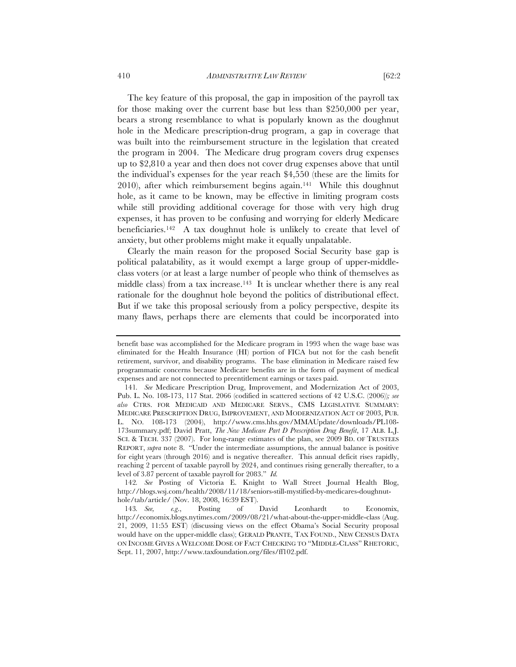The key feature of this proposal, the gap in imposition of the payroll tax for those making over the current base but less than \$250,000 per year, bears a strong resemblance to what is popularly known as the doughnut hole in the Medicare prescription-drug program, a gap in coverage that was built into the reimbursement structure in the legislation that created the program in 2004. The Medicare drug program covers drug expenses up to \$2,810 a year and then does not cover drug expenses above that until the individual's expenses for the year reach \$4,550 (these are the limits for 2010), after which reimbursement begins again.141 While this doughnut hole, as it came to be known, may be effective in limiting program costs while still providing additional coverage for those with very high drug expenses, it has proven to be confusing and worrying for elderly Medicare beneficiaries.142 A tax doughnut hole is unlikely to create that level of anxiety, but other problems might make it equally unpalatable.

Clearly the main reason for the proposed Social Security base gap is political palatability, as it would exempt a large group of upper-middleclass voters (or at least a large number of people who think of themselves as middle class) from a tax increase.<sup>143</sup> It is unclear whether there is any real rationale for the doughnut hole beyond the politics of distributional effect. But if we take this proposal seriously from a policy perspective, despite its many flaws, perhaps there are elements that could be incorporated into

benefit base was accomplished for the Medicare program in 1993 when the wage base was eliminated for the Health Insurance (HI) portion of FICA but not for the cash benefit retirement, survivor, and disability programs. The base elimination in Medicare raised few programmatic concerns because Medicare benefits are in the form of payment of medical expenses and are not connected to preentitlement earnings or taxes paid.

<sup>141</sup>*. See* Medicare Prescription Drug, Improvement, and Modernization Act of 2003, Pub. L. No. 108-173, 117 Stat. 2066 (codified in scattered sections of 42 U.S.C. (2006))*; see also* CTRS. FOR MEDICAID AND MEDICARE SERVS., CMS LEGISLATIVE SUMMARY: MEDICARE PRESCRIPTION DRUG, IMPROVEMENT, AND MODERNIZATION ACT OF 2003, PUB. L. NO. 108-173 (2004), http://www.cms.hhs.gov/MMAUpdate/downloads/PL108- 173summary.pdf; David Pratt, *The New Medicare Part D Prescription Drug Benefit*, 17 ALB. L.J. SCI. & TECH. 337 (2007). For long-range estimates of the plan, see 2009 BD. OF TRUSTEES REPORT, *supra* note 8. "Under the intermediate assumptions, the annual balance is positive for eight years (through 2016) and is negative thereafter. This annual deficit rises rapidly, reaching 2 percent of taxable payroll by 2024, and continues rising generally thereafter, to a level of 3.87 percent of taxable payroll for 2083." *Id.* 

<sup>142</sup>*. See* Posting of Victoria E. Knight to Wall Street Journal Health Blog, http://blogs.wsj.com/health/2008/11/18/seniors-still-mystified-by-medicares-doughnuthole/tab/article/ (Nov. 18, 2008, 16:39 EST).

<sup>143</sup>*. See, e.g*., Posting of David Leonhardt to Economix, http://economix.blogs.nytimes.com/2009/08/21/what-about-the-upper-middle-class (Aug. 21, 2009, 11:55 EST) (discussing views on the effect Obama's Social Security proposal would have on the upper-middle class); GERALD PRANTE, TAX FOUND., NEW CENSUS DATA ON INCOME GIVES A WELCOME DOSE OF FACT CHECKING TO "MIDDLE-CLASS" RHETORIC, Sept. 11, 2007, http://www.taxfoundation.org/files/ff102.pdf.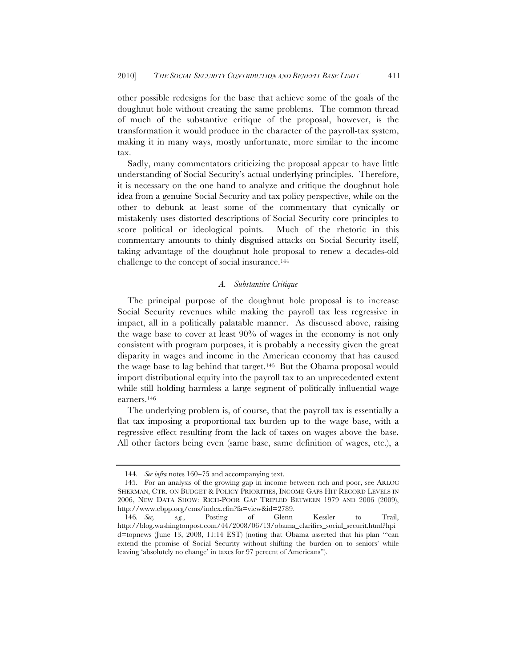other possible redesigns for the base that achieve some of the goals of the doughnut hole without creating the same problems. The common thread of much of the substantive critique of the proposal, however, is the transformation it would produce in the character of the payroll-tax system, making it in many ways, mostly unfortunate, more similar to the income tax.

Sadly, many commentators criticizing the proposal appear to have little understanding of Social Security's actual underlying principles. Therefore, it is necessary on the one hand to analyze and critique the doughnut hole idea from a genuine Social Security and tax policy perspective, while on the other to debunk at least some of the commentary that cynically or mistakenly uses distorted descriptions of Social Security core principles to score political or ideological points. Much of the rhetoric in this commentary amounts to thinly disguised attacks on Social Security itself, taking advantage of the doughnut hole proposal to renew a decades-old challenge to the concept of social insurance.144

# *A. Substantive Critique*

The principal purpose of the doughnut hole proposal is to increase Social Security revenues while making the payroll tax less regressive in impact, all in a politically palatable manner. As discussed above, raising the wage base to cover at least 90% of wages in the economy is not only consistent with program purposes, it is probably a necessity given the great disparity in wages and income in the American economy that has caused the wage base to lag behind that target.145 But the Obama proposal would import distributional equity into the payroll tax to an unprecedented extent while still holding harmless a large segment of politically influential wage earners.146

The underlying problem is, of course, that the payroll tax is essentially a flat tax imposing a proportional tax burden up to the wage base, with a regressive effect resulting from the lack of taxes on wages above the base. All other factors being even (same base, same definition of wages, etc.), a

<sup>144</sup>*. See infra* notes 160−75 and accompanying text.

<sup>145.</sup> For an analysis of the growing gap in income between rich and poor, see ARLOC SHERMAN, CTR. ON BUDGET & POLICY PRIORITIES, INCOME GAPS HIT RECORD LEVELS IN 2006, NEW DATA SHOW: RICH-POOR GAP TRIPLED BETWEEN 1979 AND 2006 (2009), http://www.cbpp.org/cms/index.cfm?fa=view&id=2789.

<sup>146</sup>*. See, e.g.*, Posting of Glenn Kessler to Trail, http://blog.washingtonpost.com/44/2008/06/13/obama\_clarifies\_social\_securit.html?hpi d=topnews (June 13, 2008, 11:14 EST) (noting that Obama asserted that his plan "'can extend the promise of Social Security without shifting the burden on to seniors' while leaving 'absolutely no change' in taxes for 97 percent of Americans").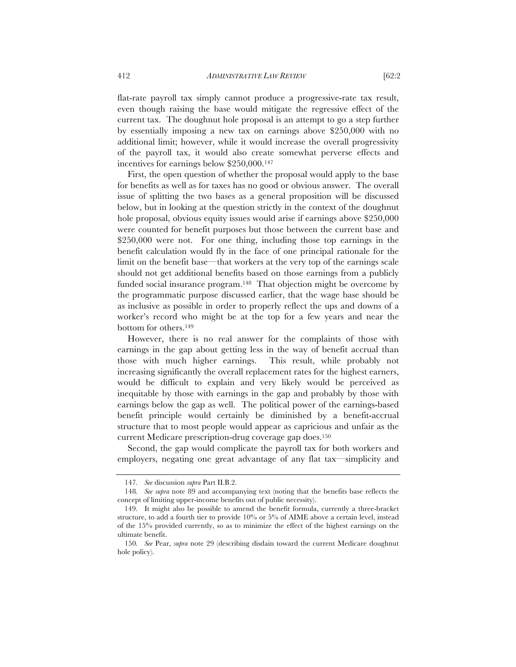flat-rate payroll tax simply cannot produce a progressive-rate tax result, even though raising the base would mitigate the regressive effect of the current tax. The doughnut hole proposal is an attempt to go a step further by essentially imposing a new tax on earnings above \$250,000 with no additional limit; however, while it would increase the overall progressivity of the payroll tax, it would also create somewhat perverse effects and incentives for earnings below \$250,000.147

First, the open question of whether the proposal would apply to the base for benefits as well as for taxes has no good or obvious answer. The overall issue of splitting the two bases as a general proposition will be discussed below, but in looking at the question strictly in the context of the doughnut hole proposal, obvious equity issues would arise if earnings above \$250,000 were counted for benefit purposes but those between the current base and \$250,000 were not. For one thing, including those top earnings in the benefit calculation would fly in the face of one principal rationale for the limit on the benefit base—that workers at the very top of the earnings scale should not get additional benefits based on those earnings from a publicly funded social insurance program.148 That objection might be overcome by the programmatic purpose discussed earlier, that the wage base should be as inclusive as possible in order to properly reflect the ups and downs of a worker's record who might be at the top for a few years and near the bottom for others.149

However, there is no real answer for the complaints of those with earnings in the gap about getting less in the way of benefit accrual than those with much higher earnings. This result, while probably not increasing significantly the overall replacement rates for the highest earners, would be difficult to explain and very likely would be perceived as inequitable by those with earnings in the gap and probably by those with earnings below the gap as well. The political power of the earnings-based benefit principle would certainly be diminished by a benefit-accrual structure that to most people would appear as capricious and unfair as the current Medicare prescription-drug coverage gap does.150

Second, the gap would complicate the payroll tax for both workers and employers, negating one great advantage of any flat tax—simplicity and

<sup>147</sup>*. See* discussion *supra* Part II.B.2.

<sup>148</sup>*. See supra* note 89 and accompanying text (noting that the benefits base reflects the concept of limiting upper-income benefits out of public necessity).

<sup>149.</sup> It might also be possible to amend the benefit formula, currently a three-bracket structure, to add a fourth tier to provide 10% or 5% of AIME above a certain level, instead of the 15% provided currently, so as to minimize the effect of the highest earnings on the ultimate benefit.

<sup>150</sup>*. See* Pear, *supra* note 29 (describing disdain toward the current Medicare doughnut hole policy).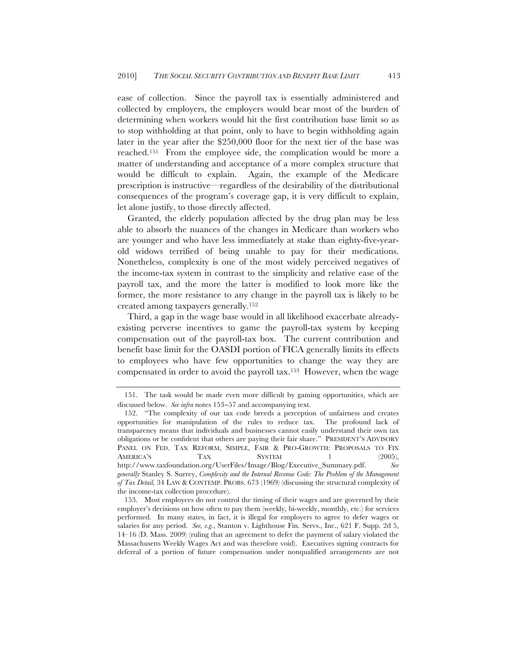ease of collection. Since the payroll tax is essentially administered and collected by employers, the employers would bear most of the burden of determining when workers would hit the first contribution base limit so as to stop withholding at that point, only to have to begin withholding again later in the year after the \$250,000 floor for the next tier of the base was reached.151 From the employee side, the complication would be more a matter of understanding and acceptance of a more complex structure that would be difficult to explain. Again, the example of the Medicare prescription is instructive—regardless of the desirability of the distributional consequences of the program's coverage gap, it is very difficult to explain, let alone justify, to those directly affected.

Granted, the elderly population affected by the drug plan may be less able to absorb the nuances of the changes in Medicare than workers who are younger and who have less immediately at stake than eighty-five-yearold widows terrified of being unable to pay for their medications. Nonetheless, complexity is one of the most widely perceived negatives of the income-tax system in contrast to the simplicity and relative ease of the payroll tax, and the more the latter is modified to look more like the former, the more resistance to any change in the payroll tax is likely to be created among taxpayers generally.152

Third, a gap in the wage base would in all likelihood exacerbate alreadyexisting perverse incentives to game the payroll-tax system by keeping compensation out of the payroll-tax box. The current contribution and benefit base limit for the OASDI portion of FICA generally limits its effects to employees who have few opportunities to change the way they are compensated in order to avoid the payroll tax.153 However, when the wage

<sup>151.</sup> The task would be made even more difficult by gaming opportunities, which are discussed below. *See infra* notes 153−57 and accompanying text.

<sup>152.</sup> "The complexity of our tax code breeds a perception of unfairness and creates opportunities for manipulation of the rules to reduce tax. The profound lack of transparency means that individuals and businesses cannot easily understand their own tax obligations or be confident that others are paying their fair share." PRESIDENT'S ADVISORY PANEL ON FED. TAX REFORM, SIMPLE, FAIR & PRO-GROWTH: PROPOSALS TO FIX AMERICA'S TAX SYSTEM 1 (2005), http://www.taxfoundation.org/UserFiles/Image/Blog/Executive\_Summary.pdf. *See generally* Stanley S. Surrey, *Complexity and the Internal Revenue Code: The Problem of the Management of Tax Detail,* 34 LAW & CONTEMP. PROBS. 673 (1969) (discussing the structural complexity of the income-tax collection procedure).

<sup>153.</sup> Most employees do not control the timing of their wages and are governed by their employer's decisions on how often to pay them (weekly, bi-weekly, monthly, etc.) for services performed. In many states, in fact, it is illegal for employers to agree to defer wages or salaries for any period. *See, e.g.*, Stanton v. Lighthouse Fin. Servs., Inc., 621 F. Supp. 2d 5, 14–16 (D. Mass. 2009) (ruling that an agreement to defer the payment of salary violated the Massachusetts Weekly Wages Act and was therefore void). Executives signing contracts for deferral of a portion of future compensation under nonqualified arrangements are not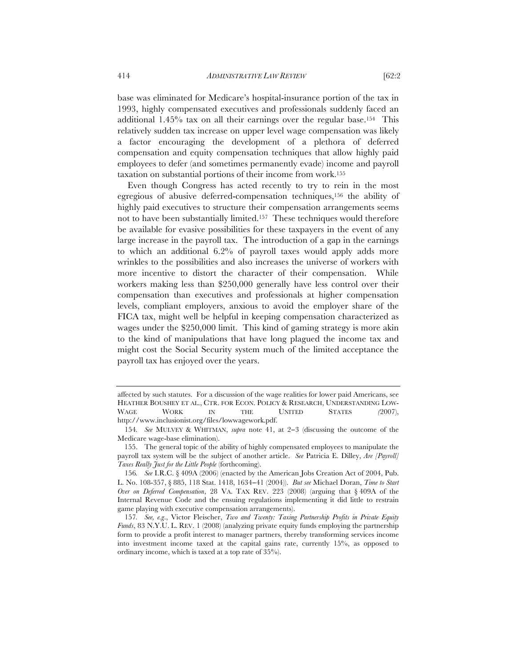base was eliminated for Medicare's hospital-insurance portion of the tax in 1993, highly compensated executives and professionals suddenly faced an additional 1.45% tax on all their earnings over the regular base.154 This relatively sudden tax increase on upper level wage compensation was likely a factor encouraging the development of a plethora of deferred compensation and equity compensation techniques that allow highly paid employees to defer (and sometimes permanently evade) income and payroll taxation on substantial portions of their income from work.155

Even though Congress has acted recently to try to rein in the most egregious of abusive deferred-compensation techniques,156 the ability of highly paid executives to structure their compensation arrangements seems not to have been substantially limited.157 These techniques would therefore be available for evasive possibilities for these taxpayers in the event of any large increase in the payroll tax. The introduction of a gap in the earnings to which an additional 6.2% of payroll taxes would apply adds more wrinkles to the possibilities and also increases the universe of workers with more incentive to distort the character of their compensation. While workers making less than \$250,000 generally have less control over their compensation than executives and professionals at higher compensation levels, compliant employers, anxious to avoid the employer share of the FICA tax, might well be helpful in keeping compensation characterized as wages under the \$250,000 limit. This kind of gaming strategy is more akin to the kind of manipulations that have long plagued the income tax and might cost the Social Security system much of the limited acceptance the payroll tax has enjoyed over the years.

affected by such statutes. For a discussion of the wage realities for lower paid Americans, see HEATHER BOUSHEY ET AL., CTR. FOR ECON. POLICY & RESEARCH, UNDERSTANDING LOW-WAGE WORK IN THE UNITED STATES *(*2007), http://www.inclusionist.org/files/lowwagework.pdf.

<sup>154</sup>*. See* MULVEY & WHITMAN, *supra* note 41, at 2−3 (discussing the outcome of the Medicare wage-base elimination).

<sup>155.</sup> The general topic of the ability of highly compensated employees to manipulate the payroll tax system will be the subject of another article. *See* Patricia E. Dilley, *Are [Payroll] Taxes Really Just for the Little People* (forthcoming).

<sup>156</sup>*. See* I.R.C. § 409A (2006) (enacted by the American Jobs Creation Act of 2004, Pub. L. No. 108-357, § 885, 118 Stat. 1418, 1634−41 (2004)). *But see* Michael Doran, *Time to Start Over on Deferred Compensation*, 28 VA. TAX REV. 223 (2008) (arguing that § 409A of the Internal Revenue Code and the ensuing regulations implementing it did little to restrain game playing with executive compensation arrangements).

<sup>157</sup>*. See, e.g*., Victor Fleischer, *Two and Twenty: Taxing Partnership Profits in Private Equity Funds*, 83 N.Y.U. L. REV. 1 (2008) (analyzing private equity funds employing the partnership form to provide a profit interest to manager partners, thereby transforming services income into investment income taxed at the capital gains rate, currently 15%, as opposed to ordinary income, which is taxed at a top rate of 35%).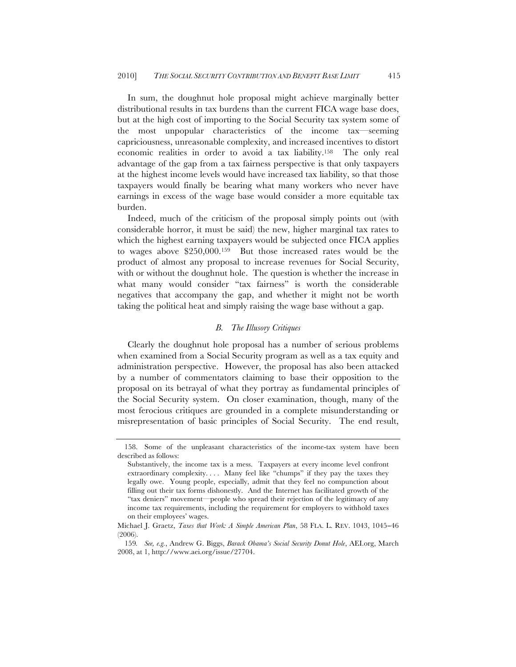In sum, the doughnut hole proposal might achieve marginally better distributional results in tax burdens than the current FICA wage base does, but at the high cost of importing to the Social Security tax system some of the most unpopular characteristics of the income tax—seeming capriciousness, unreasonable complexity, and increased incentives to distort economic realities in order to avoid a tax liability.158 The only real advantage of the gap from a tax fairness perspective is that only taxpayers at the highest income levels would have increased tax liability, so that those taxpayers would finally be bearing what many workers who never have earnings in excess of the wage base would consider a more equitable tax burden.

Indeed, much of the criticism of the proposal simply points out (with considerable horror, it must be said) the new, higher marginal tax rates to which the highest earning taxpayers would be subjected once FICA applies to wages above \$250,000.159 But those increased rates would be the product of almost any proposal to increase revenues for Social Security, with or without the doughnut hole. The question is whether the increase in what many would consider "tax fairness" is worth the considerable negatives that accompany the gap, and whether it might not be worth taking the political heat and simply raising the wage base without a gap.

# *B. The Illusory Critiques*

Clearly the doughnut hole proposal has a number of serious problems when examined from a Social Security program as well as a tax equity and administration perspective. However, the proposal has also been attacked by a number of commentators claiming to base their opposition to the proposal on its betrayal of what they portray as fundamental principles of the Social Security system. On closer examination, though, many of the most ferocious critiques are grounded in a complete misunderstanding or misrepresentation of basic principles of Social Security. The end result,

<sup>158.</sup> Some of the unpleasant characteristics of the income-tax system have been described as follows:

Substantively, the income tax is a mess. Taxpayers at every income level confront extraordinary complexity.... Many feel like "chumps" if they pay the taxes they legally owe. Young people, especially, admit that they feel no compunction about filling out their tax forms dishonestly. And the Internet has facilitated growth of the "tax deniers" movement—people who spread their rejection of the legitimacy of any income tax requirements, including the requirement for employers to withhold taxes on their employees' wages.

Michael J. Graetz, *Taxes that Work: A Simple American Plan*, 58 FLA. L. REV. 1043, 1045−46 (2006).

<sup>159</sup>*. See, e.g.*, Andrew G. Biggs, *Barack Obama's Social Security Donut Hole*, AEI.org, March 2008, at 1, http://www.aei.org/issue/27704.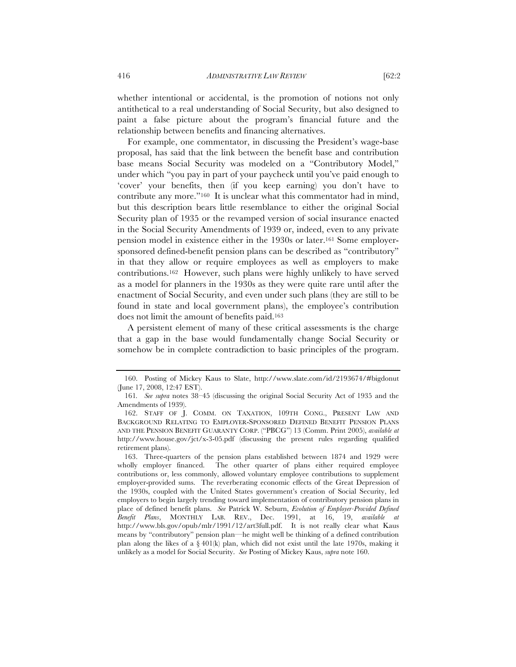whether intentional or accidental, is the promotion of notions not only antithetical to a real understanding of Social Security, but also designed to paint a false picture about the program's financial future and the relationship between benefits and financing alternatives.

For example, one commentator, in discussing the President's wage-base proposal, has said that the link between the benefit base and contribution base means Social Security was modeled on a "Contributory Model," under which "you pay in part of your paycheck until you've paid enough to 'cover' your benefits, then (if you keep earning) you don't have to contribute any more."160 It is unclear what this commentator had in mind, but this description bears little resemblance to either the original Social Security plan of 1935 or the revamped version of social insurance enacted in the Social Security Amendments of 1939 or, indeed, even to any private pension model in existence either in the 1930s or later.161 Some employersponsored defined-benefit pension plans can be described as "contributory" in that they allow or require employees as well as employers to make contributions.162 However, such plans were highly unlikely to have served as a model for planners in the 1930s as they were quite rare until after the enactment of Social Security, and even under such plans (they are still to be found in state and local government plans), the employee's contribution does not limit the amount of benefits paid.163

A persistent element of many of these critical assessments is the charge that a gap in the base would fundamentally change Social Security or somehow be in complete contradiction to basic principles of the program.

<sup>160.</sup> Posting of Mickey Kaus to Slate, http://www.slate.com/id/2193674/#bigdonut (June 17, 2008, 12:47 EST).

<sup>161</sup>*. See supra* notes 38–45 (discussing the original Social Security Act of 1935 and the Amendments of 1939).

<sup>162.</sup> STAFF OF J. COMM. ON TAXATION, 109TH CONG., PRESENT LAW AND BACKGROUND RELATING TO EMPLOYER-SPONSORED DEFINED BENEFIT PENSION PLANS AND THE PENSION BENEFIT GUARANTY CORP. ("PBCG") 13 (Comm. Print 2005), *available at* http://www.house.gov/jct/x-3-05.pdf (discussing the present rules regarding qualified retirement plans).

<sup>163.</sup> Three-quarters of the pension plans established between 1874 and 1929 were wholly employer financed. The other quarter of plans either required employee contributions or, less commonly, allowed voluntary employee contributions to supplement employer-provided sums. The reverberating economic effects of the Great Depression of the 1930s, coupled with the United States government's creation of Social Security, led employers to begin largely trending toward implementation of contributory pension plans in place of defined benefit plans. *See* Patrick W. Seburn, *Evolution of Employer-Provided Defined Benefit Plans*, MONTHLY LAB. REV., Dec. 1991, at 16, 19, *available at* http://www.bls.gov/opub/mlr/1991/12/art3full.pdf. It is not really clear what Kaus means by "contributory" pension plan—he might well be thinking of a defined contribution plan along the likes of a  $\S 401(k)$  plan, which did not exist until the late 1970s, making it unlikely as a model for Social Security. *See* Posting of Mickey Kaus, *supra* note 160.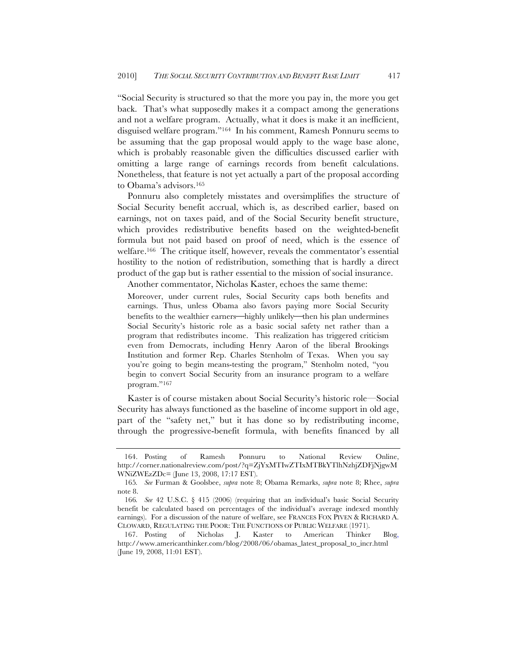"Social Security is structured so that the more you pay in, the more you get back. That's what supposedly makes it a compact among the generations and not a welfare program. Actually, what it does is make it an inefficient, disguised welfare program."164 In his comment, Ramesh Ponnuru seems to be assuming that the gap proposal would apply to the wage base alone, which is probably reasonable given the difficulties discussed earlier with omitting a large range of earnings records from benefit calculations. Nonetheless, that feature is not yet actually a part of the proposal according to Obama's advisors.165

Ponnuru also completely misstates and oversimplifies the structure of Social Security benefit accrual, which is, as described earlier, based on earnings, not on taxes paid, and of the Social Security benefit structure, which provides redistributive benefits based on the weighted-benefit formula but not paid based on proof of need, which is the essence of welfare.166 The critique itself, however, reveals the commentator's essential hostility to the notion of redistribution, something that is hardly a direct product of the gap but is rather essential to the mission of social insurance.

Another commentator, Nicholas Kaster, echoes the same theme:

Moreover, under current rules, Social Security caps both benefits and earnings. Thus, unless Obama also favors paying more Social Security benefits to the wealthier earners—highly unlikely—then his plan undermines Social Security's historic role as a basic social safety net rather than a program that redistributes income. This realization has triggered criticism even from Democrats, including Henry Aaron of the liberal Brookings Institution and former Rep. Charles Stenholm of Texas. When you say you're going to begin means-testing the program," Stenholm noted, "you begin to convert Social Security from an insurance program to a welfare program."<sup>167</sup>

Kaster is of course mistaken about Social Security's historic role—Social Security has always functioned as the baseline of income support in old age, part of the "safety net," but it has done so by redistributing income, through the progressive-benefit formula, with benefits financed by all

<sup>164.</sup> Posting of Ramesh Ponnuru to National Review Online, http://corner.nationalreview.com/post/?q=ZjYxMTIwZTIxMTBkYTlhNzhjZDFjNjgwM WNiZWEzZDc= (June 13, 2008, 17:17 EST).

<sup>165</sup>*. See* Furman & Goolsbee, *supra* note 8; Obama Remarks, *supra* note 8; Rhee, *supra*  note 8.

<sup>166</sup>*. See* 42 U.S.C. § 415 (2006) (requiring that an individual's basic Social Security benefit be calculated based on percentages of the individual's average indexed monthly earnings). For a discussion of the nature of welfare, see FRANCES FOX PIVEN & RICHARD A. CLOWARD, REGULATING THE POOR: THE FUNCTIONS OF PUBLIC WELFARE (1971).

<sup>167.</sup> Posting of Nicholas J. Kaster to American Thinker Blog, http://www.americanthinker.com/blog/2008/06/obamas\_latest\_proposal\_to\_incr.html (June 19, 2008, 11:01 EST).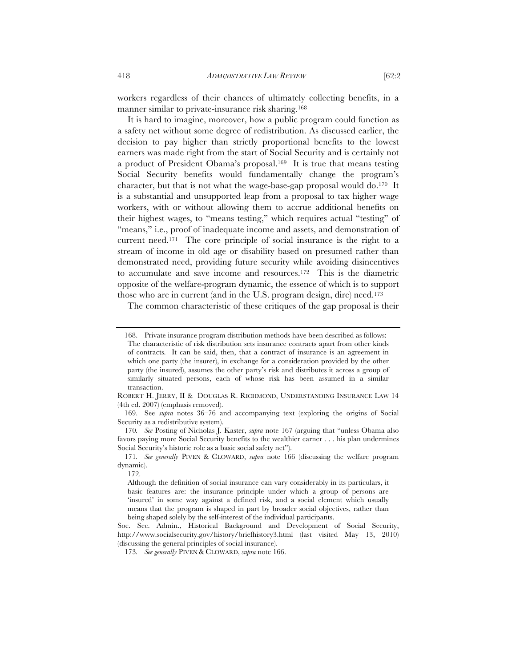workers regardless of their chances of ultimately collecting benefits, in a manner similar to private-insurance risk sharing.<sup>168</sup>

It is hard to imagine, moreover, how a public program could function as a safety net without some degree of redistribution. As discussed earlier, the decision to pay higher than strictly proportional benefits to the lowest earners was made right from the start of Social Security and is certainly not a product of President Obama's proposal.169 It is true that means testing Social Security benefits would fundamentally change the program's character, but that is not what the wage-base-gap proposal would do.170 It is a substantial and unsupported leap from a proposal to tax higher wage workers, with or without allowing them to accrue additional benefits on their highest wages, to "means testing," which requires actual "testing" of "means," i.e., proof of inadequate income and assets, and demonstration of current need.171 The core principle of social insurance is the right to a stream of income in old age or disability based on presumed rather than demonstrated need, providing future security while avoiding disincentives to accumulate and save income and resources.172 This is the diametric opposite of the welfare-program dynamic, the essence of which is to support those who are in current (and in the U.S. program design, dire) need.173

The common characteristic of these critiques of the gap proposal is their

<sup>168.</sup> Private insurance program distribution methods have been described as follows: The characteristic of risk distribution sets insurance contracts apart from other kinds of contracts. It can be said, then, that a contract of insurance is an agreement in which one party (the insurer), in exchange for a consideration provided by the other party (the insured), assumes the other party's risk and distributes it across a group of similarly situated persons, each of whose risk has been assumed in a similar transaction.

ROBERT H. JERRY, II & DOUGLAS R. RICHMOND, UNDERSTANDING INSURANCE LAW 14 (4th ed. 2007) (emphasis removed).

<sup>169.</sup> See *supra* notes 36–76 and accompanying text (exploring the origins of Social Security as a redistributive system).

<sup>170</sup>*. See* Posting of Nicholas J. Kaster, *supra* note 167 (arguing that "unless Obama also favors paying more Social Security benefits to the wealthier earner . . . his plan undermines Social Security's historic role as a basic social safety net").

<sup>171</sup>*. See generally* PIVEN & CLOWARD, *supra* note 166 (discussing the welfare program dynamic).

<sup>172.</sup>

Although the definition of social insurance can vary considerably in its particulars, it basic features are: the insurance principle under which a group of persons are 'insured' in some way against a defined risk, and a social element which usually means that the program is shaped in part by broader social objectives, rather than being shaped solely by the self-interest of the individual participants.

Soc. Sec. Admin., Historical Background and Development of Social Security, http://www.socialsecurity.gov/history/briefhistory3.html (last visited May 13, 2010) (discussing the general principles of social insurance).

<sup>173</sup>*. See generally* PIVEN & CLOWARD, *supra* note 166.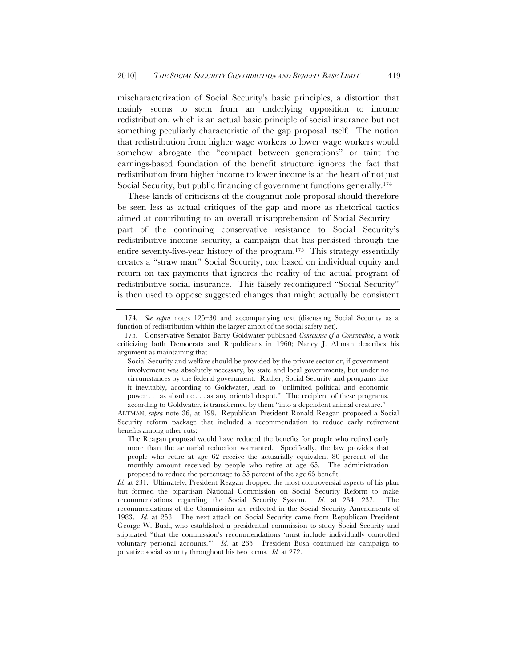mischaracterization of Social Security's basic principles, a distortion that mainly seems to stem from an underlying opposition to income redistribution, which is an actual basic principle of social insurance but not something peculiarly characteristic of the gap proposal itself. The notion that redistribution from higher wage workers to lower wage workers would somehow abrogate the "compact between generations" or taint the earnings-based foundation of the benefit structure ignores the fact that redistribution from higher income to lower income is at the heart of not just Social Security, but public financing of government functions generally.174

These kinds of criticisms of the doughnut hole proposal should therefore be seen less as actual critiques of the gap and more as rhetorical tactics aimed at contributing to an overall misapprehension of Social Security part of the continuing conservative resistance to Social Security's redistributive income security, a campaign that has persisted through the entire seventy-five-year history of the program.175 This strategy essentially creates a "straw man" Social Security, one based on individual equity and return on tax payments that ignores the reality of the actual program of redistributive social insurance. This falsely reconfigured "Social Security" is then used to oppose suggested changes that might actually be consistent

<sup>174</sup>*. See supra* notes 125–30 and accompanying text (discussing Social Security as a function of redistribution within the larger ambit of the social safety net).

<sup>175.</sup> Conservative Senator Barry Goldwater published *Conscience of a Conservative*, a work criticizing both Democrats and Republicans in 1960; Nancy J. Altman describes his argument as maintaining that

Social Security and welfare should be provided by the private sector or, if government involvement was absolutely necessary, by state and local governments, but under no circumstances by the federal government. Rather, Social Security and programs like it inevitably, according to Goldwater, lead to "unlimited political and economic power . . . as absolute . . . as any oriental despot." The recipient of these programs, according to Goldwater, is transformed by them "into a dependent animal creature."

ALTMAN, *supra* note 36, at 199. Republican President Ronald Reagan proposed a Social Security reform package that included a recommendation to reduce early retirement benefits among other cuts:

The Reagan proposal would have reduced the benefits for people who retired early more than the actuarial reduction warranted. Specifically, the law provides that people who retire at age 62 receive the actuarially equivalent 80 percent of the monthly amount received by people who retire at age 65. The administration proposed to reduce the percentage to 55 percent of the age 65 benefit.

*Id.* at 231. Ultimately, President Reagan dropped the most controversial aspects of his plan but formed the bipartisan National Commission on Social Security Reform to make recommendations regarding the Social Security System. *Id.* at 234, 237. The recommendations of the Commission are reflected in the Social Security Amendments of 1983. *Id.* at 253. The next attack on Social Security came from Republican President George W. Bush, who established a presidential commission to study Social Security and stipulated "that the commission's recommendations 'must include individually controlled voluntary personal accounts.'" *Id.* at 265. President Bush continued his campaign to privatize social security throughout his two terms. *Id.* at 272.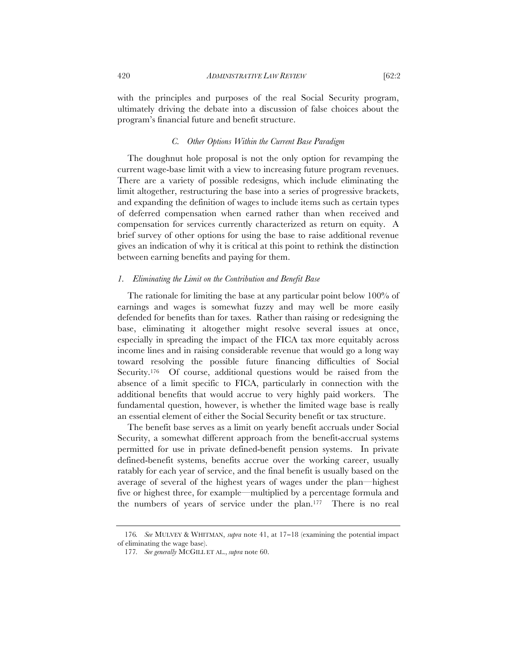with the principles and purposes of the real Social Security program, ultimately driving the debate into a discussion of false choices about the program's financial future and benefit structure.

## *C. Other Options Within the Current Base Paradigm*

The doughnut hole proposal is not the only option for revamping the current wage-base limit with a view to increasing future program revenues. There are a variety of possible redesigns, which include eliminating the limit altogether, restructuring the base into a series of progressive brackets, and expanding the definition of wages to include items such as certain types of deferred compensation when earned rather than when received and compensation for services currently characterized as return on equity. A brief survey of other options for using the base to raise additional revenue gives an indication of why it is critical at this point to rethink the distinction between earning benefits and paying for them.

#### *1. Eliminating the Limit on the Contribution and Benefit Base*

The rationale for limiting the base at any particular point below 100% of earnings and wages is somewhat fuzzy and may well be more easily defended for benefits than for taxes. Rather than raising or redesigning the base, eliminating it altogether might resolve several issues at once, especially in spreading the impact of the FICA tax more equitably across income lines and in raising considerable revenue that would go a long way toward resolving the possible future financing difficulties of Social Security.<sup>176</sup> Of course, additional questions would be raised from the absence of a limit specific to FICA, particularly in connection with the additional benefits that would accrue to very highly paid workers. The fundamental question, however, is whether the limited wage base is really an essential element of either the Social Security benefit or tax structure.

The benefit base serves as a limit on yearly benefit accruals under Social Security, a somewhat different approach from the benefit-accrual systems permitted for use in private defined-benefit pension systems. In private defined-benefit systems, benefits accrue over the working career, usually ratably for each year of service, and the final benefit is usually based on the average of several of the highest years of wages under the plan—highest five or highest three, for example—multiplied by a percentage formula and the numbers of years of service under the plan.177 There is no real

<sup>176</sup>*. See* MULVEY & WHITMAN, *supra* note 41, at 17−18 (examining the potential impact of eliminating the wage base).

<sup>177</sup>*. See generally* MCGILL ET AL., *supra* note 60.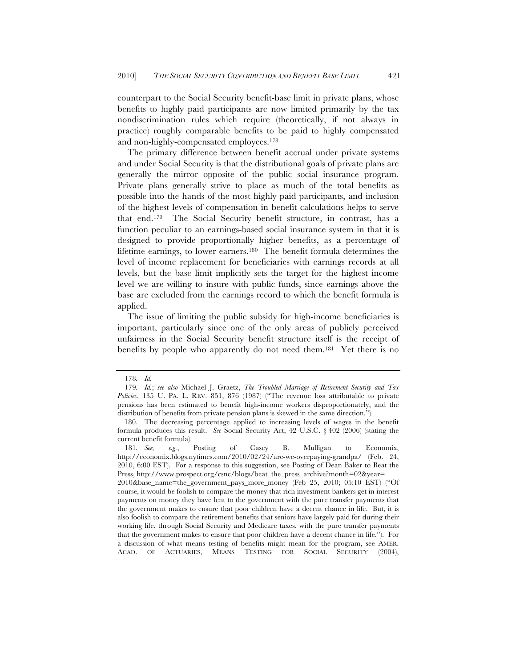counterpart to the Social Security benefit-base limit in private plans, whose benefits to highly paid participants are now limited primarily by the tax nondiscrimination rules which require (theoretically, if not always in practice) roughly comparable benefits to be paid to highly compensated and non-highly-compensated employees.178

The primary difference between benefit accrual under private systems and under Social Security is that the distributional goals of private plans are generally the mirror opposite of the public social insurance program. Private plans generally strive to place as much of the total benefits as possible into the hands of the most highly paid participants, and inclusion of the highest levels of compensation in benefit calculations helps to serve that end.179 The Social Security benefit structure, in contrast, has a function peculiar to an earnings-based social insurance system in that it is designed to provide proportionally higher benefits, as a percentage of lifetime earnings, to lower earners.180 The benefit formula determines the level of income replacement for beneficiaries with earnings records at all levels, but the base limit implicitly sets the target for the highest income level we are willing to insure with public funds, since earnings above the base are excluded from the earnings record to which the benefit formula is applied.

The issue of limiting the public subsidy for high-income beneficiaries is important, particularly since one of the only areas of publicly perceived unfairness in the Social Security benefit structure itself is the receipt of benefits by people who apparently do not need them.181 Yet there is no

<sup>178</sup>*. Id.*

<sup>179</sup>*. Id.*; *see also* Michael J. Graetz, *The Troubled Marriage of Retirement Security and Tax Policies*, 135 U. PA. L. REV. 851, 876 (1987) ("The revenue loss attributable to private pensions has been estimated to benefit high-income workers disproportionately, and the distribution of benefits from private pension plans is skewed in the same direction.").

<sup>180.</sup> The decreasing percentage applied to increasing levels of wages in the benefit formula produces this result. *See* Social Security Act, 42 U.S.C. § 402 (2006) (stating the current benefit formula).

<sup>181</sup>*. See, e.g.*, Posting of Casey B. Mulligan to Economix, http://economix.blogs.nytimes.com/2010/02/24/are-we-overpaying-grandpa/ (Feb. 24, 2010, 6:00 EST). For a response to this suggestion, see Posting of Dean Baker to Beat the Press, http://www.prospect.org/csnc/blogs/beat\_the\_press\_archive?month=02&year=

<sup>2010&</sup>amp;base\_name=the\_government\_pays\_more\_money (Feb 25, 2010; 05:10 EST) ("Of course, it would be foolish to compare the money that rich investment bankers get in interest payments on money they have lent to the government with the pure transfer payments that the government makes to ensure that poor children have a decent chance in life. But, it is also foolish to compare the retirement benefits that seniors have largely paid for during their working life, through Social Security and Medicare taxes, with the pure transfer payments that the government makes to ensure that poor children have a decent chance in life."). For a discussion of what means testing of benefits might mean for the program, see AMER. ACAD. OF ACTUARIES, MEANS TESTING FOR SOCIAL SECURITY (2004),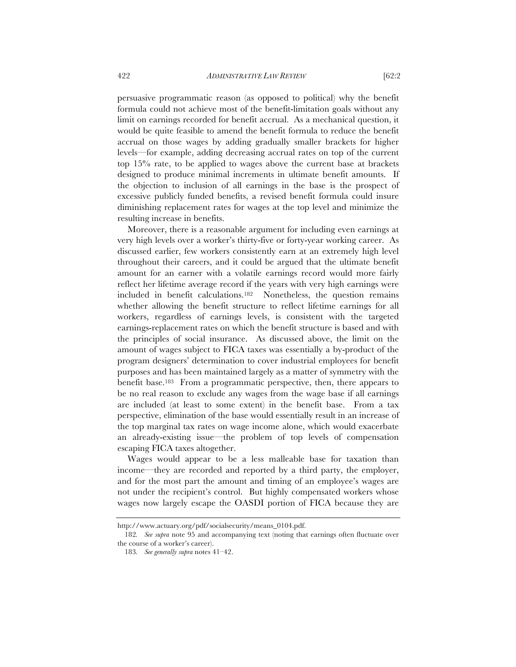persuasive programmatic reason (as opposed to political) why the benefit formula could not achieve most of the benefit-limitation goals without any limit on earnings recorded for benefit accrual. As a mechanical question, it would be quite feasible to amend the benefit formula to reduce the benefit accrual on those wages by adding gradually smaller brackets for higher levels—for example, adding decreasing accrual rates on top of the current top 15% rate, to be applied to wages above the current base at brackets designed to produce minimal increments in ultimate benefit amounts. If the objection to inclusion of all earnings in the base is the prospect of excessive publicly funded benefits, a revised benefit formula could insure diminishing replacement rates for wages at the top level and minimize the resulting increase in benefits.

Moreover, there is a reasonable argument for including even earnings at very high levels over a worker's thirty-five or forty-year working career. As discussed earlier, few workers consistently earn at an extremely high level throughout their careers, and it could be argued that the ultimate benefit amount for an earner with a volatile earnings record would more fairly reflect her lifetime average record if the years with very high earnings were included in benefit calculations.182 Nonetheless, the question remains whether allowing the benefit structure to reflect lifetime earnings for all workers, regardless of earnings levels, is consistent with the targeted earnings-replacement rates on which the benefit structure is based and with the principles of social insurance. As discussed above, the limit on the amount of wages subject to FICA taxes was essentially a by-product of the program designers' determination to cover industrial employees for benefit purposes and has been maintained largely as a matter of symmetry with the benefit base.183 From a programmatic perspective, then, there appears to be no real reason to exclude any wages from the wage base if all earnings are included (at least to some extent) in the benefit base. From a tax perspective, elimination of the base would essentially result in an increase of the top marginal tax rates on wage income alone, which would exacerbate an already-existing issue—the problem of top levels of compensation escaping FICA taxes altogether.

Wages would appear to be a less malleable base for taxation than income—they are recorded and reported by a third party, the employer, and for the most part the amount and timing of an employee's wages are not under the recipient's control. But highly compensated workers whose wages now largely escape the OASDI portion of FICA because they are

http://www.actuary.org/pdf/socialsecurity/means\_0104.pdf.

<sup>182</sup>*. See supra* note 95 and accompanying text (noting that earnings often fluctuate over the course of a worker's career).

<sup>183</sup>*. See generally supra* notes 41–42.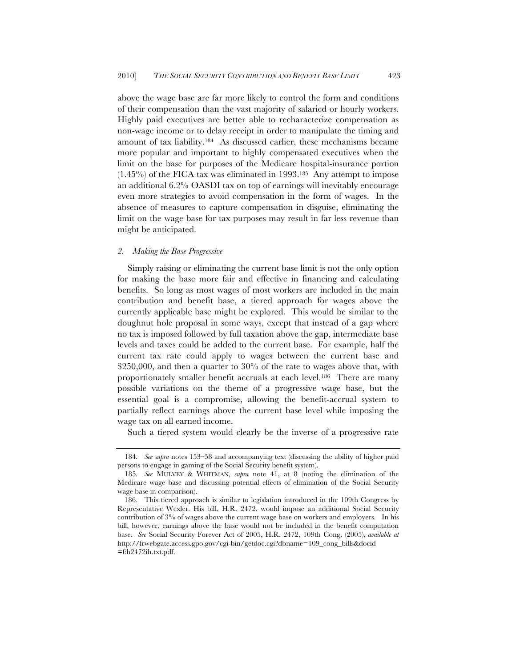above the wage base are far more likely to control the form and conditions of their compensation than the vast majority of salaried or hourly workers. Highly paid executives are better able to recharacterize compensation as non-wage income or to delay receipt in order to manipulate the timing and amount of tax liability.184 As discussed earlier, these mechanisms became more popular and important to highly compensated executives when the limit on the base for purposes of the Medicare hospital-insurance portion  $(1.45\%)$  of the FICA tax was eliminated in 1993.<sup>185</sup> Any attempt to impose an additional 6.2% OASDI tax on top of earnings will inevitably encourage even more strategies to avoid compensation in the form of wages. In the absence of measures to capture compensation in disguise, eliminating the limit on the wage base for tax purposes may result in far less revenue than might be anticipated.

### *2. Making the Base Progressive*

Simply raising or eliminating the current base limit is not the only option for making the base more fair and effective in financing and calculating benefits. So long as most wages of most workers are included in the main contribution and benefit base, a tiered approach for wages above the currently applicable base might be explored. This would be similar to the doughnut hole proposal in some ways, except that instead of a gap where no tax is imposed followed by full taxation above the gap, intermediate base levels and taxes could be added to the current base. For example, half the current tax rate could apply to wages between the current base and \$250,000, and then a quarter to 30% of the rate to wages above that, with proportionately smaller benefit accruals at each level.186 There are many possible variations on the theme of a progressive wage base, but the essential goal is a compromise, allowing the benefit-accrual system to partially reflect earnings above the current base level while imposing the wage tax on all earned income.

Such a tiered system would clearly be the inverse of a progressive rate

<sup>184</sup>*. See supra* notes 153–58 and accompanying text (discussing the ability of higher paid persons to engage in gaming of the Social Security benefit system).

<sup>185</sup>*. See* MULVEY & WHITMAN, *supra* note 41, at 8 (noting the elimination of the Medicare wage base and discussing potential effects of elimination of the Social Security wage base in comparison).

<sup>186.</sup> This tiered approach is similar to legislation introduced in the 109th Congress by Representative Wexler. His bill, H.R. 2472, would impose an additional Social Security contribution of 3% of wages above the current wage base on workers and employers. In his bill, however, earnings above the base would not be included in the benefit computation base. *See* Social Security Forever Act of 2005, H.R. 2472, 109th Cong. (2005), *available at*  http://frwebgate.access.gpo.gov/cgi-bin/getdoc.cgi?dbname=109\_cong\_bills&docid =f:h2472ih.txt.pdf.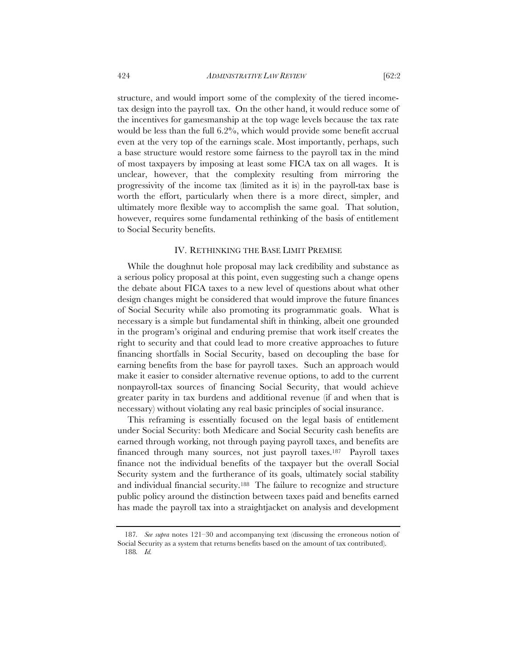structure, and would import some of the complexity of the tiered incometax design into the payroll tax. On the other hand, it would reduce some of the incentives for gamesmanship at the top wage levels because the tax rate would be less than the full 6.2%, which would provide some benefit accrual even at the very top of the earnings scale. Most importantly, perhaps, such a base structure would restore some fairness to the payroll tax in the mind of most taxpayers by imposing at least some FICA tax on all wages. It is unclear, however, that the complexity resulting from mirroring the progressivity of the income tax (limited as it is) in the payroll-tax base is worth the effort, particularly when there is a more direct, simpler, and ultimately more flexible way to accomplish the same goal. That solution, however, requires some fundamental rethinking of the basis of entitlement to Social Security benefits.

### IV. RETHINKING THE BASE LIMIT PREMISE

While the doughnut hole proposal may lack credibility and substance as a serious policy proposal at this point, even suggesting such a change opens the debate about FICA taxes to a new level of questions about what other design changes might be considered that would improve the future finances of Social Security while also promoting its programmatic goals. What is necessary is a simple but fundamental shift in thinking, albeit one grounded in the program's original and enduring premise that work itself creates the right to security and that could lead to more creative approaches to future financing shortfalls in Social Security, based on decoupling the base for earning benefits from the base for payroll taxes. Such an approach would make it easier to consider alternative revenue options, to add to the current nonpayroll-tax sources of financing Social Security, that would achieve greater parity in tax burdens and additional revenue (if and when that is necessary) without violating any real basic principles of social insurance.

This reframing is essentially focused on the legal basis of entitlement under Social Security: both Medicare and Social Security cash benefits are earned through working, not through paying payroll taxes, and benefits are financed through many sources, not just payroll taxes.187 Payroll taxes finance not the individual benefits of the taxpayer but the overall Social Security system and the furtherance of its goals, ultimately social stability and individual financial security.188 The failure to recognize and structure public policy around the distinction between taxes paid and benefits earned has made the payroll tax into a straightjacket on analysis and development

<sup>187</sup>*. See supra* notes 121–30 and accompanying text (discussing the erroneous notion of Social Security as a system that returns benefits based on the amount of tax contributed). 188*. Id.*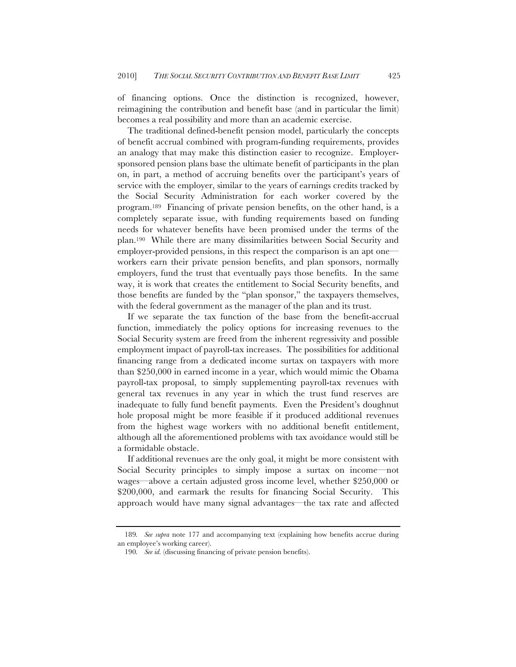of financing options. Once the distinction is recognized, however, reimagining the contribution and benefit base (and in particular the limit) becomes a real possibility and more than an academic exercise.

The traditional defined-benefit pension model, particularly the concepts of benefit accrual combined with program-funding requirements, provides an analogy that may make this distinction easier to recognize. Employersponsored pension plans base the ultimate benefit of participants in the plan on, in part, a method of accruing benefits over the participant's years of service with the employer, similar to the years of earnings credits tracked by the Social Security Administration for each worker covered by the program.189 Financing of private pension benefits, on the other hand, is a completely separate issue, with funding requirements based on funding needs for whatever benefits have been promised under the terms of the plan.190 While there are many dissimilarities between Social Security and employer-provided pensions, in this respect the comparison is an apt one workers earn their private pension benefits, and plan sponsors, normally employers, fund the trust that eventually pays those benefits. In the same way, it is work that creates the entitlement to Social Security benefits, and those benefits are funded by the "plan sponsor," the taxpayers themselves, with the federal government as the manager of the plan and its trust.

If we separate the tax function of the base from the benefit-accrual function, immediately the policy options for increasing revenues to the Social Security system are freed from the inherent regressivity and possible employment impact of payroll-tax increases. The possibilities for additional financing range from a dedicated income surtax on taxpayers with more than \$250,000 in earned income in a year, which would mimic the Obama payroll-tax proposal, to simply supplementing payroll-tax revenues with general tax revenues in any year in which the trust fund reserves are inadequate to fully fund benefit payments. Even the President's doughnut hole proposal might be more feasible if it produced additional revenues from the highest wage workers with no additional benefit entitlement, although all the aforementioned problems with tax avoidance would still be a formidable obstacle.

If additional revenues are the only goal, it might be more consistent with Social Security principles to simply impose a surtax on income—not wages—above a certain adjusted gross income level, whether \$250,000 or \$200,000, and earmark the results for financing Social Security. This approach would have many signal advantages—the tax rate and affected

<sup>189</sup>*. See supra* note 177 and accompanying text (explaining how benefits accrue during an employee's working career).

<sup>190</sup>*. See id.* (discussing financing of private pension benefits).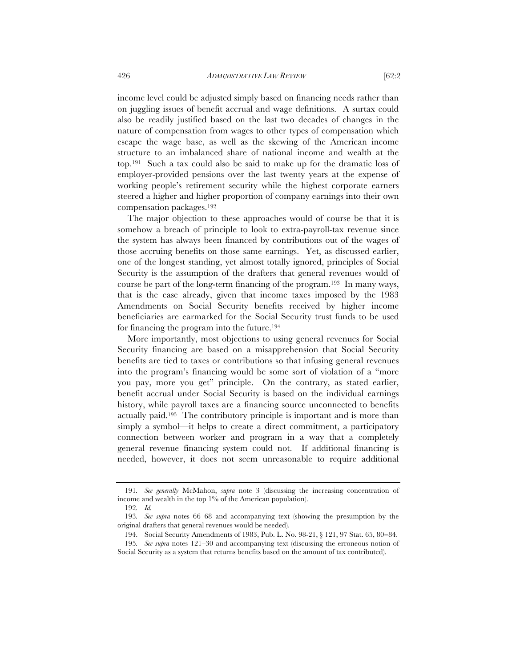income level could be adjusted simply based on financing needs rather than on juggling issues of benefit accrual and wage definitions. A surtax could also be readily justified based on the last two decades of changes in the nature of compensation from wages to other types of compensation which escape the wage base, as well as the skewing of the American income structure to an imbalanced share of national income and wealth at the top.191 Such a tax could also be said to make up for the dramatic loss of employer-provided pensions over the last twenty years at the expense of working people's retirement security while the highest corporate earners steered a higher and higher proportion of company earnings into their own compensation packages.192

The major objection to these approaches would of course be that it is somehow a breach of principle to look to extra-payroll-tax revenue since the system has always been financed by contributions out of the wages of those accruing benefits on those same earnings. Yet, as discussed earlier, one of the longest standing, yet almost totally ignored, principles of Social Security is the assumption of the drafters that general revenues would of course be part of the long-term financing of the program.193 In many ways, that is the case already, given that income taxes imposed by the 1983 Amendments on Social Security benefits received by higher income beneficiaries are earmarked for the Social Security trust funds to be used for financing the program into the future.194

More importantly, most objections to using general revenues for Social Security financing are based on a misapprehension that Social Security benefits are tied to taxes or contributions so that infusing general revenues into the program's financing would be some sort of violation of a "more you pay, more you get" principle. On the contrary, as stated earlier, benefit accrual under Social Security is based on the individual earnings history, while payroll taxes are a financing source unconnected to benefits actually paid.195 The contributory principle is important and is more than simply a symbol—it helps to create a direct commitment, a participatory connection between worker and program in a way that a completely general revenue financing system could not. If additional financing is needed, however, it does not seem unreasonable to require additional

<sup>191</sup>*. See generally* McMahon, *supra* note 3 (discussing the increasing concentration of income and wealth in the top 1% of the American population).

<sup>192</sup>*. Id.*

<sup>193</sup>*. See supra* notes 66–68 and accompanying text (showing the presumption by the original drafters that general revenues would be needed).

<sup>194.</sup> Social Security Amendments of 1983, Pub. L. No. 98-21, § 121, 97 Stat. 65, 80−84.

<sup>195</sup>*. See supra* notes 121–30 and accompanying text (discussing the erroneous notion of Social Security as a system that returns benefits based on the amount of tax contributed).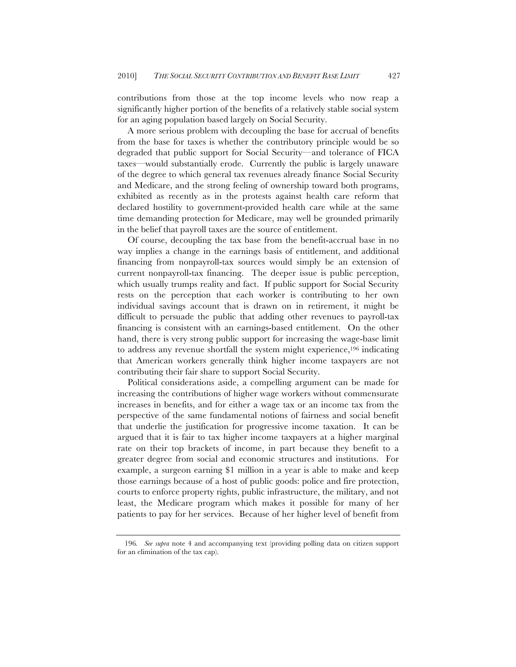contributions from those at the top income levels who now reap a significantly higher portion of the benefits of a relatively stable social system for an aging population based largely on Social Security.

A more serious problem with decoupling the base for accrual of benefits from the base for taxes is whether the contributory principle would be so degraded that public support for Social Security—and tolerance of FICA taxes—would substantially erode. Currently the public is largely unaware of the degree to which general tax revenues already finance Social Security and Medicare, and the strong feeling of ownership toward both programs, exhibited as recently as in the protests against health care reform that declared hostility to government-provided health care while at the same time demanding protection for Medicare, may well be grounded primarily in the belief that payroll taxes are the source of entitlement.

Of course, decoupling the tax base from the benefit-accrual base in no way implies a change in the earnings basis of entitlement, and additional financing from nonpayroll-tax sources would simply be an extension of current nonpayroll-tax financing. The deeper issue is public perception, which usually trumps reality and fact. If public support for Social Security rests on the perception that each worker is contributing to her own individual savings account that is drawn on in retirement, it might be difficult to persuade the public that adding other revenues to payroll-tax financing is consistent with an earnings-based entitlement. On the other hand, there is very strong public support for increasing the wage-base limit to address any revenue shortfall the system might experience,196 indicating that American workers generally think higher income taxpayers are not contributing their fair share to support Social Security.

Political considerations aside, a compelling argument can be made for increasing the contributions of higher wage workers without commensurate increases in benefits, and for either a wage tax or an income tax from the perspective of the same fundamental notions of fairness and social benefit that underlie the justification for progressive income taxation. It can be argued that it is fair to tax higher income taxpayers at a higher marginal rate on their top brackets of income, in part because they benefit to a greater degree from social and economic structures and institutions. For example, a surgeon earning \$1 million in a year is able to make and keep those earnings because of a host of public goods: police and fire protection, courts to enforce property rights, public infrastructure, the military, and not least, the Medicare program which makes it possible for many of her patients to pay for her services. Because of her higher level of benefit from

<sup>196</sup>*. See supra* note 4 and accompanying text (providing polling data on citizen support for an elimination of the tax cap).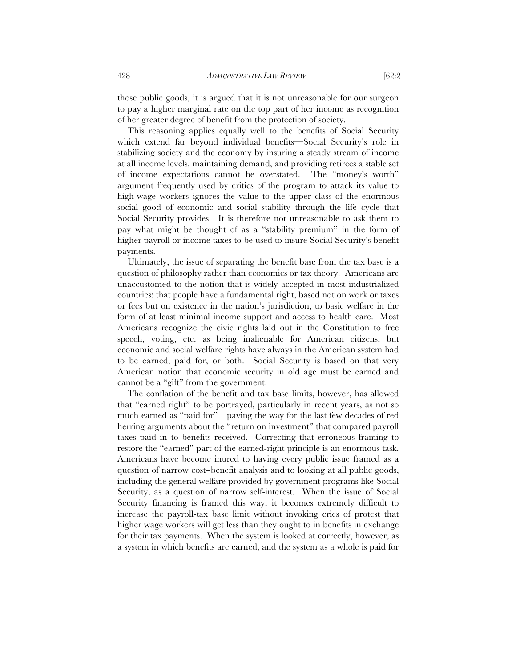those public goods, it is argued that it is not unreasonable for our surgeon to pay a higher marginal rate on the top part of her income as recognition of her greater degree of benefit from the protection of society.

This reasoning applies equally well to the benefits of Social Security which extend far beyond individual benefits—Social Security's role in stabilizing society and the economy by insuring a steady stream of income at all income levels, maintaining demand, and providing retirees a stable set of income expectations cannot be overstated. The "money's worth" argument frequently used by critics of the program to attack its value to high-wage workers ignores the value to the upper class of the enormous social good of economic and social stability through the life cycle that Social Security provides. It is therefore not unreasonable to ask them to pay what might be thought of as a "stability premium" in the form of higher payroll or income taxes to be used to insure Social Security's benefit payments.

Ultimately, the issue of separating the benefit base from the tax base is a question of philosophy rather than economics or tax theory. Americans are unaccustomed to the notion that is widely accepted in most industrialized countries: that people have a fundamental right, based not on work or taxes or fees but on existence in the nation's jurisdiction, to basic welfare in the form of at least minimal income support and access to health care. Most Americans recognize the civic rights laid out in the Constitution to free speech, voting, etc. as being inalienable for American citizens, but economic and social welfare rights have always in the American system had to be earned, paid for, or both. Social Security is based on that very American notion that economic security in old age must be earned and cannot be a "gift" from the government.

The conflation of the benefit and tax base limits, however, has allowed that "earned right" to be portrayed, particularly in recent years, as not so much earned as "paid for"—paving the way for the last few decades of red herring arguments about the "return on investment" that compared payroll taxes paid in to benefits received. Correcting that erroneous framing to restore the "earned" part of the earned-right principle is an enormous task. Americans have become inured to having every public issue framed as a question of narrow cost−benefit analysis and to looking at all public goods, including the general welfare provided by government programs like Social Security, as a question of narrow self-interest. When the issue of Social Security financing is framed this way, it becomes extremely difficult to increase the payroll-tax base limit without invoking cries of protest that higher wage workers will get less than they ought to in benefits in exchange for their tax payments. When the system is looked at correctly, however, as a system in which benefits are earned, and the system as a whole is paid for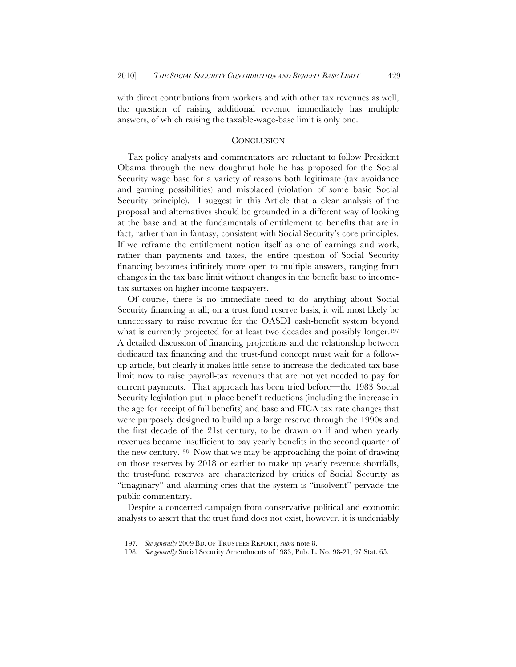with direct contributions from workers and with other tax revenues as well, the question of raising additional revenue immediately has multiple answers, of which raising the taxable-wage-base limit is only one.

#### **CONCLUSION**

Tax policy analysts and commentators are reluctant to follow President Obama through the new doughnut hole he has proposed for the Social Security wage base for a variety of reasons both legitimate (tax avoidance and gaming possibilities) and misplaced (violation of some basic Social Security principle). I suggest in this Article that a clear analysis of the proposal and alternatives should be grounded in a different way of looking at the base and at the fundamentals of entitlement to benefits that are in fact, rather than in fantasy, consistent with Social Security's core principles. If we reframe the entitlement notion itself as one of earnings and work, rather than payments and taxes, the entire question of Social Security financing becomes infinitely more open to multiple answers, ranging from changes in the tax base limit without changes in the benefit base to incometax surtaxes on higher income taxpayers.

Of course, there is no immediate need to do anything about Social Security financing at all; on a trust fund reserve basis, it will most likely be unnecessary to raise revenue for the OASDI cash-benefit system beyond what is currently projected for at least two decades and possibly longer.<sup>197</sup> A detailed discussion of financing projections and the relationship between dedicated tax financing and the trust-fund concept must wait for a followup article, but clearly it makes little sense to increase the dedicated tax base limit now to raise payroll-tax revenues that are not yet needed to pay for current payments. That approach has been tried before—the 1983 Social Security legislation put in place benefit reductions (including the increase in the age for receipt of full benefits) and base and FICA tax rate changes that were purposely designed to build up a large reserve through the 1990s and the first decade of the 21st century, to be drawn on if and when yearly revenues became insufficient to pay yearly benefits in the second quarter of the new century.198 Now that we may be approaching the point of drawing on those reserves by 2018 or earlier to make up yearly revenue shortfalls, the trust-fund reserves are characterized by critics of Social Security as "imaginary" and alarming cries that the system is "insolvent" pervade the public commentary.

Despite a concerted campaign from conservative political and economic analysts to assert that the trust fund does not exist, however, it is undeniably

<sup>197</sup>*. See generally* 2009 BD. OF TRUSTEES REPORT, *supra* note 8.

<sup>198.</sup> *See generally* Social Security Amendments of 1983, Pub. L. No. 98-21, 97 Stat. 65.